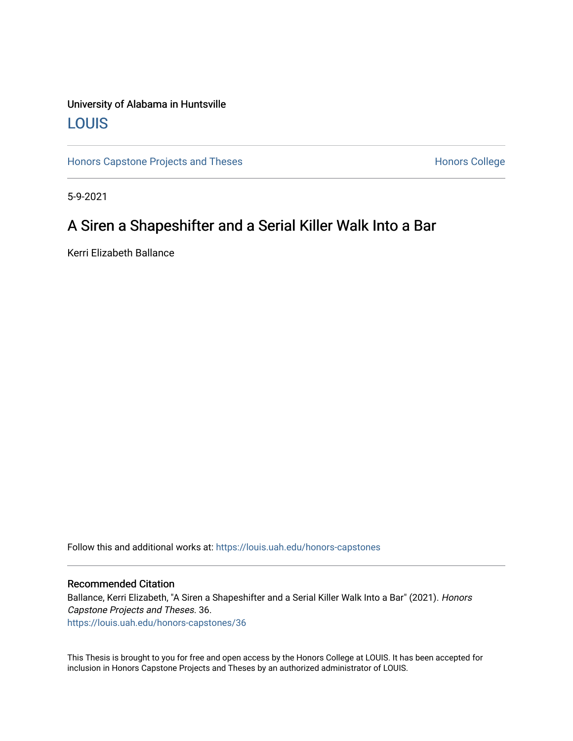### University of Alabama in Huntsville [LOUIS](https://louis.uah.edu/)

[Honors Capstone Projects and Theses](https://louis.uah.edu/honors-capstones) **Honors College** Honors College

5-9-2021

## A Siren a Shapeshifter and a Serial Killer Walk Into a Bar

Kerri Elizabeth Ballance

Follow this and additional works at: [https://louis.uah.edu/honors-capstones](https://louis.uah.edu/honors-capstones?utm_source=louis.uah.edu%2Fhonors-capstones%2F36&utm_medium=PDF&utm_campaign=PDFCoverPages) 

### Recommended Citation

Ballance, Kerri Elizabeth, "A Siren a Shapeshifter and a Serial Killer Walk Into a Bar" (2021). Honors Capstone Projects and Theses. 36. [https://louis.uah.edu/honors-capstones/36](https://louis.uah.edu/honors-capstones/36?utm_source=louis.uah.edu%2Fhonors-capstones%2F36&utm_medium=PDF&utm_campaign=PDFCoverPages)

This Thesis is brought to you for free and open access by the Honors College at LOUIS. It has been accepted for inclusion in Honors Capstone Projects and Theses by an authorized administrator of LOUIS.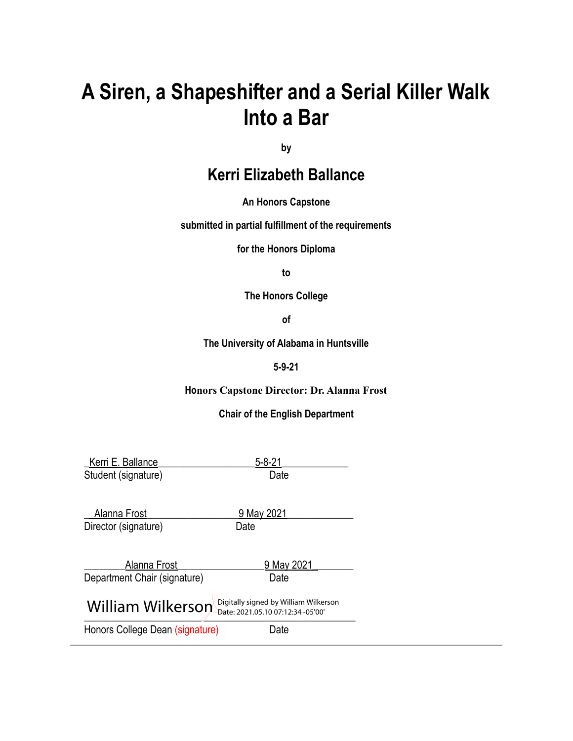# **A Siren, a Shapeshifter and a Serial Killer Walk Into a Bar**

**by**

# **Kerri Elizabeth Ballance**

### **An Honors Capstone**

**submitted in partial fulfillment of the requirements**

**for the Honors Diploma**

**to**

**The Honors College**

**of**

**The University of Alabama in Huntsville**

### **5-9-21**

### **Honors Capstone Director: Dr. Alanna Frost**

### **Chair of the English Department**

| Kerri E. Ballance                                                                               | $5 - 8 - 21$       |  |
|-------------------------------------------------------------------------------------------------|--------------------|--|
| Student (signature)                                                                             | Date               |  |
| Alanna Frost<br>Director (signature)                                                            | 9 May 2021<br>Date |  |
| Alanna Frost                                                                                    | 9 May 2021         |  |
| Department Chair (signature)                                                                    | Date               |  |
| Digitally signed by William Wilkerson<br>William Wilkerson<br>Date: 2021.05.10 07:12:34 -05'00' |                    |  |
| Honors College Dean (signature)                                                                 | Jate               |  |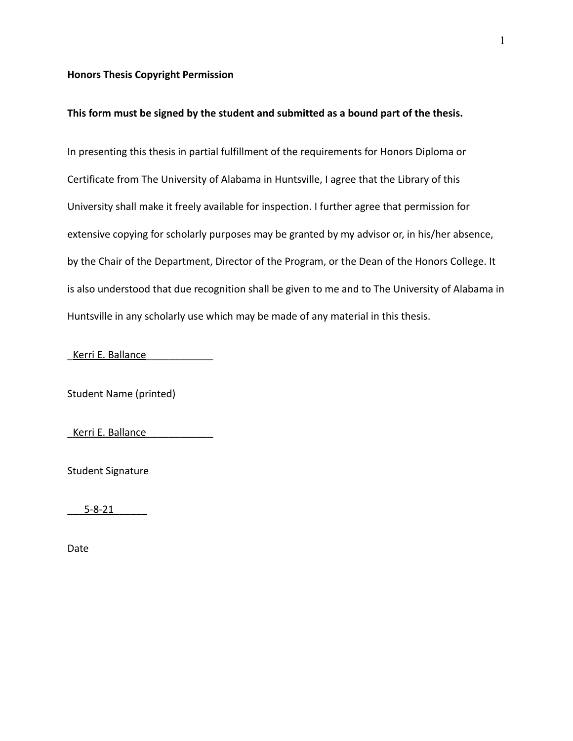### **Honors Thesis Copyright Permission**

### **This form must be signed by the student and submitted as a bound part of the thesis.**

In presenting this thesis in partial fulfillment of the requirements for Honors Diploma or Certificate from The University of Alabama in Huntsville, I agree that the Library of this University shall make it freely available for inspection. I further agree that permission for extensive copying for scholarly purposes may be granted by my advisor or, in his/her absence, by the Chair of the Department, Director of the Program, or the Dean of the Honors College. It is also understood that due recognition shall be given to me and to The University of Alabama in Huntsville in any scholarly use which may be made of any material in this thesis.

Kerri E. Ballance

Student Name (printed)

Kerri E. Ballance

Student Signature

\_\_\_5-8-21\_\_\_\_\_\_

Date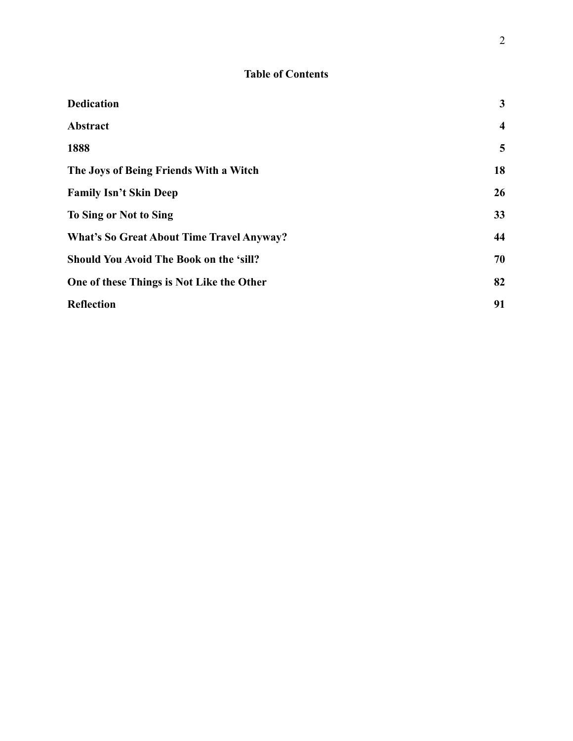### **Table of Contents**

| <b>Dedication</b>                                | $\mathbf{3}$            |
|--------------------------------------------------|-------------------------|
| Abstract                                         | $\overline{\mathbf{4}}$ |
| 1888                                             | 5                       |
| The Joys of Being Friends With a Witch           | 18                      |
| <b>Family Isn't Skin Deep</b>                    | 26                      |
| To Sing or Not to Sing                           | 33                      |
| <b>What's So Great About Time Travel Anyway?</b> | 44                      |
| <b>Should You Avoid The Book on the 'sill?</b>   | 70                      |
| One of these Things is Not Like the Other        | 82                      |
| <b>Reflection</b>                                | 91                      |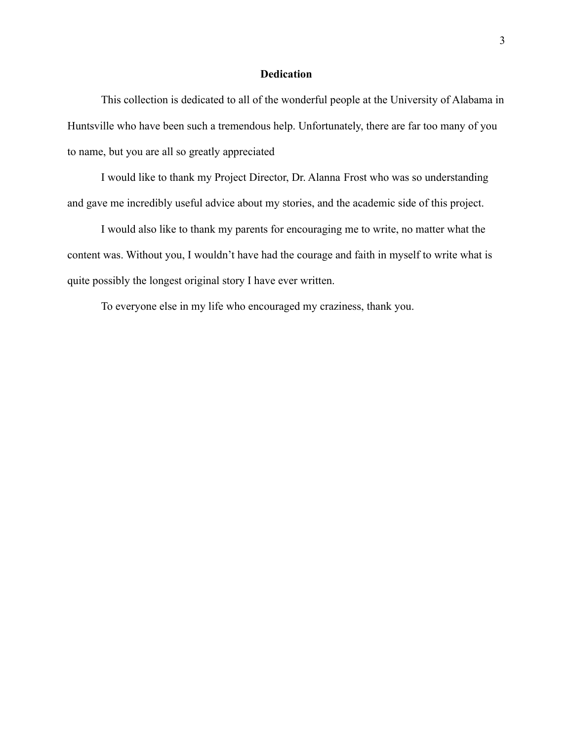### **Dedication**

<span id="page-4-0"></span>This collection is dedicated to all of the wonderful people at the University of Alabama in Huntsville who have been such a tremendous help. Unfortunately, there are far too many of you to name, but you are all so greatly appreciated

I would like to thank my Project Director, Dr. Alanna Frost who was so understanding and gave me incredibly useful advice about my stories, and the academic side of this project.

I would also like to thank my parents for encouraging me to write, no matter what the content was. Without you, I wouldn't have had the courage and faith in myself to write what is quite possibly the longest original story I have ever written.

To everyone else in my life who encouraged my craziness, thank you.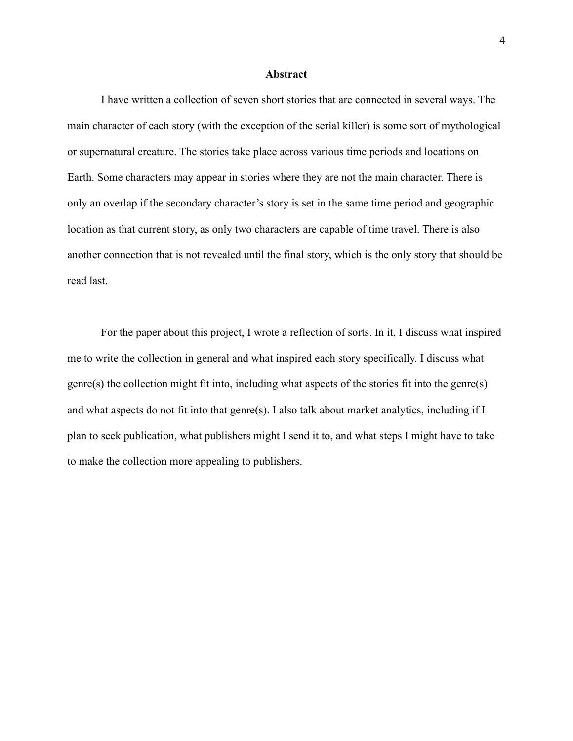### **Abstract**

<span id="page-5-0"></span>I have written a collection of seven short stories that are connected in several ways. The main character of each story (with the exception of the serial killer) is some sort of mythological or supernatural creature. The stories take place across various time periods and locations on Earth. Some characters may appear in stories where they are not the main character. There is only an overlap if the secondary character's story is set in the same time period and geographic location as that current story, as only two characters are capable of time travel. There is also another connection that is not revealed until the final story, which is the only story that should be read last.

For the paper about this project, I wrote a reflection of sorts. In it, I discuss what inspired me to write the collection in general and what inspired each story specifically. I discuss what genre(s) the collection might fit into, including what aspects of the stories fit into the genre(s) and what aspects do not fit into that genre(s). I also talk about market analytics, including if I plan to seek publication, what publishers might I send it to, and what steps I might have to take to make the collection more appealing to publishers.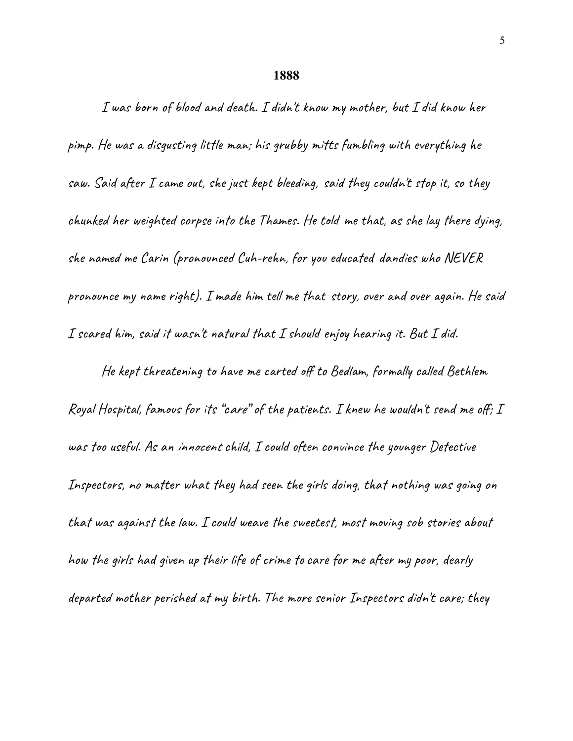### **1888**

<span id="page-6-0"></span>I was born of blood and death. I didn't know my mother, but I did know her pimp. He was a disgusting little man; his grubby mitts fumbling with everything he saw. Said after I came out, she just kept bleeding, said they couldn't stop it, so they chunked her weighted corpse into the Thames. He told me that, as she lay there dying, she named me Carin (pronounced Cuh-rehn, for you educated dandies who NEVER pronounce my name right). I made him tell me that story, over and over again. He said I scared him, said it wasn't natural that I should enjoy hearing it. But I did.

He kept threatening to have me carted off to Bedlam, formally called Bethlem Royal Hospital, famous for its "care" of the patients. I knew he wouldn't send me off; I was too useful. As an innocent child, I could often convince the younger Detective Inspectors, no matter what they had seen the girls doing, that nothing was going on that was against the law. I could weave the sweetest, most moving sob stories about how the girls had given up their life of crime tocare for me after my poor, dearly departed mother perished at my birth. The more senior Inspectors didn't care; they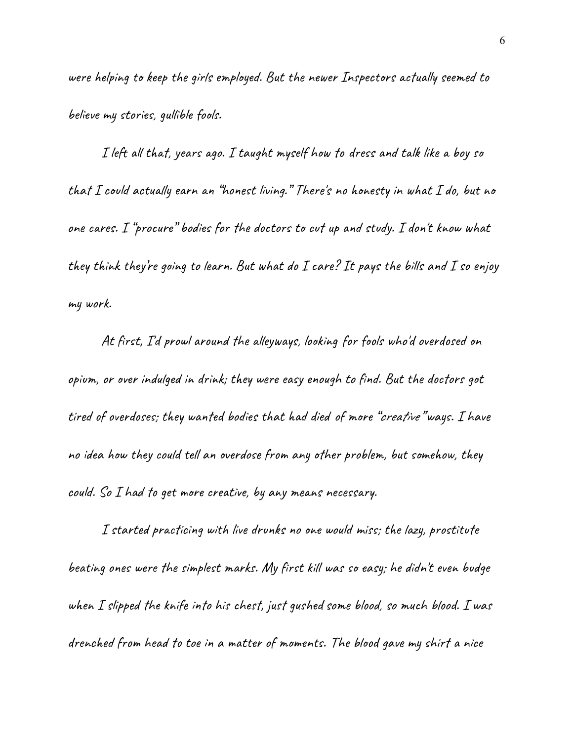were helping to keep the girls employed. But the newer Inspectors actually seemed to believe my stories, gullible fools.

I left all that, years ago. I taught myself how to dress and talk like a boy so that I could actually earn an "honest living." There's no honesty in what I do, but no one cares. I "procure" bodies for the doctors to cut up and study. I don't know what they think they're going to learn. But what do  $I$  care? It pays the bills and  $I$  so enjoy my work.

At first, I'd prowl around the alleyways, looking for fools who'd overdosed on opium, or over indulged in drink; they were easy enough to find. But the doctors got tired of overdoses; they wanted bodies that had died of more "creative" ways. I have no idea how they could tell an overdose from any other problem, but somehow, they could. So I had to get more creative, by any means necessary.

I started practicing with live drunks no one would miss; the lazy, prostitute beating ones were the simplest marks. My first kill was so easy; he didn't even budge when  $I$  slipped the knife into his chest, just gushed some blood, so much blood.  $I$  was drenched from head to toe in a matter of moments. The blood gave my shirt a nice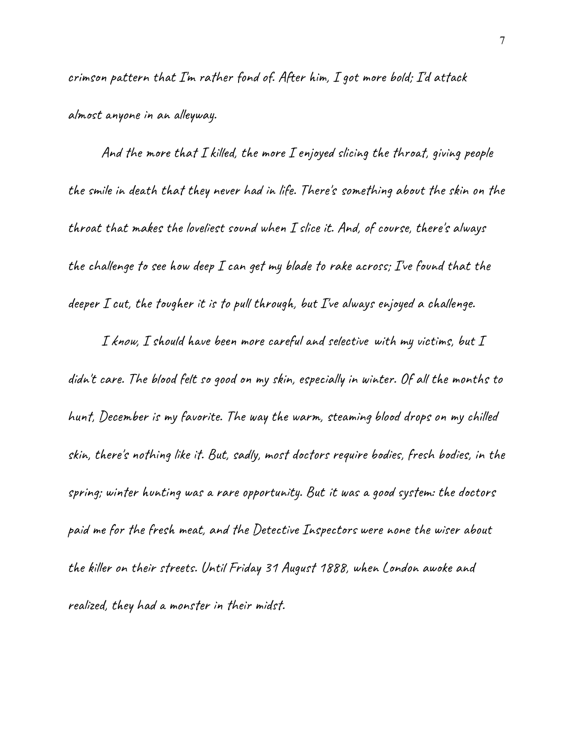crimson pattern that I'm rather fond of. After him, I got more bold; I'd attack almost anyone in an alleyway.

And the more that I killed, the more I enjoyed slicing the throat, giving people the smile in death that they never had in life. There's something about the skin on the throat that makes the loveliest sound when I slice it. And, of course, there's always the challenge to see how deep I can get my blade to rake across; I've found that the deeper I cut, the tougher it is to pull through, but I've always enjoyed a challenge.

I know, I should have been more careful and selective with my victims, but I didn't care. The blood felt so good on my skin, especially in winter. Of all the months to hunt, December is my favorite. The way the warm, steaming blood drops on my chilled skin, there's nothing like it. But, sadly, most doctors require bodies, fresh bodies, in the spring; winter hunting was a rare opportunity. But it was a good system: the doctors paid me for the fresh meat, and the Detective Inspectors were none the wiser about the killer on their streets. Until Friday 31 August 1888, when London awoke and realized, they had a monster in their midst.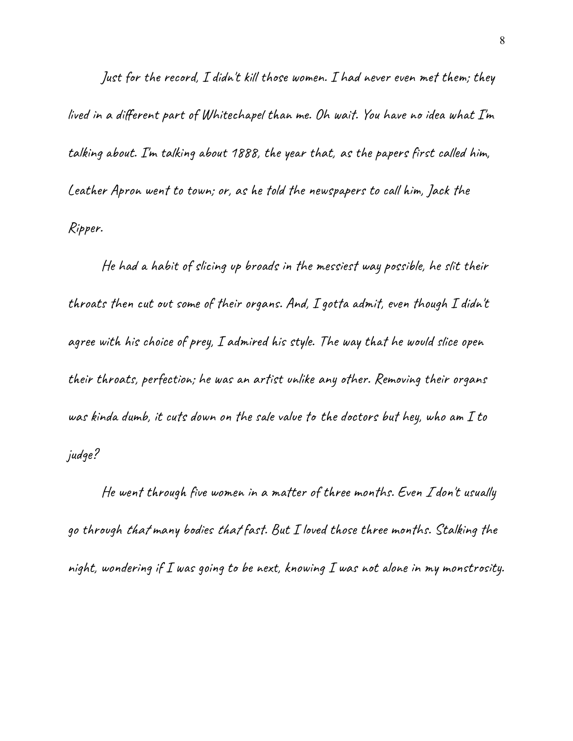Just for the record, I didn't kill those women. I had never even met them; they lived in a different part of Whitechapel than me. Oh wait. You have no idea what I'm talking about. I'm talking about 1888, the year that, as the papers first called him, Leather Apron went to town; or, as he told the newspapers to call him, Jack the Ripper.

He had a habit of slicing up broads in the messiest way possible, he slit their throats then cut out some of their organs. And, I gotta admit, even though I didn't agree with his choice of prey, I admired his style. The way that he would slice open their throats, perfection; he was an artist unlike any other. Removing their organs was kinda dumb, it cuts down on the sale value to the doctors but hey, who am I to judge?

He went through five women in a matter of three months. Even <sup>I</sup> don't usually go through that many bodies that fast. But I loved those three months. Stalking the night, wondering if I was going to be next, knowing I was not alone in my monstrosity.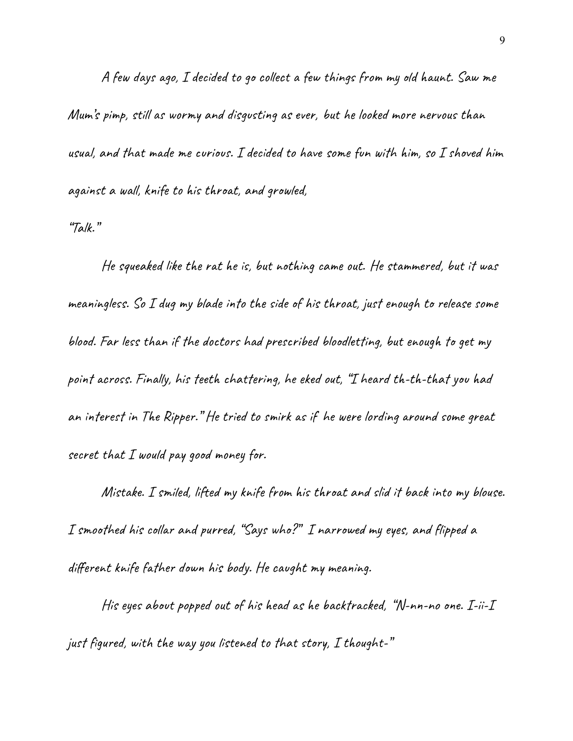A few days ago, I decided to go collect a few things from my old haunt. Saw me Mum's pimp, still as wormy and disgusting as ever, but he looked more nervous than usual, and that made me curious. I decided to have some fun with him, so I shoved him against a wall, knife to his throat, and growled,

"Talk."

He squeaked like the rat he is, but nothing came out. He stammered, but it was meaningless. So I dug my blade into the side of his throat, just enough to release some blood. Far less than if the doctors had prescribed bloodletting, but enough to get my point across. Finally, his teeth chattering, he eked out, "I heard th-th-that you had an interest in The Ripper." He tried to smirk as if he were lording around some great secret that I would pay good money for.

Mistake. I smiled, lifted my knife from his throat and slid it back into my blouse. I smoothed his collar and purred, "Says who?" I narrowed my eyes, and flipped a different knife father down his body. He caught my meaning.

His eyes about popped out of his head as he backtracked, "N-nn-no one. I-ii-I just figured, with the way you listened to that story,  $I$  thought-"  $\,$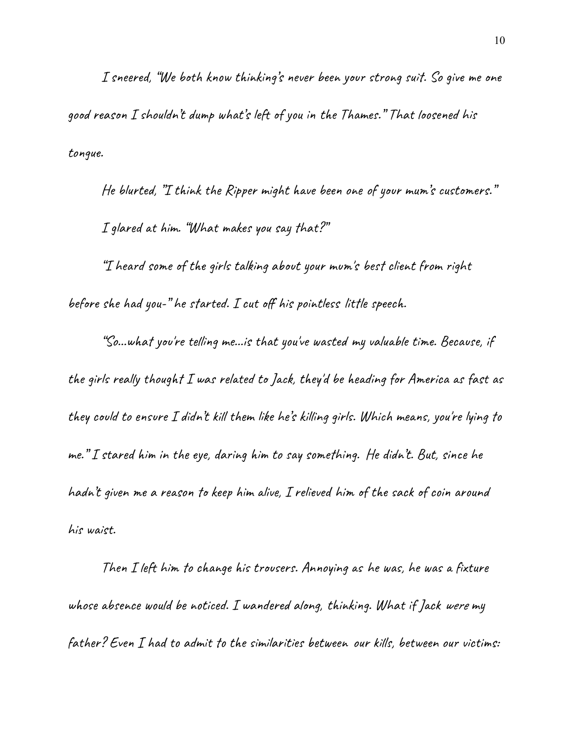I sneered, "We both know thinking's never been your strong suit. So give me one good reason I shouldn't dump what's left of you in the Thames." That loosened his tongue.

He blurted, "I think the Ripper might have been one of your mum's customers." I glared at him. "What makes you say that?"

"I heard some of the girls talking about your mum's best client from right before she had you-" he started. I cut off his pointless little speech.

"So...what you're telling me...is that you've wasted my valuable time. Because, if the girls really thought I was related to Jack, they'd be heading for America as fast as they could to ensure I didn't kill them like he's killing girls. Which means, you're lying to me." I stared him in the eye, daring him to say something. He didn't. But, since he hadn't given me a reason to keep him alive, I relieved him of the sack of coin around his waist.

Then I left him to change his trousers. Annoying as he was, he was a fixture whose absence would be noticed. I wandered along, thinking. What if Jack were my father? Even I had to admit to the similarities between our kills, between our victims: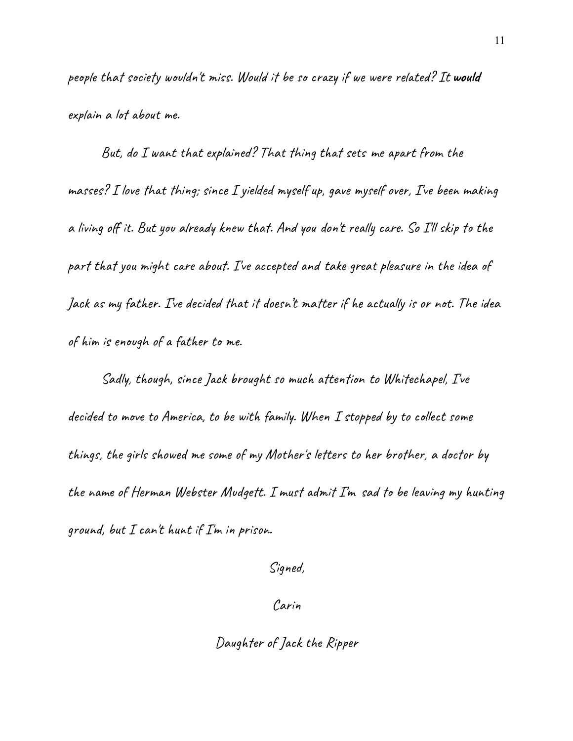people that society wouldn't miss. Would it be so crazy if we were related? It **would** explain a lot about me.

But, do I want that explained? That thing that sets me apart from the masses? I love that thing; since I yielded myself up, gave myself over, I've been making a living off it. But you already knew that. And you don't really care. So I'll skip to the part that you might care about. I've accepted and take great pleasure in the idea of Jack as my father. I've decided that it doesn't matter if he actually is or not. The idea of him is enough of a father to me.

Sadly, though, since Jack brought so much attention to Whitechapel, I've decided to move to America, to be with family. When I stopped by to collect some things, the girls showed me some of my Mother's letters to her brother, a doctor by the name of Herman Webster Mudgett. I must admit I'm sad to be leaving my hunting ground, but  $I$  can't hunt if  $I'$ m in prison.

Signed,

Carin

Daughter of Jack the Ripper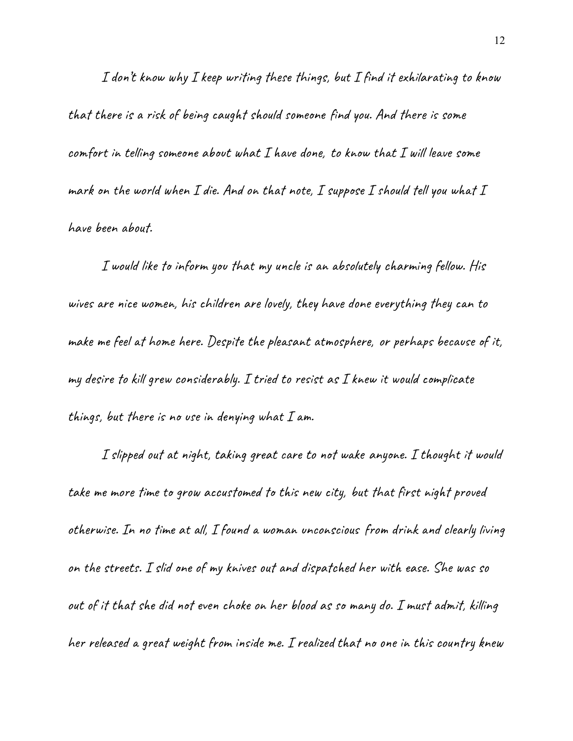I don't know why I keep writing these things, but I find it exhilarating to know that there is a risk of being caught should someone find you. And there is some comfort in telling someone about what I have done, to know that I will leave some mark on the world when I die. And on that note, I suppose I should tell you what I have been about.

I would like to inform you that my uncle is an absolutely charming fellow. His wives are nice women, his children are lovely, they have done everything they can to make me feel at home here. Despite the pleasant atmosphere, or perhaps because of it, my desire to kill grew considerably. I tried to resist as I knew it would complicate things, but there is no use in denying what  $I$  am.

I slipped out at night, taking great care to not wake anyone. I thought it would take me more time to grow accustomed to this new city, but that first night proved otherwise. In no time at all, I found a woman unconscious from drink and clearly living on the streets. I slid one of my knives out and dispatched her with ease. She was so out of it that she did not even choke on her blood as so many do. I must admit, killing her released a great weight from inside me. I realized that no one in this country knew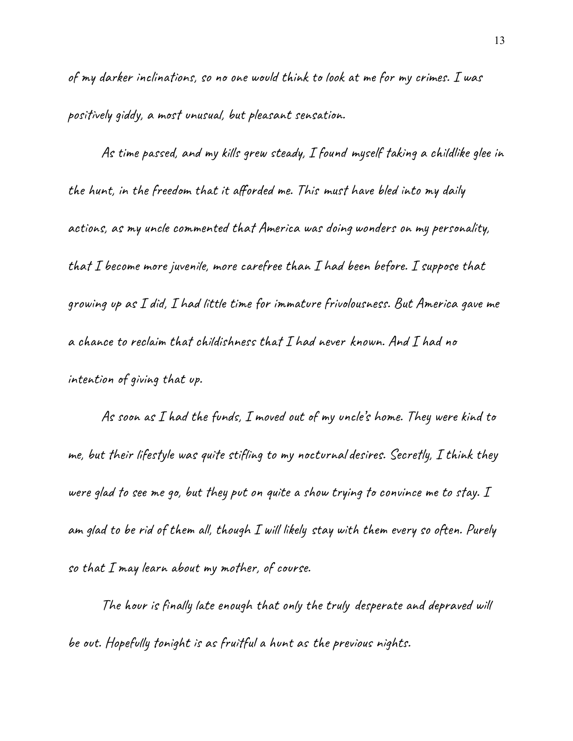of my darker inclinations, so no one would think to look at me for my crimes. I was positively giddy, a most unusual, but pleasant sensation.

As time passed, and my kills grew steady, I found myself taking a childlike glee in the hunt, in the freedom that it afforded me. This must have bled into my daily actions, as my uncle commented that America was doing wonders on my personality, that I become more juvenile, more carefree than I had been before. I suppose that growing up as I did, I had little time for immature frivolousness. But America gave me a chance to reclaim that childishness that I had never known. And I had no intention of giving that up.

As soon as I had the funds, I moved out of my uncle's home. They were kind to me, but their lifestyle was quite stifling to my nocturnaldesires. Secretly, I think they were glad to see me go, but they put on quite a show trying to convince me to stay. I am glad to be rid of them all, though I will likely stay with them every so often. Purely so that  $I$  may learn about my mother, of course.

The hour is finally late enough that only the truly desperate and depraved will be out. Hopefully tonight is as fruitful a hunt as the previous nights.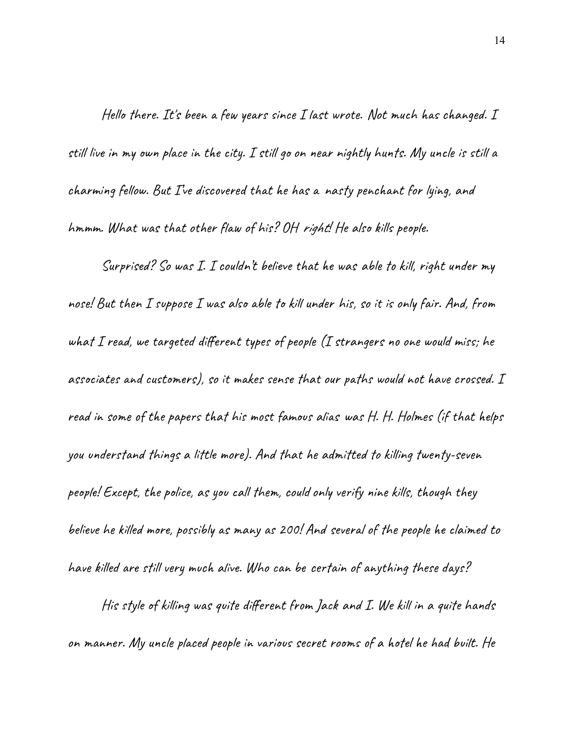Hello there. It's been a few years since I last wrote. Not much has changed. I still live in my own place in the city. I still go on near nightly hunts. My uncle is still a charming fellow. But I've discovered that he has a nasty penchant for lying, and hmmm. What was that other flaw of his? OH right! He also kills people.

Surprised? So was I. I couldn't believe that he was able to kill, right under my nose! But then I suppose I was also able to kill under his, so it is only fair. And, from what I read, we targeted different types of people (I strangers no one would miss; he associates and customers), so it makes sense that our paths would not have crossed. I read in some of the papers that his most famous alias was H. H. Holmes (if that helps you understand things a little more). And that he admitted to killing twenty-seven people! Except, the police, as you call them, couldonly verify nine kills, though they believe he killed more, possibly as many as 200! And several of the people he claimed to have killed are still very much alive. Who can be certain of anything these days?

His style of killing was quite different from Jack and I. We kill in a quite hands on manner. My uncle placed people in various secret rooms of a hotel he had built. He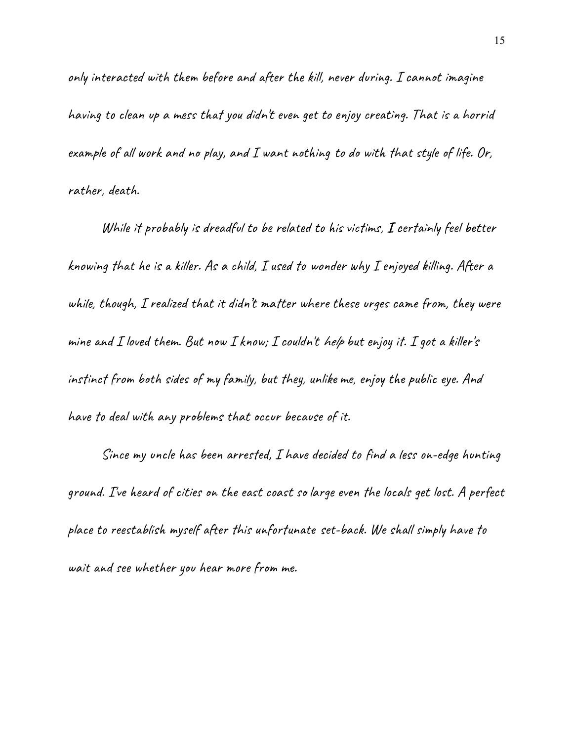only interacted with them before and after the kill, never during. I cannot imagine having to clean up a mess that you didn't even get to enjoy creating. That is a horrid example of all work and no play, and I want nothing to do with that style of life. Or, rather, death.

While it probably is dreadful to be related to his victims, **I** certainly feel better knowing that he is a killer. As a child, I used to wonder why I enjoyed killing. After a while, though, I realized that it didn't matter where these urges came from, they were mine and I loved them. But now I know; I couldn't help but enjoy it. I got a killer's instinct from both sides of my family, but they, unlike me, enjoy the public eye. And have to deal with any problems that occur because of it.

Since my uncle has been arrested, I have decided to find a less on-edge hunting ground. I've heard of cities on the east coast so large even the locals get lost. A perfect place to reestablish myself after this unfortunate set-back. We shall simply have to wait and see whether you hear more from me.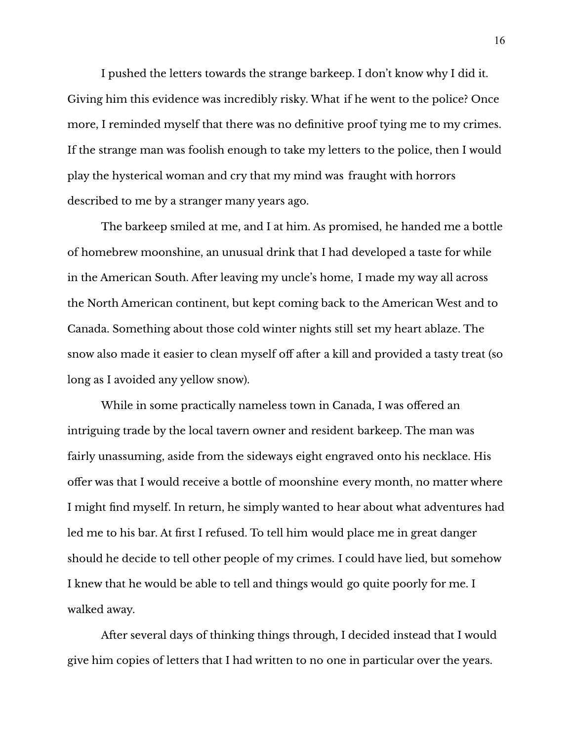I pushed the letters towards the strange barkeep. I don't know why I did it. Giving him this evidence was incredibly risky. What if he went to the police? Once more, I reminded myself that there was no definitive proof tying me to my crimes. If the strange man was foolish enough to take my letters to the police, then I would play the hysterical woman and cry that my mind was fraught with horrors described to me by a stranger many years ago.

The barkeep smiled at me, and I at him. As promised, he handed me a bottle of homebrew moonshine, an unusual drink that I had developed a taste for while in the American South. After leaving my uncle's home, I made my way all across the North American continent, but kept coming back to the American West and to Canada. Something about those cold winter nights still set my heart ablaze. The snow also made it easier to clean myself off after a kill and provided a tasty treat (so long as I avoided any yellow snow).

While in some practically nameless town in Canada, I was offered an intriguing trade by the local tavern owner and resident barkeep. The man was fairly unassuming, aside from the sideways eight engraved onto his necklace. His offer was that I would receive a bottle of moonshine every month, no matter where I might find myself. In return, he simply wanted to hear about what adventures had led me to his bar. At first I refused. To tell him would place me in great danger should he decide to tell other people of my crimes. I could have lied, but somehow I knew that he would be able to tell and things would go quite poorly for me. I walked away.

After several days of thinking things through, I decided instead that I would give him copies of letters that I had written to no one in particular over the years.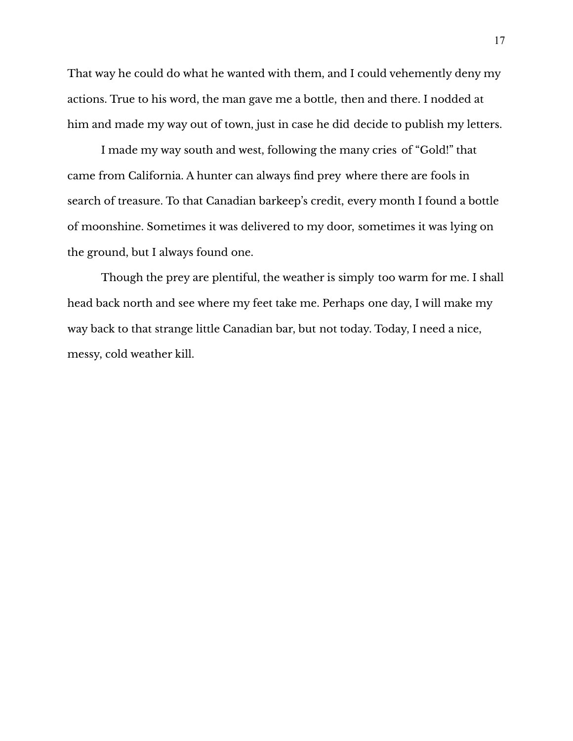That way he could do what he wanted with them, and I could vehemently deny my actions. True to his word, the man gave me a bottle, then and there. I nodded at him and made my way out of town, just in case he did decide to publish my letters.

I made my way south and west, following the many cries of "Gold!" that came from California. A hunter can always find prey where there are fools in search of treasure. To that Canadian barkeep's credit, every month I found a bottle of moonshine. Sometimes it was delivered to my door, sometimes it was lying on the ground, but I always found one.

Though the prey are plentiful, the weather is simply too warm for me. I shall head back north and see where my feet take me. Perhaps one day, I will make my way back to that strange little Canadian bar, but not today. Today, I need a nice, messy, cold weather kill.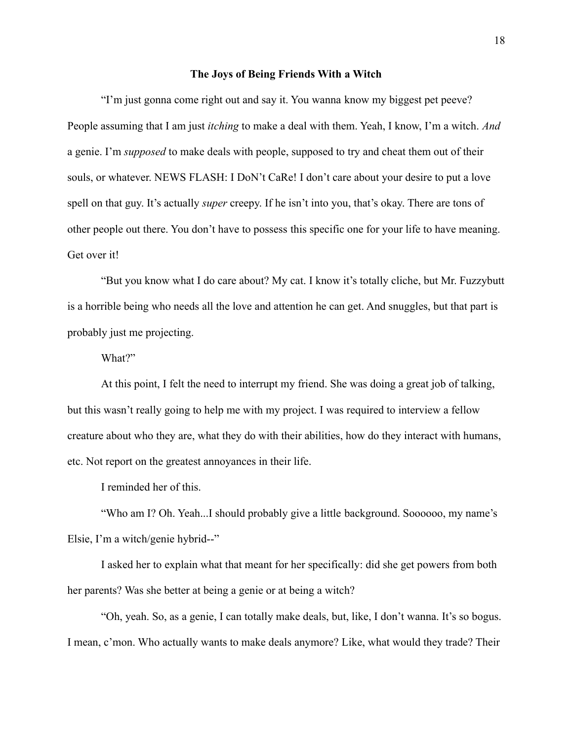### **The Joys of Being Friends With a Witch**

<span id="page-19-0"></span>"I'm just gonna come right out and say it. You wanna know my biggest pet peeve? People assuming that I am just *itching* to make a deal with them. Yeah, I know, I'm a witch. *And* a genie. I'm *supposed* to make deals with people, supposed to try and cheat them out of their souls, or whatever. NEWS FLASH: I DoN't CaRe! I don't care about your desire to put a love spell on that guy. It's actually *super* creepy. If he isn't into you, that's okay. There are tons of other people out there. You don't have to possess this specific one for your life to have meaning. Get over it!

"But you know what I do care about? My cat. I know it's totally cliche, but Mr. Fuzzybutt is a horrible being who needs all the love and attention he can get. And snuggles, but that part is probably just me projecting.

What?"

At this point, I felt the need to interrupt my friend. She was doing a great job of talking, but this wasn't really going to help me with my project. I was required to interview a fellow creature about who they are, what they do with their abilities, how do they interact with humans, etc. Not report on the greatest annoyances in their life.

I reminded her of this.

"Who am I? Oh. Yeah...I should probably give a little background. Soooooo, my name's Elsie, I'm a witch/genie hybrid--"

I asked her to explain what that meant for her specifically: did she get powers from both her parents? Was she better at being a genie or at being a witch?

"Oh, yeah. So, as a genie, I can totally make deals, but, like, I don't wanna. It's so bogus. I mean, c'mon. Who actually wants to make deals anymore? Like, what would they trade? Their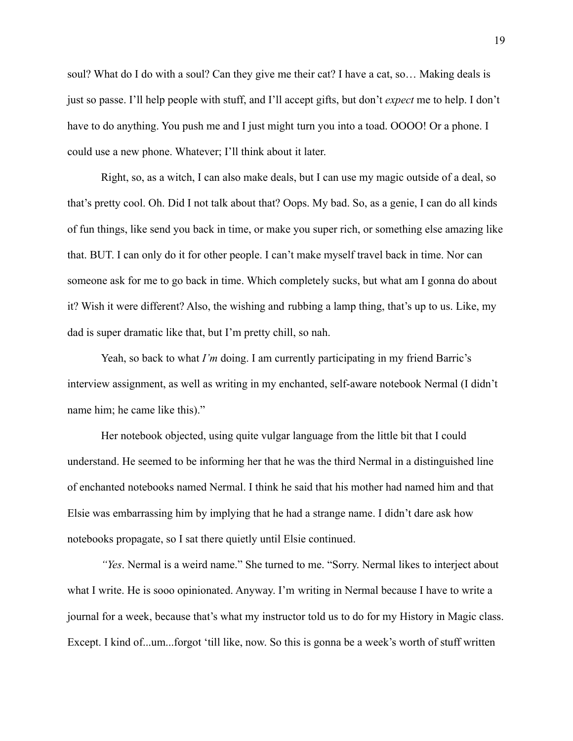soul? What do I do with a soul? Can they give me their cat? I have a cat, so… Making deals is just so passe. I'll help people with stuff, and I'll accept gifts, but don't *expect* me to help. I don't have to do anything. You push me and I just might turn you into a toad. OOOO! Or a phone. I could use a new phone. Whatever; I'll think about it later.

Right, so, as a witch, I can also make deals, but I can use my magic outside of a deal, so that's pretty cool. Oh. Did I not talk about that? Oops. My bad. So, as a genie, I can do all kinds of fun things, like send you back in time, or make you super rich, or something else amazing like that. BUT. I can only do it for other people. I can't make myself travel back in time. Nor can someone ask for me to go back in time. Which completely sucks, but what am I gonna do about it? Wish it were different? Also, the wishing and rubbing a lamp thing, that's up to us. Like, my dad is super dramatic like that, but I'm pretty chill, so nah.

Yeah, so back to what *I'm* doing. I am currently participating in my friend Barric's interview assignment, as well as writing in my enchanted, self-aware notebook Nermal (I didn't name him; he came like this)."

Her notebook objected, using quite vulgar language from the little bit that I could understand. He seemed to be informing her that he was the third Nermal in a distinguished line of enchanted notebooks named Nermal. I think he said that his mother had named him and that Elsie was embarrassing him by implying that he had a strange name. I didn't dare ask how notebooks propagate, so I sat there quietly until Elsie continued.

*"Yes*. Nermal is a weird name." She turned to me. "Sorry. Nermal likes to interject about what I write. He is sooo opinionated. Anyway. I'm writing in Nermal because I have to write a journal for a week, because that's what my instructor told us to do for my History in Magic class. Except. I kind of...um...forgot 'till like, now. So this is gonna be a week's worth of stuff written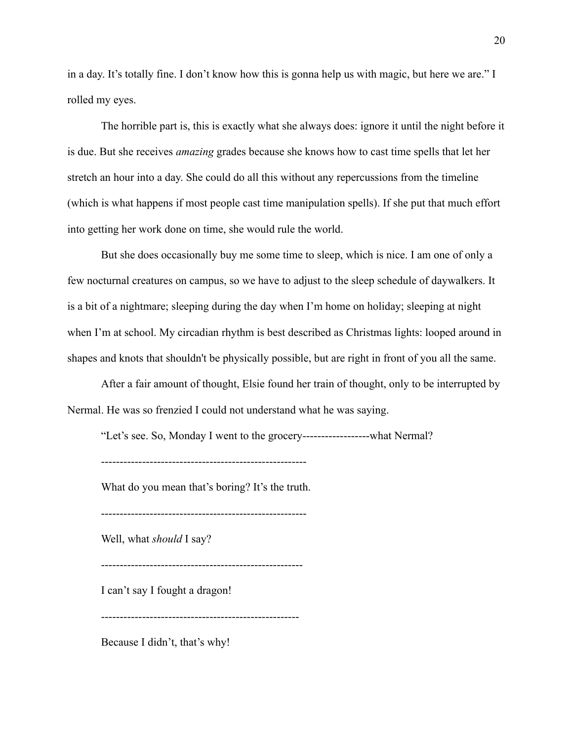in a day. It's totally fine. I don't know how this is gonna help us with magic, but here we are." I rolled my eyes.

The horrible part is, this is exactly what she always does: ignore it until the night before it is due. But she receives *amazing* grades because she knows how to cast time spells that let her stretch an hour into a day. She could do all this without any repercussions from the timeline (which is what happens if most people cast time manipulation spells). If she put that much effort into getting her work done on time, she would rule the world.

But she does occasionally buy me some time to sleep, which is nice. I am one of only a few nocturnal creatures on campus, so we have to adjust to the sleep schedule of daywalkers. It is a bit of a nightmare; sleeping during the day when I'm home on holiday; sleeping at night when I'm at school. My circadian rhythm is best described as Christmas lights: looped around in shapes and knots that shouldn't be physically possible, but are right in front of you all the same.

After a fair amount of thought, Elsie found her train of thought, only to be interrupted by Nermal. He was so frenzied I could not understand what he was saying.

"Let's see. So, Monday I went to the grocery------------------what Nermal?

-------------------------------------------------------

What do you mean that's boring? It's the truth.

-------------------------------------------------------

Well, what *should* I say?

------------------------------------------------------

I can't say I fought a dragon!

-----------------------------------------------------

Because I didn't, that's why!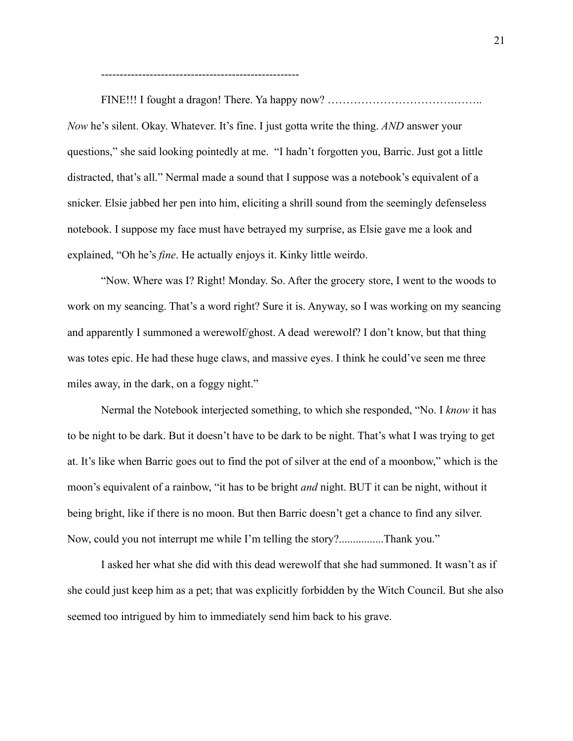-----------------------------------------------------

FINE!!! I fought a dragon! There. Ya happy now? …………………………….…….. *Now* he's silent. Okay. Whatever. It's fine. I just gotta write the thing. *AND* answer your questions," she said looking pointedly at me. "I hadn't forgotten you, Barric. Just got a little distracted, that's all." Nermal made a sound that I suppose was a notebook's equivalent of a snicker. Elsie jabbed her pen into him, eliciting a shrill sound from the seemingly defenseless notebook. I suppose my face must have betrayed my surprise, as Elsie gave me a look and explained, "Oh he's *fine*. He actually enjoys it. Kinky little weirdo.

"Now. Where was I? Right! Monday. So. After the grocery store, I went to the woods to work on my seancing. That's a word right? Sure it is. Anyway, so I was working on my seancing and apparently I summoned a werewolf/ghost. A dead werewolf? I don't know, but that thing was totes epic. He had these huge claws, and massive eyes. I think he could've seen me three miles away, in the dark, on a foggy night."

Nermal the Notebook interjected something, to which she responded, "No. I *know* it has to be night to be dark. But it doesn't have to be dark to be night. That's what I was trying to get at. It's like when Barric goes out to find the pot of silver at the end of a moonbow," which is the moon's equivalent of a rainbow, "it has to be bright *and* night. BUT it can be night, without it being bright, like if there is no moon. But then Barric doesn't get a chance to find any silver. Now, could you not interrupt me while I'm telling the story?................Thank you."

I asked her what she did with this dead werewolf that she had summoned. It wasn't as if she could just keep him as a pet; that was explicitly forbidden by the Witch Council. But she also seemed too intrigued by him to immediately send him back to his grave.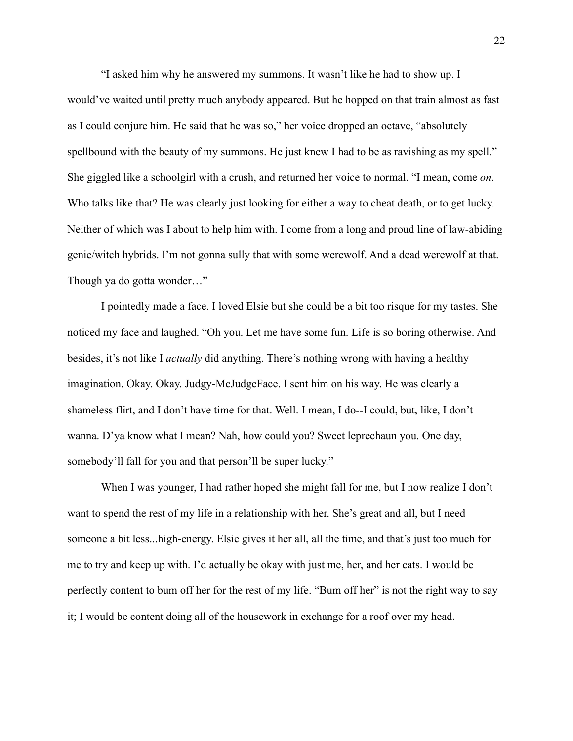"I asked him why he answered my summons. It wasn't like he had to show up. I would've waited until pretty much anybody appeared. But he hopped on that train almost as fast as I could conjure him. He said that he was so," her voice dropped an octave, "absolutely spellbound with the beauty of my summons. He just knew I had to be as ravishing as my spell." She giggled like a schoolgirl with a crush, and returned her voice to normal. "I mean, come *on*. Who talks like that? He was clearly just looking for either a way to cheat death, or to get lucky. Neither of which was I about to help him with. I come from a long and proud line of law-abiding genie/witch hybrids. I'm not gonna sully that with some werewolf. And a dead werewolf at that. Though ya do gotta wonder…"

I pointedly made a face. I loved Elsie but she could be a bit too risque for my tastes. She noticed my face and laughed. "Oh you. Let me have some fun. Life is so boring otherwise. And besides, it's not like I *actually* did anything. There's nothing wrong with having a healthy imagination. Okay. Okay. Judgy-McJudgeFace. I sent him on his way. He was clearly a shameless flirt, and I don't have time for that. Well. I mean, I do--I could, but, like, I don't wanna. D'ya know what I mean? Nah, how could you? Sweet leprechaun you. One day, somebody'll fall for you and that person'll be super lucky."

When I was younger, I had rather hoped she might fall for me, but I now realize I don't want to spend the rest of my life in a relationship with her. She's great and all, but I need someone a bit less...high-energy. Elsie gives it her all, all the time, and that's just too much for me to try and keep up with. I'd actually be okay with just me, her, and her cats. I would be perfectly content to bum off her for the rest of my life. "Bum off her" is not the right way to say it; I would be content doing all of the housework in exchange for a roof over my head.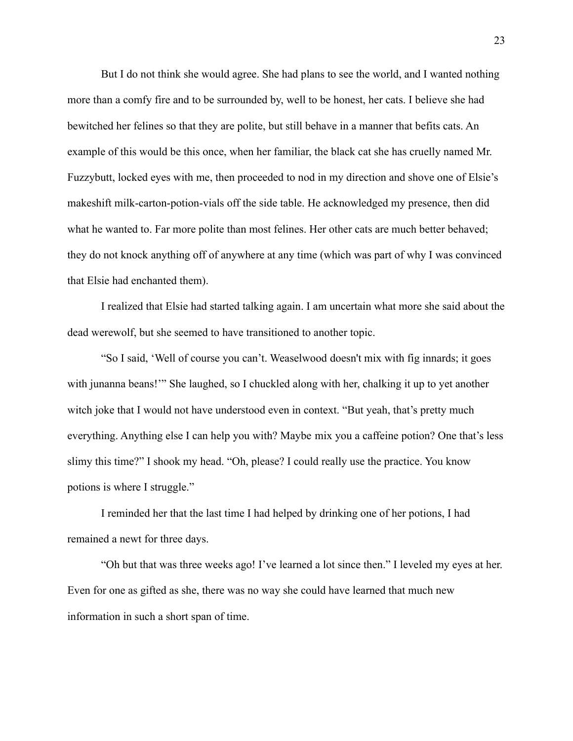But I do not think she would agree. She had plans to see the world, and I wanted nothing more than a comfy fire and to be surrounded by, well to be honest, her cats. I believe she had bewitched her felines so that they are polite, but still behave in a manner that befits cats. An example of this would be this once, when her familiar, the black cat she has cruelly named Mr. Fuzzybutt, locked eyes with me, then proceeded to nod in my direction and shove one of Elsie's makeshift milk-carton-potion-vials off the side table. He acknowledged my presence, then did what he wanted to. Far more polite than most felines. Her other cats are much better behaved; they do not knock anything off of anywhere at any time (which was part of why I was convinced that Elsie had enchanted them).

I realized that Elsie had started talking again. I am uncertain what more she said about the dead werewolf, but she seemed to have transitioned to another topic.

"So I said, 'Well of course you can't. Weaselwood doesn't mix with fig innards; it goes with junanna beans!" She laughed, so I chuckled along with her, chalking it up to yet another witch joke that I would not have understood even in context. "But yeah, that's pretty much everything. Anything else I can help you with? Maybe mix you a caffeine potion? One that's less slimy this time?" I shook my head. "Oh, please? I could really use the practice. You know potions is where I struggle."

I reminded her that the last time I had helped by drinking one of her potions, I had remained a newt for three days.

"Oh but that was three weeks ago! I've learned a lot since then." I leveled my eyes at her. Even for one as gifted as she, there was no way she could have learned that much new information in such a short span of time.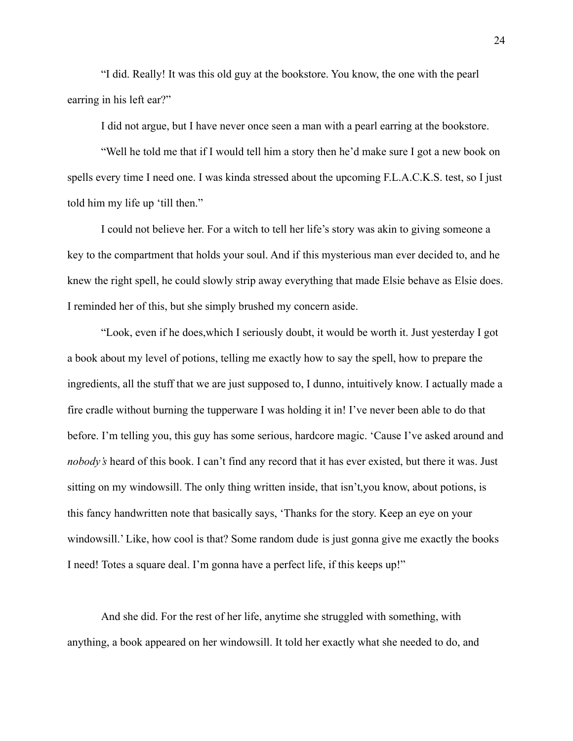"I did. Really! It was this old guy at the bookstore. You know, the one with the pearl earring in his left ear?"

I did not argue, but I have never once seen a man with a pearl earring at the bookstore.

"Well he told me that if I would tell him a story then he'd make sure I got a new book on spells every time I need one. I was kinda stressed about the upcoming F.L.A.C.K.S. test, so I just told him my life up 'till then."

I could not believe her. For a witch to tell her life's story was akin to giving someone a key to the compartment that holds your soul. And if this mysterious man ever decided to, and he knew the right spell, he could slowly strip away everything that made Elsie behave as Elsie does. I reminded her of this, but she simply brushed my concern aside.

"Look, even if he does,which I seriously doubt, it would be worth it. Just yesterday I got a book about my level of potions, telling me exactly how to say the spell, how to prepare the ingredients, all the stuff that we are just supposed to, I dunno, intuitively know. I actually made a fire cradle without burning the tupperware I was holding it in! I've never been able to do that before. I'm telling you, this guy has some serious, hardcore magic. 'Cause I've asked around and *nobody's* heard of this book. I can't find any record that it has ever existed, but there it was. Just sitting on my windowsill. The only thing written inside, that isn't,you know, about potions, is this fancy handwritten note that basically says, 'Thanks for the story. Keep an eye on your windowsill.' Like, how cool is that? Some random dude is just gonna give me exactly the books I need! Totes a square deal. I'm gonna have a perfect life, if this keeps up!"

And she did. For the rest of her life, anytime she struggled with something, with anything, a book appeared on her windowsill. It told her exactly what she needed to do, and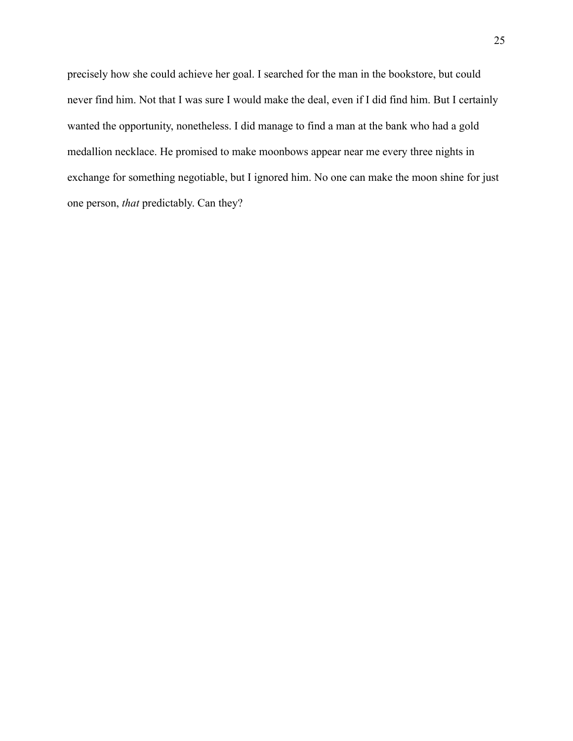precisely how she could achieve her goal. I searched for the man in the bookstore, but could never find him. Not that I was sure I would make the deal, even if I did find him. But I certainly wanted the opportunity, nonetheless. I did manage to find a man at the bank who had a gold medallion necklace. He promised to make moonbows appear near me every three nights in exchange for something negotiable, but I ignored him. No one can make the moon shine for just one person, *that* predictably. Can they?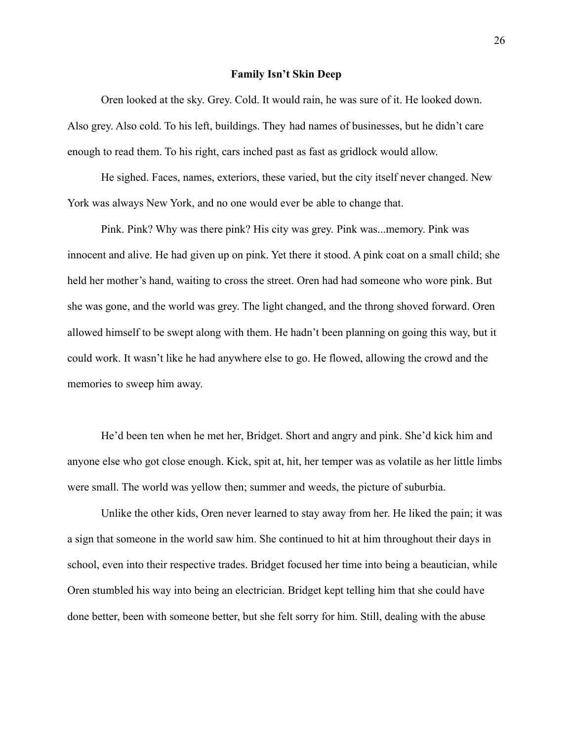#### **Family Isn't Skin Deep**

<span id="page-27-0"></span>Oren looked at the sky. Grey. Cold. It would rain, he was sure of it. He looked down. Also grey. Also cold. To his left, buildings. They had names of businesses, but he didn't care enough to read them. To his right, cars inched past as fast as gridlock would allow.

He sighed. Faces, names, exteriors, these varied, but the city itself never changed. New York was always New York, and no one would ever be able to change that.

Pink. Pink? Why was there pink? His city was grey. Pink was...memory. Pink was innocent and alive. He had given up on pink. Yet there it stood. A pink coat on a small child; she held her mother's hand, waiting to cross the street. Oren had had someone who wore pink. But she was gone, and the world was grey. The light changed, and the throng shoved forward. Oren allowed himself to be swept along with them. He hadn't been planning on going this way, but it could work. It wasn't like he had anywhere else to go. He flowed, allowing the crowd and the memories to sweep him away.

He'd been ten when he met her, Bridget. Short and angry and pink. She'd kick him and anyone else who got close enough. Kick, spit at, hit, her temper was as volatile as her little limbs were small. The world was yellow then; summer and weeds, the picture of suburbia.

Unlike the other kids, Oren never learned to stay away from her. He liked the pain; it was a sign that someone in the world saw him. She continued to hit at him throughout their days in school, even into their respective trades. Bridget focused her time into being a beautician, while Oren stumbled his way into being an electrician. Bridget kept telling him that she could have done better, been with someone better, but she felt sorry for him. Still, dealing with the abuse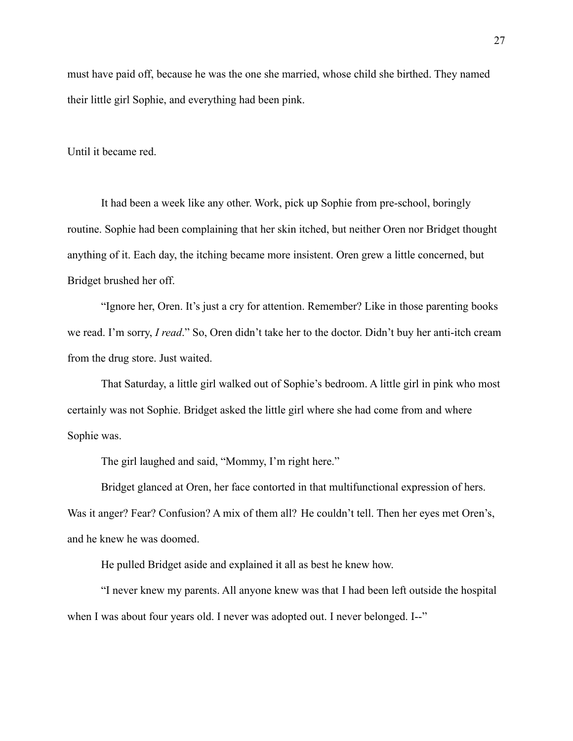must have paid off, because he was the one she married, whose child she birthed. They named their little girl Sophie, and everything had been pink.

Until it became red.

It had been a week like any other. Work, pick up Sophie from pre-school, boringly routine. Sophie had been complaining that her skin itched, but neither Oren nor Bridget thought anything of it. Each day, the itching became more insistent. Oren grew a little concerned, but Bridget brushed her off.

"Ignore her, Oren. It's just a cry for attention. Remember? Like in those parenting books we read. I'm sorry, *I read*." So, Oren didn't take her to the doctor. Didn't buy her anti-itch cream from the drug store. Just waited.

That Saturday, a little girl walked out of Sophie's bedroom. A little girl in pink who most certainly was not Sophie. Bridget asked the little girl where she had come from and where Sophie was.

The girl laughed and said, "Mommy, I'm right here."

Bridget glanced at Oren, her face contorted in that multifunctional expression of hers. Was it anger? Fear? Confusion? A mix of them all? He couldn't tell. Then her eyes met Oren's, and he knew he was doomed.

He pulled Bridget aside and explained it all as best he knew how.

"I never knew my parents. All anyone knew was that I had been left outside the hospital when I was about four years old. I never was adopted out. I never belonged. I--"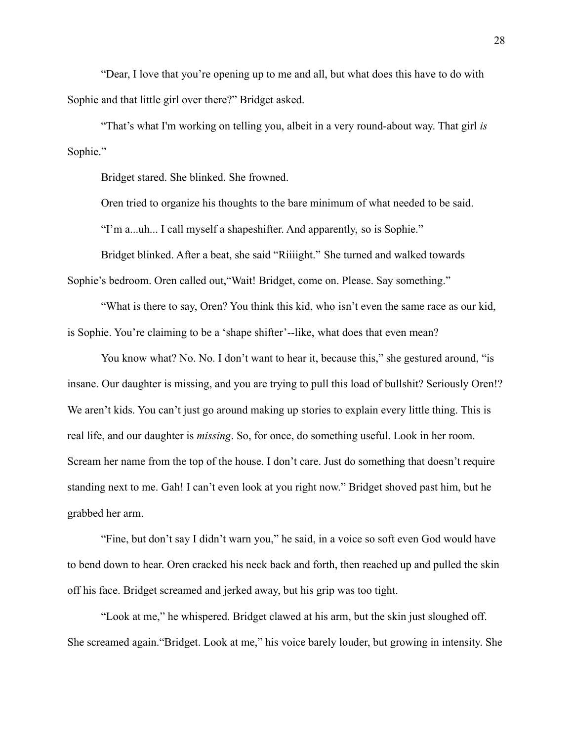"Dear, I love that you're opening up to me and all, but what does this have to do with Sophie and that little girl over there?" Bridget asked.

"That's what I'm working on telling you, albeit in a very round-about way. That girl *is* Sophie."

Bridget stared. She blinked. She frowned.

Oren tried to organize his thoughts to the bare minimum of what needed to be said.

"I'm a...uh... I call myself a shapeshifter. And apparently, so is Sophie."

Bridget blinked. After a beat, she said "Riiiight." She turned and walked towards Sophie's bedroom. Oren called out,"Wait! Bridget, come on. Please. Say something."

"What is there to say, Oren? You think this kid, who isn't even the same race as our kid, is Sophie. You're claiming to be a 'shape shifter'--like, what does that even mean?

You know what? No. No. I don't want to hear it, because this," she gestured around, "is insane. Our daughter is missing, and you are trying to pull this load of bullshit? Seriously Oren!? We aren't kids. You can't just go around making up stories to explain every little thing. This is real life, and our daughter is *missing*. So, for once, do something useful. Look in her room. Scream her name from the top of the house. I don't care. Just do something that doesn't require standing next to me. Gah! I can't even look at you right now." Bridget shoved past him, but he grabbed her arm.

"Fine, but don't say I didn't warn you," he said, in a voice so soft even God would have to bend down to hear. Oren cracked his neck back and forth, then reached up and pulled the skin off his face. Bridget screamed and jerked away, but his grip was too tight.

"Look at me," he whispered. Bridget clawed at his arm, but the skin just sloughed off. She screamed again."Bridget. Look at me," his voice barely louder, but growing in intensity. She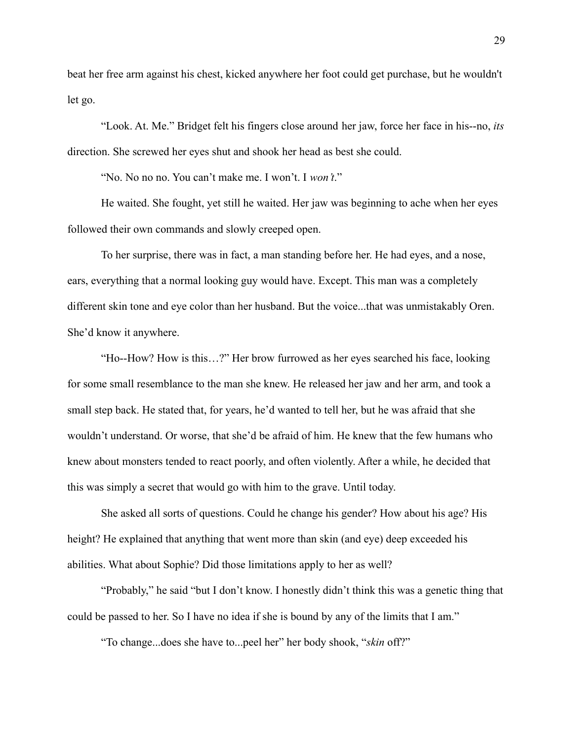beat her free arm against his chest, kicked anywhere her foot could get purchase, but he wouldn't let go.

"Look. At. Me." Bridget felt his fingers close around her jaw, force her face in his--no, *its* direction. She screwed her eyes shut and shook her head as best she could.

"No. No no no. You can't make me. I won't. I *won't*."

He waited. She fought, yet still he waited. Her jaw was beginning to ache when her eyes followed their own commands and slowly creeped open.

To her surprise, there was in fact, a man standing before her. He had eyes, and a nose, ears, everything that a normal looking guy would have. Except. This man was a completely different skin tone and eye color than her husband. But the voice...that was unmistakably Oren. She'd know it anywhere.

"Ho--How? How is this…?" Her brow furrowed as her eyes searched his face, looking for some small resemblance to the man she knew. He released her jaw and her arm, and took a small step back. He stated that, for years, he'd wanted to tell her, but he was afraid that she wouldn't understand. Or worse, that she'd be afraid of him. He knew that the few humans who knew about monsters tended to react poorly, and often violently. After a while, he decided that this was simply a secret that would go with him to the grave. Until today.

She asked all sorts of questions. Could he change his gender? How about his age? His height? He explained that anything that went more than skin (and eye) deep exceeded his abilities. What about Sophie? Did those limitations apply to her as well?

"Probably," he said "but I don't know. I honestly didn't think this was a genetic thing that could be passed to her. So I have no idea if she is bound by any of the limits that I am."

"To change...does she have to...peel her" her body shook, "*skin* off?"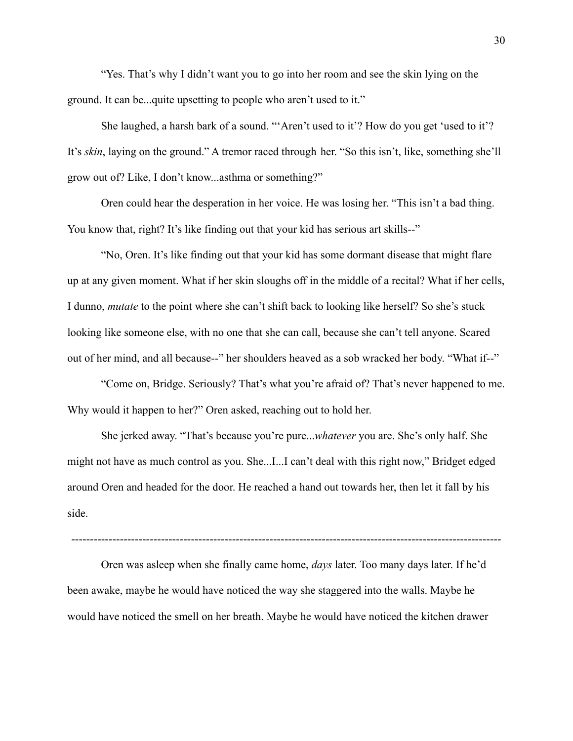"Yes. That's why I didn't want you to go into her room and see the skin lying on the ground. It can be...quite upsetting to people who aren't used to it."

She laughed, a harsh bark of a sound. "'Aren't used to it'? How do you get 'used to it'? It's *skin*, laying on the ground." A tremor raced through her. "So this isn't, like, something she'll grow out of? Like, I don't know...asthma or something?"

Oren could hear the desperation in her voice. He was losing her. "This isn't a bad thing. You know that, right? It's like finding out that your kid has serious art skills--"

"No, Oren. It's like finding out that your kid has some dormant disease that might flare up at any given moment. What if her skin sloughs off in the middle of a recital? What if her cells, I dunno, *mutate* to the point where she can't shift back to looking like herself? So she's stuck looking like someone else, with no one that she can call, because she can't tell anyone. Scared out of her mind, and all because--" her shoulders heaved as a sob wracked her body. "What if--"

"Come on, Bridge. Seriously? That's what you're afraid of? That's never happened to me. Why would it happen to her?" Oren asked, reaching out to hold her.

She jerked away. "That's because you're pure...*whatever* you are. She's only half. She might not have as much control as you. She...I...I can't deal with this right now," Bridget edged around Oren and headed for the door. He reached a hand out towards her, then let it fall by his side.

-------------------------------------------------------------------------------------------------------------------

Oren was asleep when she finally came home, *days* later. Too many days later. If he'd been awake, maybe he would have noticed the way she staggered into the walls. Maybe he would have noticed the smell on her breath. Maybe he would have noticed the kitchen drawer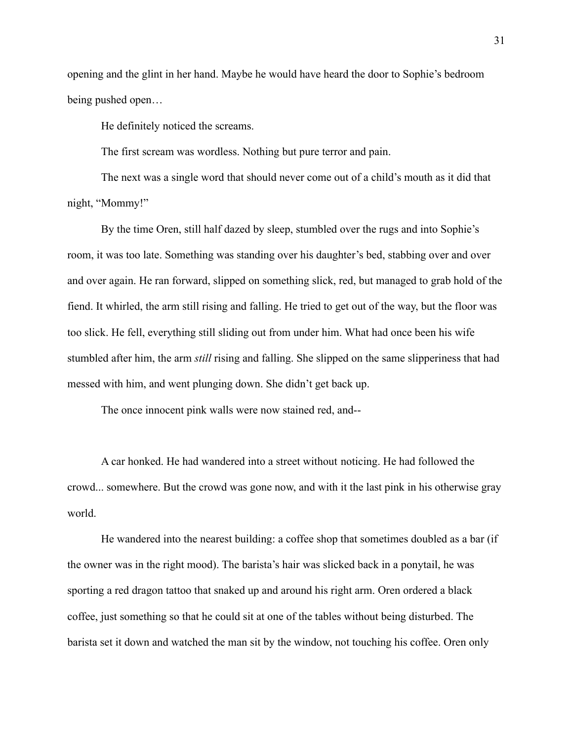opening and the glint in her hand. Maybe he would have heard the door to Sophie's bedroom being pushed open…

He definitely noticed the screams.

The first scream was wordless. Nothing but pure terror and pain.

The next was a single word that should never come out of a child's mouth as it did that night, "Mommy!"

By the time Oren, still half dazed by sleep, stumbled over the rugs and into Sophie's room, it was too late. Something was standing over his daughter's bed, stabbing over and over and over again. He ran forward, slipped on something slick, red, but managed to grab hold of the fiend. It whirled, the arm still rising and falling. He tried to get out of the way, but the floor was too slick. He fell, everything still sliding out from under him. What had once been his wife stumbled after him, the arm *still* rising and falling. She slipped on the same slipperiness that had messed with him, and went plunging down. She didn't get back up.

The once innocent pink walls were now stained red, and--

A car honked. He had wandered into a street without noticing. He had followed the crowd... somewhere. But the crowd was gone now, and with it the last pink in his otherwise gray world.

He wandered into the nearest building: a coffee shop that sometimes doubled as a bar (if the owner was in the right mood). The barista's hair was slicked back in a ponytail, he was sporting a red dragon tattoo that snaked up and around his right arm. Oren ordered a black coffee, just something so that he could sit at one of the tables without being disturbed. The barista set it down and watched the man sit by the window, not touching his coffee. Oren only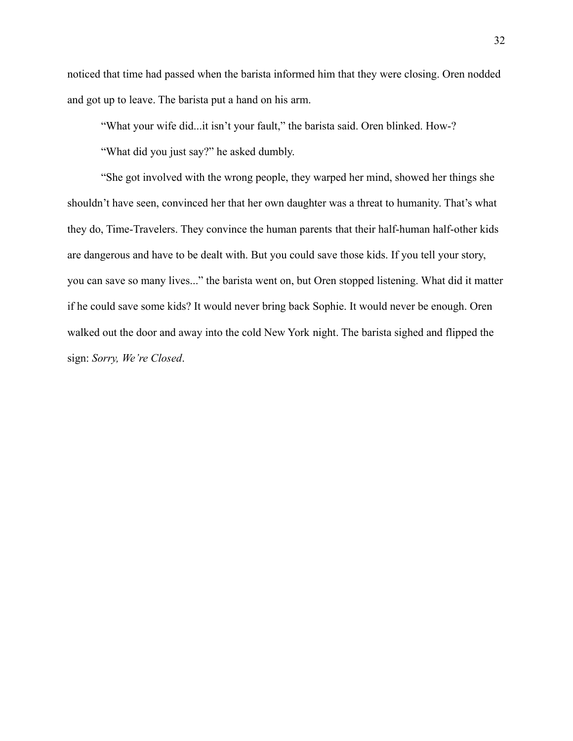noticed that time had passed when the barista informed him that they were closing. Oren nodded and got up to leave. The barista put a hand on his arm.

"What your wife did...it isn't your fault," the barista said. Oren blinked. How-?

"What did you just say?" he asked dumbly.

"She got involved with the wrong people, they warped her mind, showed her things she shouldn't have seen, convinced her that her own daughter was a threat to humanity. That's what they do, Time-Travelers. They convince the human parents that their half-human half-other kids are dangerous and have to be dealt with. But you could save those kids. If you tell your story, you can save so many lives..." the barista went on, but Oren stopped listening. What did it matter if he could save some kids? It would never bring back Sophie. It would never be enough. Oren walked out the door and away into the cold New York night. The barista sighed and flipped the sign: *Sorry, We're Closed*.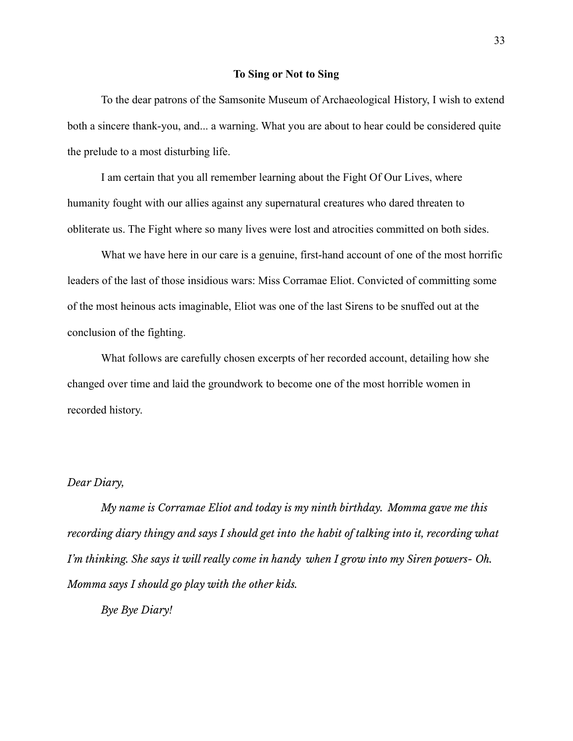#### **To Sing or Not to Sing**

<span id="page-34-0"></span>To the dear patrons of the Samsonite Museum of Archaeological History, I wish to extend both a sincere thank-you, and... a warning. What you are about to hear could be considered quite the prelude to a most disturbing life.

I am certain that you all remember learning about the Fight Of Our Lives, where humanity fought with our allies against any supernatural creatures who dared threaten to obliterate us. The Fight where so many lives were lost and atrocities committed on both sides.

What we have here in our care is a genuine, first-hand account of one of the most horrific leaders of the last of those insidious wars: Miss Corramae Eliot. Convicted of committing some of the most heinous acts imaginable, Eliot was one of the last Sirens to be snuffed out at the conclusion of the fighting.

What follows are carefully chosen excerpts of her recorded account, detailing how she changed over time and laid the groundwork to become one of the most horrible women in recorded history.

### *Dear Diary,*

*My name is Corramae Eliot and today is my ninth birthday. Momma gave me this recording diary thingy and says I should get into the habit of talking into it, recording what I'm thinking. She says it will really come in handy when I grow into my Siren powers- Oh. Momma says I should go play with the other kids.*

*Bye Bye Diary!*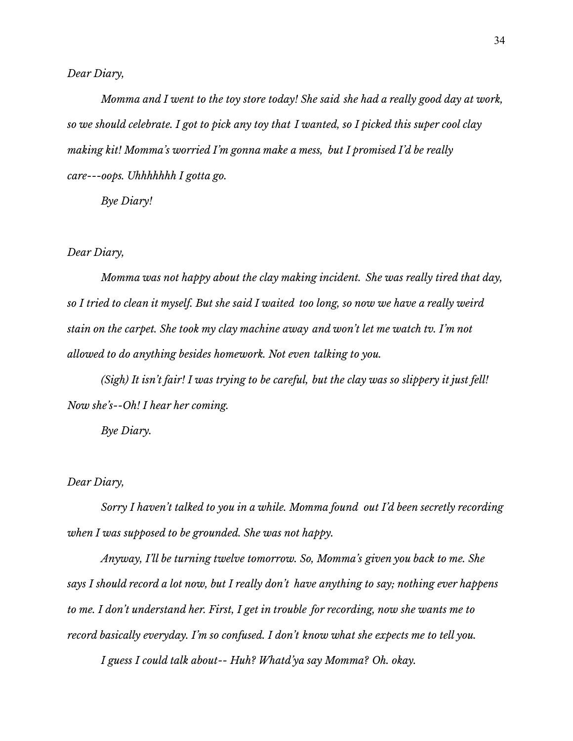*Dear Diary,*

*Momma and I went to the toy store today! She said she had a really good day at work,* so we should celebrate. I got to pick any toy that I wanted, so I picked this super cool clay *making kit! Momma's worried I'm gonna make a mess, but I promised I'd be really care---oops. Uhhhhhhh I gotta go.*

*Bye Diary!*

### *Dear Diary,*

*Momma was not happy about the clay making incident. She was really tired that day,* so I tried to clean it myself. But she said I waited too long, so now we have a really weird *stain on the carpet. She took my clay machine away and won't let me watch tv. I'm not allowed to do anything besides homework. Not even talking to you.*

(Sigh) It isn't fair! I was trying to be careful, but the clay was so slippery it just fell! *Now she's--Oh! I hear her coming.*

*Bye Diary.*

### *Dear Diary,*

*Sorry I haven't talked to you in a while. Momma found out I'd been secretly recording when I was supposed to be grounded. She was not happy.*

*Anyway, I'll be turning twelve tomorrow. So, Momma's given you back to me. She says I should record a lot now, but I really don't have anything to say; nothing ever happens to me. I don't understand her. First, I get in trouble for recording, now she wants me to record basically everyday. I'm so confused. I don't know what she expects me to tell you.*

*I guess I could talk about-- Huh? Whatd'ya say Momma? Oh. okay.*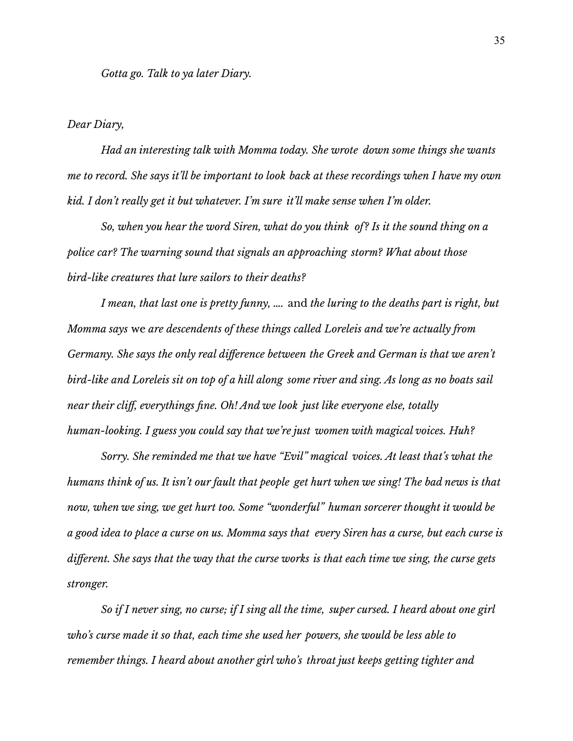### *Dear Diary,*

*Had an interesting talk with Momma today. She wrote down some things she wants* me to record. She says it'll be important to look back at these recordings when I have my own *kid. I don't really get it but whatever. I'm sure it'll make sense when I'm older.*

*So, when you hear the word Siren, what do you think of? Is it the sound thing on a police car? The warning sound that signals an approaching storm? What about those bird-like creatures that lure sailors to their deaths?*

*I mean, that last one is pretty funny, ….* and *the luring to the deaths part is right, but Momma says* we *are descendents of these things called Loreleis and we're actually from Germany. She says the only real difference between the Greek and German is that we aren't* bird-like and Loreleis sit on top of a hill along some river and sing. As long as no boats sail *near their cliff, everythings fine. Oh! And we look just like everyone else, totally human-looking. I guess you could say that we're just women with magical voices. Huh?*

*Sorry. She reminded me that we have "Evil" magical voices. At least that's what the* humans think of us. It isn't our fault that people get hurt when we sing! The bad news is that *now, when we sing, we get hurt too. Some "wonderful" human sorcerer thought it would be* a good idea to place a curse on us. Momma says that every Siren has a curse, but each curse is different. She says that the way that the curse works is that each time we sing, the curse gets *stronger.*

So if I never sing, no curse; if I sing all the time, super cursed. I heard about one girl *who's curse made it so that, each time she used her powers, she would be less able to remember things. I heard about another girl who's throat just keeps getting tighter and*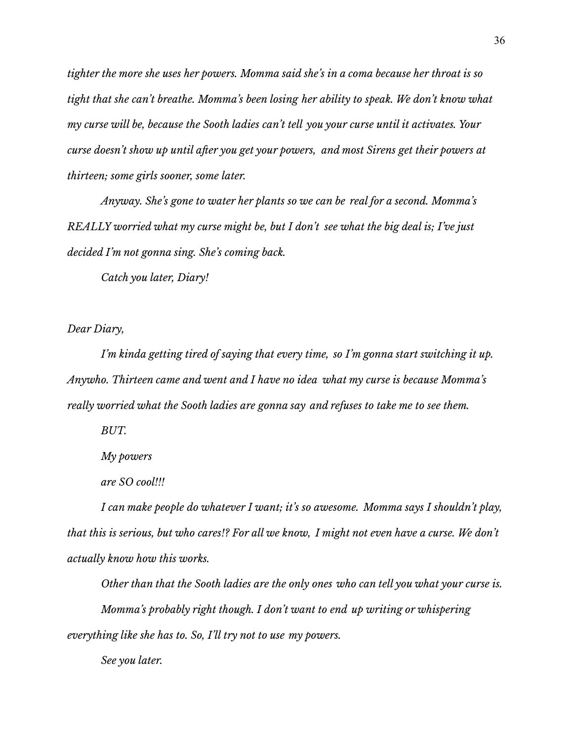*tighter the more she uses her powers. Momma said she's in a coma because her throat is so tight that she can't breathe. Momma's been losing her ability to speak. We don't know what my curse will be, because the Sooth ladies can't tell you your curse until it activates. Your curse doesn't show up until after you get your powers, and most Sirens get their powers at thirteen; some girls sooner, some later.*

*Anyway. She's gone to water her plants so we can be real for a second. Momma's REALLY worried what my curse might be, but I don't see what the big deal is; I've just decided I'm not gonna sing. She's coming back.*

*Catch you later, Diary!*

*Dear Diary,*

*I'm kinda getting tired of saying that every time, so I'm gonna start switching it up. Anywho. Thirteen came and went and I have no idea what my curse is because Momma's really worried what the Sooth ladies are gonna say and refuses to take me to see them.*

*BUT.*

*My powers*

*are SO cool!!!*

*I can make people do whatever I want; it's so awesome. Momma says I shouldn't play,* that this is serious, but who cares!? For all we know, I might not even have a curse. We don't *actually know how this works.*

*Other than that the Sooth ladies are the only ones who can tell you what your curse is. Momma's probably right though. I don't want to end up writing or whispering everything like she has to. So, I'll try not to use my powers.*

*See you later.*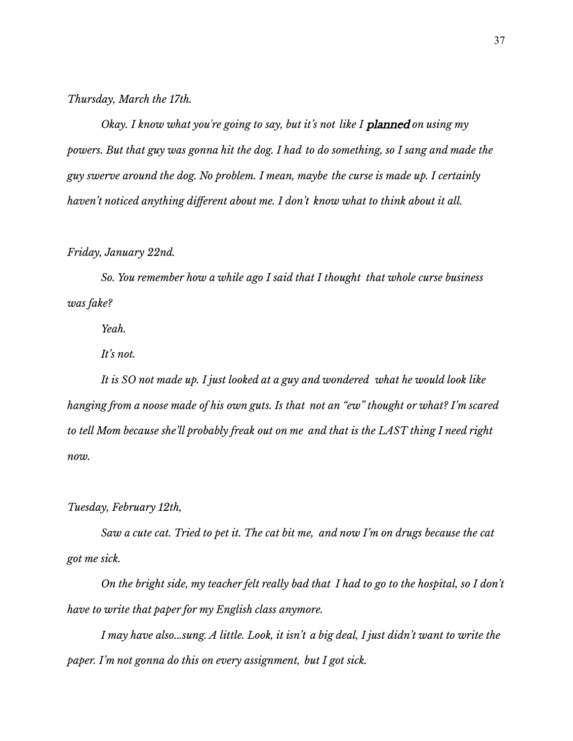# *Thursday, March the 17th.*

*Okay. I know what you're going to say, but it's not like I* planned *on using my* powers. But that guy was gonna hit the dog. I had to do something, so I sang and made the *guy swerve around the dog. No problem. I mean, maybe the curse is made up. I certainly haven't noticed anything different about me. I don't know what to think about it all.*

# *Friday, January 22nd.*

*So. You remember how a while ago I said that I thought that whole curse business was fake?*

*Yeah.*

*It's not.*

*It is SO not made up. I just looked at a guy and wondered what he would look like hanging from a noose made of his own guts. Is that not an "ew" thought or what? I'm scared to tell Mom because she'll probably freak out on me and that is the LAST thing I need right now.*

# *Tuesday, February 12th,*

Saw a cute cat. Tried to pet it. The cat bit me, and now I'm on drugs because the cat *got me sick.*

On the bright side, my teacher felt really bad that I had to go to the hospital, so I don't *have to write that paper for my English class anymore.*

I may have also...sung. A little. Look, it isn't a big deal, I just didn't want to write the *paper. I'm not gonna do this on every assignment, but I got sick.*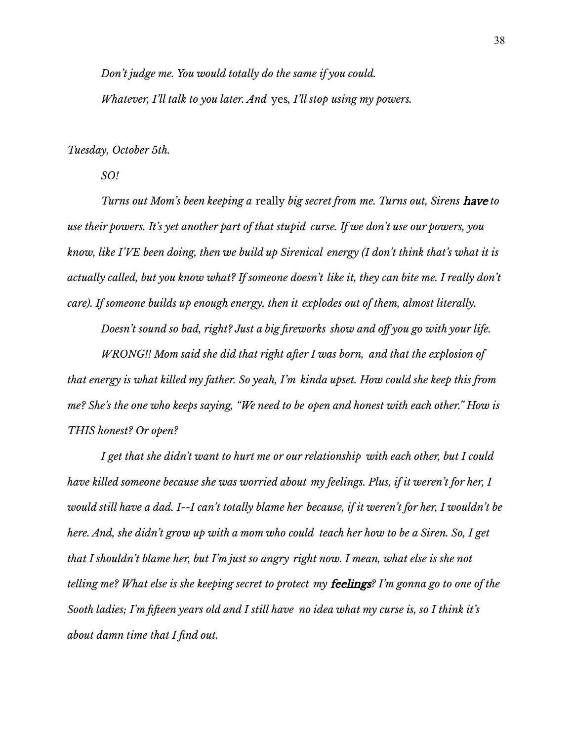*Don't judge me. You would totally do the same if you could. Whatever, I'll talk to you later. And* yes*, I'll stop using my powers.*

### *Tuesday, October 5th.*

*SO!*

*Turns out Mom's been keeping a* really *big secret from me. Turns out, Sirens* have *to use their powers. It's yet another part of that stupid curse. If we don't use our powers, you know, like I'VE been doing, then we build up Sirenical energy (I don't think that's what it is actually called, but you know what? If someone doesn't like it, they can bite me. I really don't care). If someone builds up enough energy, then it explodes out of them, almost literally.*

*Doesn't sound so bad, right? Just a big fireworks show and off you go with your life. WRONG!! Mom said she did that right after I was born, and that the explosion of*

*that energy is what killed my father. So yeah, I'm kinda upset. How could she keep this from me? She's the one who keeps saying, "We need to be open and honest with each other." How is THIS honest? Or open?*

*I get that she didn't want to hurt me or our relationship with each other, but I could have killed someone because she was worried about my feelings. Plus, if it weren't for her, I* would still have a dad. I--I can't totally blame her because, if it weren't for her, I wouldn't be here. And, she didn't grow up with a mom who could teach her how to be a Siren. So, I get *that I shouldn't blame her, but I'm just so angry right now. I mean, what else is she not* telling me? What else is she keeping secret to protect my **feelings**? I'm gonna go to one of the Sooth ladies; I'm fifteen years old and I still have no idea what my curse is, so I think it's *about damn time that I find out.*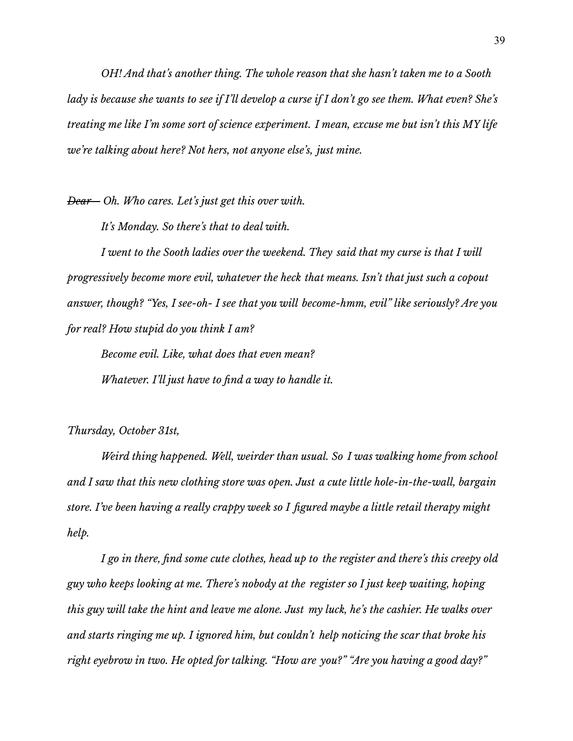*OH! And that's another thing. The whole reason that she hasn't taken me to a Sooth* lady is because she wants to see if I'll develop a curse if I don't go see them. What even? She's *treating me like I'm some sort of science experiment. I mean, excuse me but isn't this MY life we're talking about here? Not hers, not anyone else's, just mine.*

*Dear-- Oh. Who cares. Let's just get this over with.*

*It's Monday. So there's that to deal with.*

*I went to the Sooth ladies over the weekend. They said that my curse is that I will progressively become more evil, whatever the heck that means. Isn't that just such a copout answer, though? "Yes, I see-oh- I see that you will become-hmm, evil" like seriously? Are you for real? How stupid do you think I am?*

*Become evil. Like, what does that even mean? Whatever. I'll just have to find a way to handle it.*

*Thursday, October 31st,*

*Weird thing happened. Well, weirder than usual. So I was walking home from school and I saw that this new clothing store was open. Just a cute little hole-in-the-wall, bargain store. I've been having a really crappy week so I figured maybe a little retail therapy might help.*

*I go in there, find some cute clothes, head up to the register and there's this creepy old guy who keeps looking at me. There's nobody at the register so I just keep waiting, hoping* this guy will take the hint and leave me alone. Just my luck, he's the cashier. He walks over *and starts ringing me up. I ignored him, but couldn't help noticing the scar that broke his right eyebrow in two. He opted for talking. "How are you?" "Are you having a good day?"*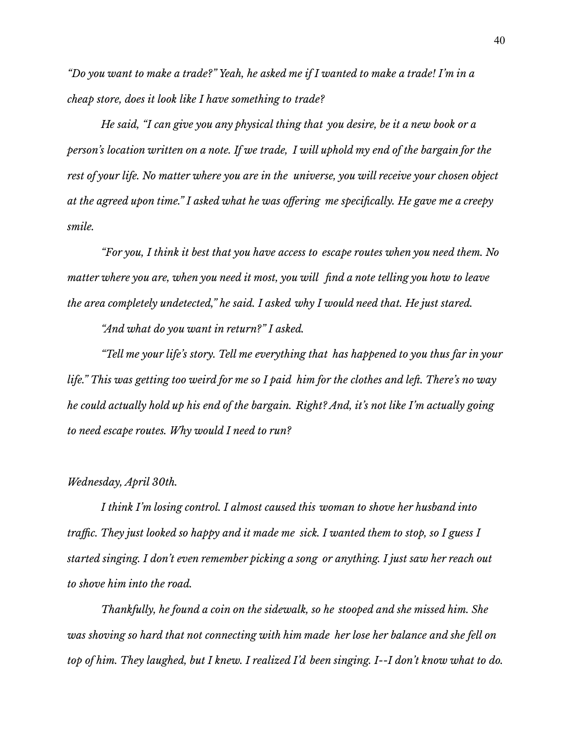"Do you want to make a trade?" Yeah, he asked me if I wanted to make a trade! I'm in a *cheap store, does it look like I have something to trade?*

*He said, "I can give you any physical thing that you desire, be it a new book or a* person's location written on a note. If we trade, I will uphold my end of the bargain for the *rest of your life. No matter where you are in the universe, you will receive your chosen object at the agreed upon time." I asked what he was offering me specifically. He gave me a creepy smile.*

*"For you, I think it best that you have access to escape routes when you need them. No matter where you are, when you need it most, you will find a note telling you how to leave the area completely undetected," he said. I asked why I would need that. He just stared.*

*"And what do you want in return?" I asked.*

*"Tell me your life's story. Tell me everything that has happened to you thus far in your* life." This was getting too weird for me so I paid him for the clothes and left. There's no way *he could actually hold up his end of the bargain. Right? And, it's not like I'm actually going to need escape routes. Why would I need to run?*

## *Wednesday, April 30th.*

*I think I'm losing control. I almost caused this woman to shove her husband into* traffic. They just looked so happy and it made me sick. I wanted them to stop, so I guess I *started singing. I don't even remember picking a song or anything. I just saw her reach out to shove him into the road.*

*Thankfully, he found a coin on the sidewalk, so he stooped and she missed him. She was shoving so hard that not connecting with him made her lose her balance and she fell on* top of him. They laughed, but I knew. I realized I'd been singing. I--I don't know what to do.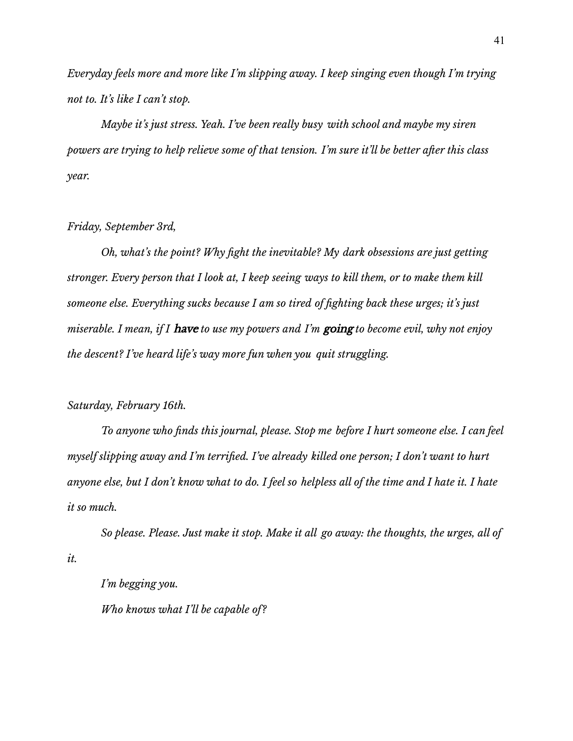*Everyday feels more and more like I'm slipping away. I keep singing even though I'm trying not to. It's like I can't stop.*

*Maybe it's just stress. Yeah. I've been really busy with school and maybe my siren powers are trying to help relieve some of that tension. I'm sure it'll be better after this class year.*

## *Friday, September 3rd,*

*Oh, what's the point? Why fight the inevitable? My dark obsessions are just getting* stronger. Every person that I look at, I keep seeing ways to kill them, or to make them kill *someone else. Everything sucks because I am so tired of fighting back these urges; it's just miserable. I mean, if I* have *to use my powers and I'm* going *to become evil, why not enjoy the descent? I've heard life's way more fun when you quit struggling.*

# *Saturday, February 16th.*

*To anyone who finds this journal, please. Stop me before I hurt someone else. I can feel myself slipping away and I'm terrified. I've already killed one person; I don't want to hurt* anyone else, but I don't know what to do. I feel so helpless all of the time and I hate it. I hate *it so much.*

*So please. Please. Just make it stop. Make it all go away: the thoughts, the urges, all of it.*

*I'm begging you. Who knows what I'll be capable of?*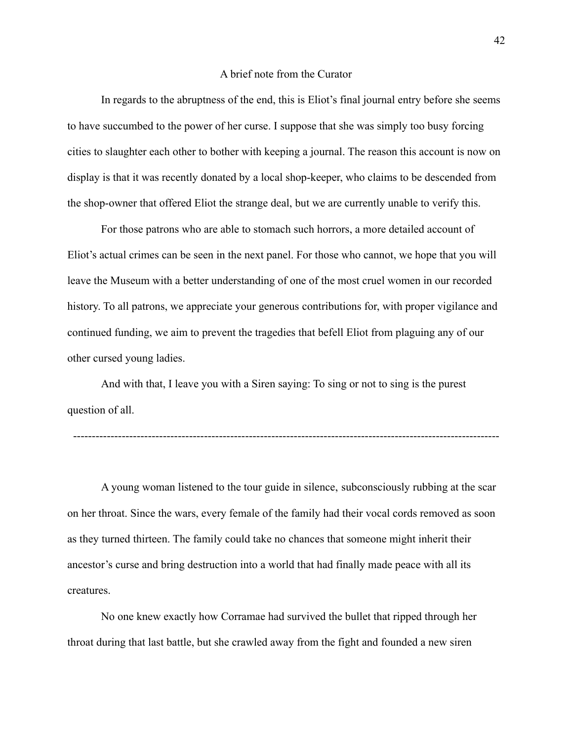#### A brief note from the Curator

In regards to the abruptness of the end, this is Eliot's final journal entry before she seems to have succumbed to the power of her curse. I suppose that she was simply too busy forcing cities to slaughter each other to bother with keeping a journal. The reason this account is now on display is that it was recently donated by a local shop-keeper, who claims to be descended from the shop-owner that offered Eliot the strange deal, but we are currently unable to verify this.

For those patrons who are able to stomach such horrors, a more detailed account of Eliot's actual crimes can be seen in the next panel. For those who cannot, we hope that you will leave the Museum with a better understanding of one of the most cruel women in our recorded history. To all patrons, we appreciate your generous contributions for, with proper vigilance and continued funding, we aim to prevent the tragedies that befell Eliot from plaguing any of our other cursed young ladies.

And with that, I leave you with a Siren saying: To sing or not to sing is the purest question of all.

------------------------------------------------------------------------------------------------------------------

A young woman listened to the tour guide in silence, subconsciously rubbing at the scar on her throat. Since the wars, every female of the family had their vocal cords removed as soon as they turned thirteen. The family could take no chances that someone might inherit their ancestor's curse and bring destruction into a world that had finally made peace with all its creatures.

No one knew exactly how Corramae had survived the bullet that ripped through her throat during that last battle, but she crawled away from the fight and founded a new siren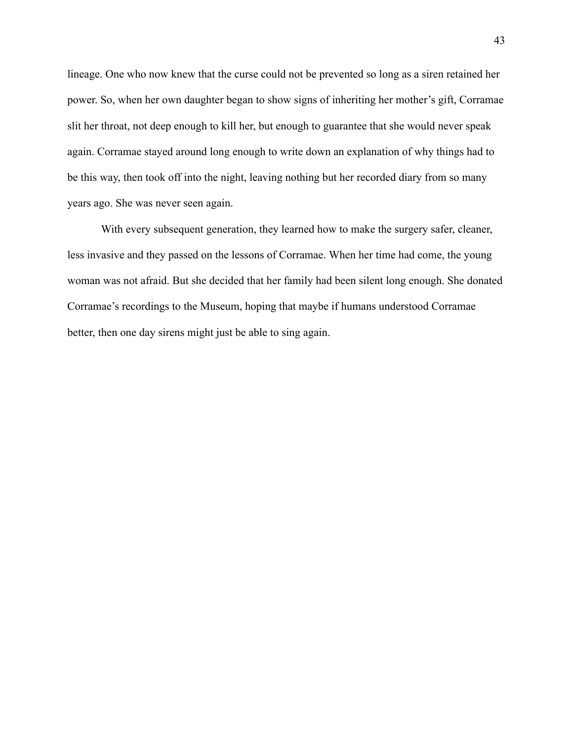lineage. One who now knew that the curse could not be prevented so long as a siren retained her power. So, when her own daughter began to show signs of inheriting her mother's gift, Corramae slit her throat, not deep enough to kill her, but enough to guarantee that she would never speak again. Corramae stayed around long enough to write down an explanation of why things had to be this way, then took off into the night, leaving nothing but her recorded diary from so many years ago. She was never seen again.

With every subsequent generation, they learned how to make the surgery safer, cleaner, less invasive and they passed on the lessons of Corramae. When her time had come, the young woman was not afraid. But she decided that her family had been silent long enough. She donated Corramae's recordings to the Museum, hoping that maybe if humans understood Corramae better, then one day sirens might just be able to sing again.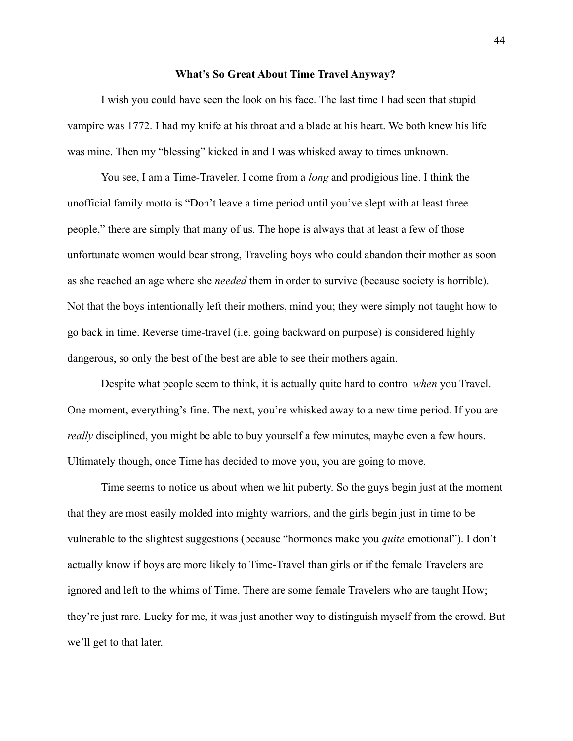#### **What's So Great About Time Travel Anyway?**

I wish you could have seen the look on his face. The last time I had seen that stupid vampire was 1772. I had my knife at his throat and a blade at his heart. We both knew his life was mine. Then my "blessing" kicked in and I was whisked away to times unknown.

You see, I am a Time-Traveler. I come from a *long* and prodigious line. I think the unofficial family motto is "Don't leave a time period until you've slept with at least three people," there are simply that many of us. The hope is always that at least a few of those unfortunate women would bear strong, Traveling boys who could abandon their mother as soon as she reached an age where she *needed* them in order to survive (because society is horrible). Not that the boys intentionally left their mothers, mind you; they were simply not taught how to go back in time. Reverse time-travel (i.e. going backward on purpose) is considered highly dangerous, so only the best of the best are able to see their mothers again.

Despite what people seem to think, it is actually quite hard to control *when* you Travel. One moment, everything's fine. The next, you're whisked away to a new time period. If you are *really* disciplined, you might be able to buy yourself a few minutes, maybe even a few hours. Ultimately though, once Time has decided to move you, you are going to move.

Time seems to notice us about when we hit puberty. So the guys begin just at the moment that they are most easily molded into mighty warriors, and the girls begin just in time to be vulnerable to the slightest suggestions (because "hormones make you *quite* emotional"). I don't actually know if boys are more likely to Time-Travel than girls or if the female Travelers are ignored and left to the whims of Time. There are some female Travelers who are taught How; they're just rare. Lucky for me, it was just another way to distinguish myself from the crowd. But we'll get to that later.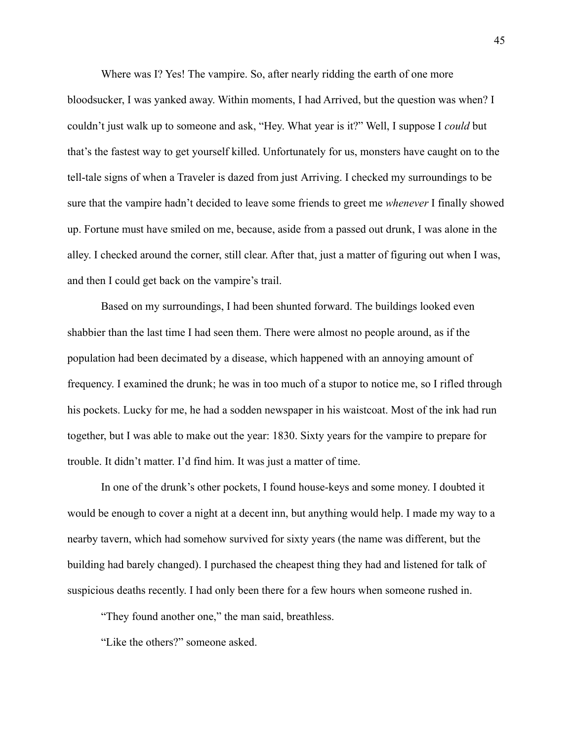Where was I? Yes! The vampire. So, after nearly ridding the earth of one more bloodsucker, I was yanked away. Within moments, I had Arrived, but the question was when? I couldn't just walk up to someone and ask, "Hey. What year is it?" Well, I suppose I *could* but that's the fastest way to get yourself killed. Unfortunately for us, monsters have caught on to the tell-tale signs of when a Traveler is dazed from just Arriving. I checked my surroundings to be sure that the vampire hadn't decided to leave some friends to greet me *whenever* I finally showed up. Fortune must have smiled on me, because, aside from a passed out drunk, I was alone in the alley. I checked around the corner, still clear. After that, just a matter of figuring out when I was, and then I could get back on the vampire's trail.

Based on my surroundings, I had been shunted forward. The buildings looked even shabbier than the last time I had seen them. There were almost no people around, as if the population had been decimated by a disease, which happened with an annoying amount of frequency. I examined the drunk; he was in too much of a stupor to notice me, so I rifled through his pockets. Lucky for me, he had a sodden newspaper in his waistcoat. Most of the ink had run together, but I was able to make out the year: 1830. Sixty years for the vampire to prepare for trouble. It didn't matter. I'd find him. It was just a matter of time.

In one of the drunk's other pockets, I found house-keys and some money. I doubted it would be enough to cover a night at a decent inn, but anything would help. I made my way to a nearby tavern, which had somehow survived for sixty years (the name was different, but the building had barely changed). I purchased the cheapest thing they had and listened for talk of suspicious deaths recently. I had only been there for a few hours when someone rushed in.

"They found another one," the man said, breathless.

"Like the others?" someone asked.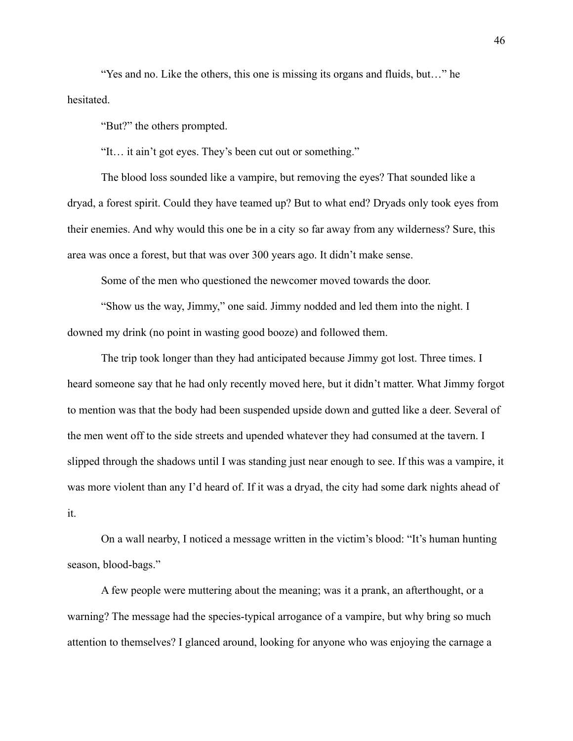"Yes and no. Like the others, this one is missing its organs and fluids, but…" he hesitated.

"But?" the others prompted.

"It… it ain't got eyes. They's been cut out or something."

The blood loss sounded like a vampire, but removing the eyes? That sounded like a dryad, a forest spirit. Could they have teamed up? But to what end? Dryads only took eyes from their enemies. And why would this one be in a city so far away from any wilderness? Sure, this area was once a forest, but that was over 300 years ago. It didn't make sense.

Some of the men who questioned the newcomer moved towards the door.

"Show us the way, Jimmy," one said. Jimmy nodded and led them into the night. I downed my drink (no point in wasting good booze) and followed them.

The trip took longer than they had anticipated because Jimmy got lost. Three times. I heard someone say that he had only recently moved here, but it didn't matter. What Jimmy forgot to mention was that the body had been suspended upside down and gutted like a deer. Several of the men went off to the side streets and upended whatever they had consumed at the tavern. I slipped through the shadows until I was standing just near enough to see. If this was a vampire, it was more violent than any I'd heard of. If it was a dryad, the city had some dark nights ahead of it.

On a wall nearby, I noticed a message written in the victim's blood: "It's human hunting season, blood-bags."

A few people were muttering about the meaning; was it a prank, an afterthought, or a warning? The message had the species-typical arrogance of a vampire, but why bring so much attention to themselves? I glanced around, looking for anyone who was enjoying the carnage a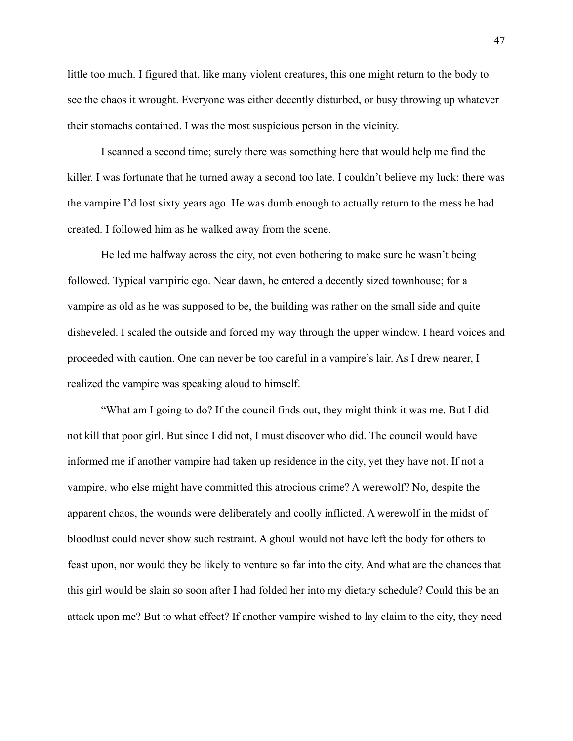little too much. I figured that, like many violent creatures, this one might return to the body to see the chaos it wrought. Everyone was either decently disturbed, or busy throwing up whatever their stomachs contained. I was the most suspicious person in the vicinity.

I scanned a second time; surely there was something here that would help me find the killer. I was fortunate that he turned away a second too late. I couldn't believe my luck: there was the vampire I'd lost sixty years ago. He was dumb enough to actually return to the mess he had created. I followed him as he walked away from the scene.

He led me halfway across the city, not even bothering to make sure he wasn't being followed. Typical vampiric ego. Near dawn, he entered a decently sized townhouse; for a vampire as old as he was supposed to be, the building was rather on the small side and quite disheveled. I scaled the outside and forced my way through the upper window. I heard voices and proceeded with caution. One can never be too careful in a vampire's lair. As I drew nearer, I realized the vampire was speaking aloud to himself.

"What am I going to do? If the council finds out, they might think it was me. But I did not kill that poor girl. But since I did not, I must discover who did. The council would have informed me if another vampire had taken up residence in the city, yet they have not. If not a vampire, who else might have committed this atrocious crime? A werewolf? No, despite the apparent chaos, the wounds were deliberately and coolly inflicted. A werewolf in the midst of bloodlust could never show such restraint. A ghoul would not have left the body for others to feast upon, nor would they be likely to venture so far into the city. And what are the chances that this girl would be slain so soon after I had folded her into my dietary schedule? Could this be an attack upon me? But to what effect? If another vampire wished to lay claim to the city, they need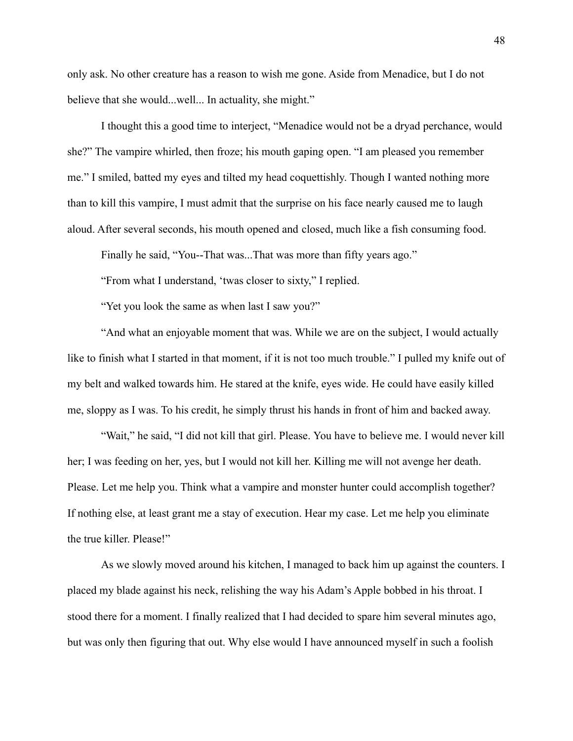only ask. No other creature has a reason to wish me gone. Aside from Menadice, but I do not believe that she would...well... In actuality, she might."

I thought this a good time to interject, "Menadice would not be a dryad perchance, would she?" The vampire whirled, then froze; his mouth gaping open. "I am pleased you remember me." I smiled, batted my eyes and tilted my head coquettishly. Though I wanted nothing more than to kill this vampire, I must admit that the surprise on his face nearly caused me to laugh aloud. After several seconds, his mouth opened and closed, much like a fish consuming food.

Finally he said, "You--That was...That was more than fifty years ago."

"From what I understand, 'twas closer to sixty," I replied.

"Yet you look the same as when last I saw you?"

"And what an enjoyable moment that was. While we are on the subject, I would actually like to finish what I started in that moment, if it is not too much trouble." I pulled my knife out of my belt and walked towards him. He stared at the knife, eyes wide. He could have easily killed me, sloppy as I was. To his credit, he simply thrust his hands in front of him and backed away.

"Wait," he said, "I did not kill that girl. Please. You have to believe me. I would never kill her; I was feeding on her, yes, but I would not kill her. Killing me will not avenge her death. Please. Let me help you. Think what a vampire and monster hunter could accomplish together? If nothing else, at least grant me a stay of execution. Hear my case. Let me help you eliminate the true killer. Please!"

As we slowly moved around his kitchen, I managed to back him up against the counters. I placed my blade against his neck, relishing the way his Adam's Apple bobbed in his throat. I stood there for a moment. I finally realized that I had decided to spare him several minutes ago, but was only then figuring that out. Why else would I have announced myself in such a foolish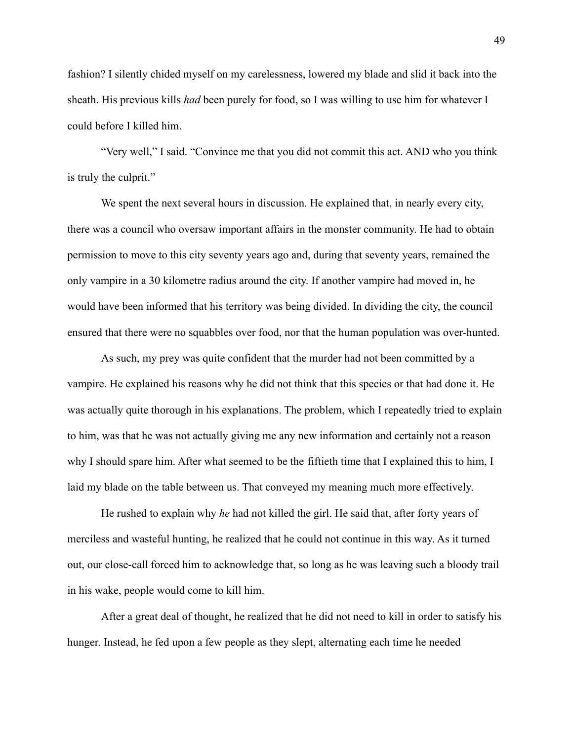fashion? I silently chided myself on my carelessness, lowered my blade and slid it back into the sheath. His previous kills *had* been purely for food, so I was willing to use him for whatever I could before I killed him.

"Very well," I said. "Convince me that you did not commit this act. AND who you think is truly the culprit."

We spent the next several hours in discussion. He explained that, in nearly every city, there was a council who oversaw important affairs in the monster community. He had to obtain permission to move to this city seventy years ago and, during that seventy years, remained the only vampire in a 30 kilometre radius around the city. If another vampire had moved in, he would have been informed that his territory was being divided. In dividing the city, the council ensured that there were no squabbles over food, nor that the human population was over-hunted.

As such, my prey was quite confident that the murder had not been committed by a vampire. He explained his reasons why he did not think that this species or that had done it. He was actually quite thorough in his explanations. The problem, which I repeatedly tried to explain to him, was that he was not actually giving me any new information and certainly not a reason why I should spare him. After what seemed to be the fiftieth time that I explained this to him, I laid my blade on the table between us. That conveyed my meaning much more effectively.

He rushed to explain why *he* had not killed the girl. He said that, after forty years of merciless and wasteful hunting, he realized that he could not continue in this way. As it turned out, our close-call forced him to acknowledge that, so long as he was leaving such a bloody trail in his wake, people would come to kill him.

After a great deal of thought, he realized that he did not need to kill in order to satisfy his hunger. Instead, he fed upon a few people as they slept, alternating each time he needed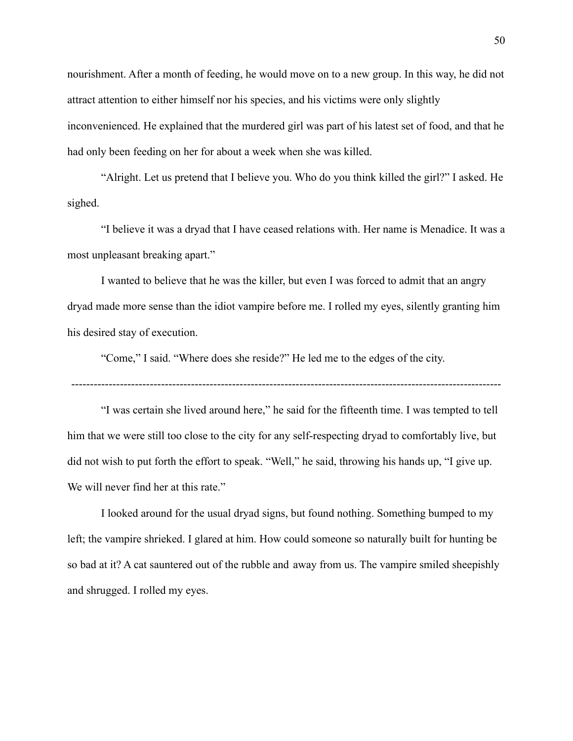nourishment. After a month of feeding, he would move on to a new group. In this way, he did not attract attention to either himself nor his species, and his victims were only slightly inconvenienced. He explained that the murdered girl was part of his latest set of food, and that he had only been feeding on her for about a week when she was killed.

"Alright. Let us pretend that I believe you. Who do you think killed the girl?" I asked. He sighed.

"I believe it was a dryad that I have ceased relations with. Her name is Menadice. It was a most unpleasant breaking apart."

I wanted to believe that he was the killer, but even I was forced to admit that an angry dryad made more sense than the idiot vampire before me. I rolled my eyes, silently granting him his desired stay of execution.

"Come," I said. "Where does she reside?" He led me to the edges of the city.

-------------------------------------------------------------------------------------------------------------------

"I was certain she lived around here," he said for the fifteenth time. I was tempted to tell him that we were still too close to the city for any self-respecting dryad to comfortably live, but did not wish to put forth the effort to speak. "Well," he said, throwing his hands up, "I give up. We will never find her at this rate."

I looked around for the usual dryad signs, but found nothing. Something bumped to my left; the vampire shrieked. I glared at him. How could someone so naturally built for hunting be so bad at it? A cat sauntered out of the rubble and away from us. The vampire smiled sheepishly and shrugged. I rolled my eyes.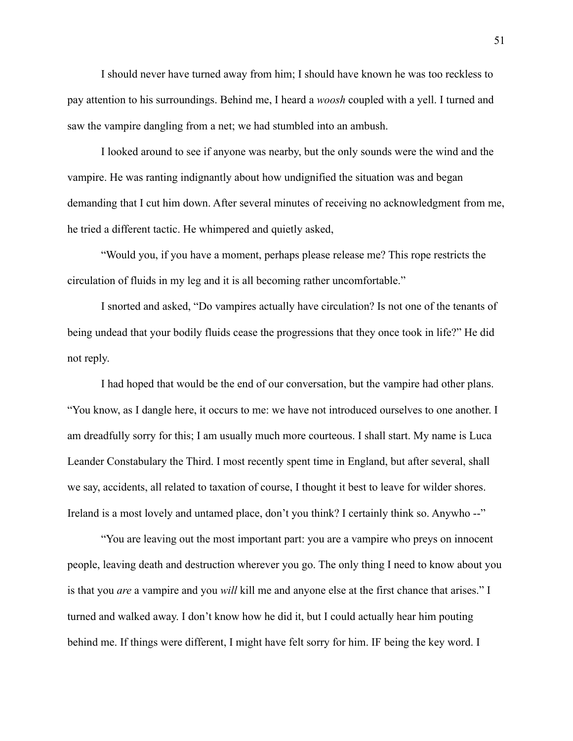I should never have turned away from him; I should have known he was too reckless to pay attention to his surroundings. Behind me, I heard a *woosh* coupled with a yell. I turned and saw the vampire dangling from a net; we had stumbled into an ambush.

I looked around to see if anyone was nearby, but the only sounds were the wind and the vampire. He was ranting indignantly about how undignified the situation was and began demanding that I cut him down. After several minutes of receiving no acknowledgment from me, he tried a different tactic. He whimpered and quietly asked,

"Would you, if you have a moment, perhaps please release me? This rope restricts the circulation of fluids in my leg and it is all becoming rather uncomfortable."

I snorted and asked, "Do vampires actually have circulation? Is not one of the tenants of being undead that your bodily fluids cease the progressions that they once took in life?" He did not reply.

I had hoped that would be the end of our conversation, but the vampire had other plans. "You know, as I dangle here, it occurs to me: we have not introduced ourselves to one another. I am dreadfully sorry for this; I am usually much more courteous. I shall start. My name is Luca Leander Constabulary the Third. I most recently spent time in England, but after several, shall we say, accidents, all related to taxation of course, I thought it best to leave for wilder shores. Ireland is a most lovely and untamed place, don't you think? I certainly think so. Anywho --"

"You are leaving out the most important part: you are a vampire who preys on innocent people, leaving death and destruction wherever you go. The only thing I need to know about you is that you *are* a vampire and you *will* kill me and anyone else at the first chance that arises." I turned and walked away. I don't know how he did it, but I could actually hear him pouting behind me. If things were different, I might have felt sorry for him. IF being the key word. I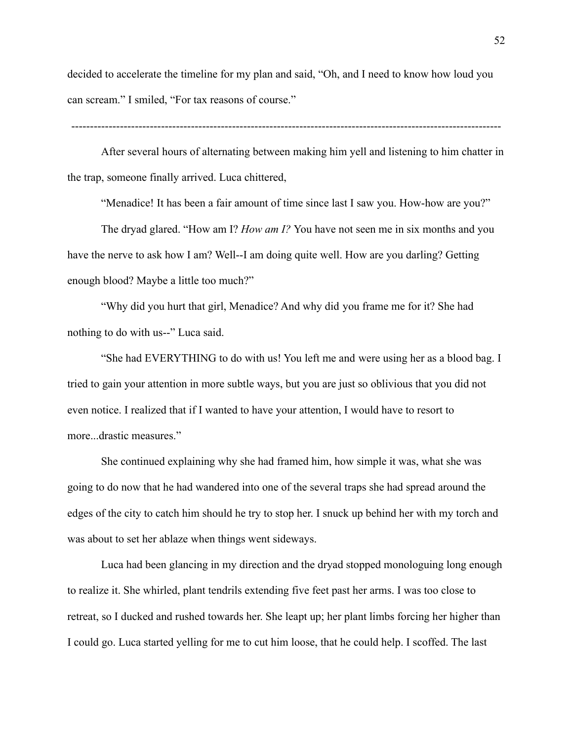decided to accelerate the timeline for my plan and said, "Oh, and I need to know how loud you can scream." I smiled, "For tax reasons of course."

-------------------------------------------------------------------------------------------------------------------

After several hours of alternating between making him yell and listening to him chatter in the trap, someone finally arrived. Luca chittered,

"Menadice! It has been a fair amount of time since last I saw you. How-how are you?"

The dryad glared. "How am I? *How am I?* You have not seen me in six months and you have the nerve to ask how I am? Well--I am doing quite well. How are you darling? Getting enough blood? Maybe a little too much?"

"Why did you hurt that girl, Menadice? And why did you frame me for it? She had nothing to do with us--" Luca said.

"She had EVERYTHING to do with us! You left me and were using her as a blood bag. I tried to gain your attention in more subtle ways, but you are just so oblivious that you did not even notice. I realized that if I wanted to have your attention, I would have to resort to more...drastic measures."

She continued explaining why she had framed him, how simple it was, what she was going to do now that he had wandered into one of the several traps she had spread around the edges of the city to catch him should he try to stop her. I snuck up behind her with my torch and was about to set her ablaze when things went sideways.

Luca had been glancing in my direction and the dryad stopped monologuing long enough to realize it. She whirled, plant tendrils extending five feet past her arms. I was too close to retreat, so I ducked and rushed towards her. She leapt up; her plant limbs forcing her higher than I could go. Luca started yelling for me to cut him loose, that he could help. I scoffed. The last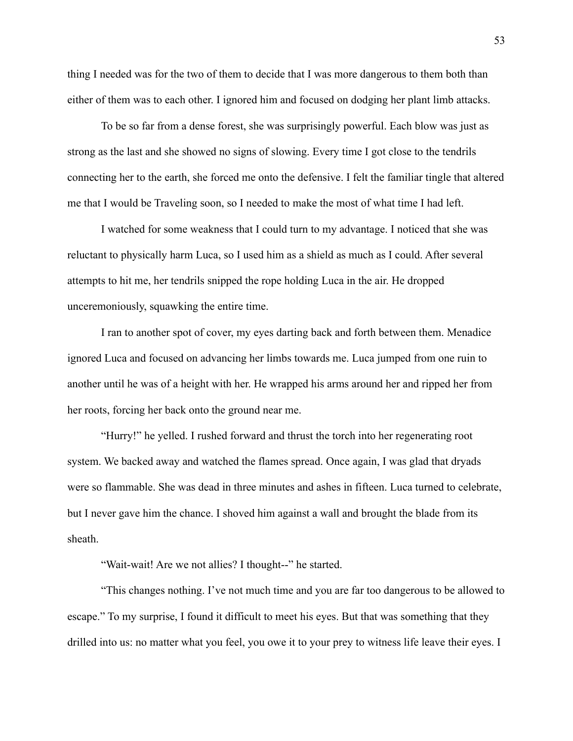thing I needed was for the two of them to decide that I was more dangerous to them both than either of them was to each other. I ignored him and focused on dodging her plant limb attacks.

To be so far from a dense forest, she was surprisingly powerful. Each blow was just as strong as the last and she showed no signs of slowing. Every time I got close to the tendrils connecting her to the earth, she forced me onto the defensive. I felt the familiar tingle that altered me that I would be Traveling soon, so I needed to make the most of what time I had left.

I watched for some weakness that I could turn to my advantage. I noticed that she was reluctant to physically harm Luca, so I used him as a shield as much as I could. After several attempts to hit me, her tendrils snipped the rope holding Luca in the air. He dropped unceremoniously, squawking the entire time.

I ran to another spot of cover, my eyes darting back and forth between them. Menadice ignored Luca and focused on advancing her limbs towards me. Luca jumped from one ruin to another until he was of a height with her. He wrapped his arms around her and ripped her from her roots, forcing her back onto the ground near me.

"Hurry!" he yelled. I rushed forward and thrust the torch into her regenerating root system. We backed away and watched the flames spread. Once again, I was glad that dryads were so flammable. She was dead in three minutes and ashes in fifteen. Luca turned to celebrate, but I never gave him the chance. I shoved him against a wall and brought the blade from its sheath.

"Wait-wait! Are we not allies? I thought--" he started.

"This changes nothing. I've not much time and you are far too dangerous to be allowed to escape." To my surprise, I found it difficult to meet his eyes. But that was something that they drilled into us: no matter what you feel, you owe it to your prey to witness life leave their eyes. I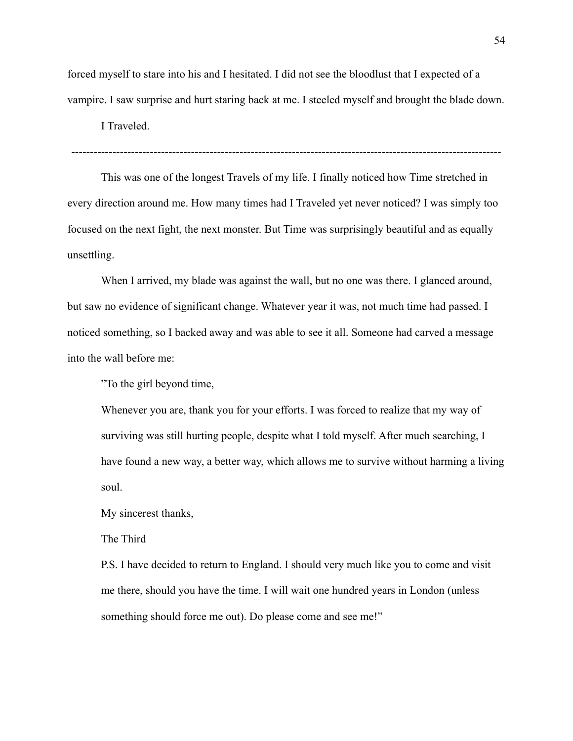forced myself to stare into his and I hesitated. I did not see the bloodlust that I expected of a vampire. I saw surprise and hurt staring back at me. I steeled myself and brought the blade down.

I Traveled.

-------------------------------------------------------------------------------------------------------------------

This was one of the longest Travels of my life. I finally noticed how Time stretched in every direction around me. How many times had I Traveled yet never noticed? I was simply too focused on the next fight, the next monster. But Time was surprisingly beautiful and as equally unsettling.

When I arrived, my blade was against the wall, but no one was there. I glanced around, but saw no evidence of significant change. Whatever year it was, not much time had passed. I noticed something, so I backed away and was able to see it all. Someone had carved a message into the wall before me:

"To the girl beyond time,

Whenever you are, thank you for your efforts. I was forced to realize that my way of surviving was still hurting people, despite what I told myself. After much searching, I have found a new way, a better way, which allows me to survive without harming a living soul.

My sincerest thanks,

The Third

P.S. I have decided to return to England. I should very much like you to come and visit me there, should you have the time. I will wait one hundred years in London (unless something should force me out). Do please come and see me!"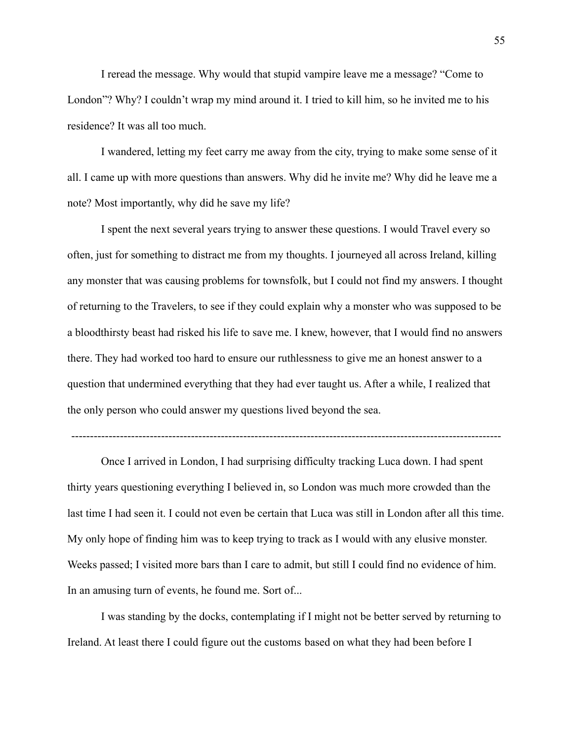I reread the message. Why would that stupid vampire leave me a message? "Come to London"? Why? I couldn't wrap my mind around it. I tried to kill him, so he invited me to his residence? It was all too much.

I wandered, letting my feet carry me away from the city, trying to make some sense of it all. I came up with more questions than answers. Why did he invite me? Why did he leave me a note? Most importantly, why did he save my life?

I spent the next several years trying to answer these questions. I would Travel every so often, just for something to distract me from my thoughts. I journeyed all across Ireland, killing any monster that was causing problems for townsfolk, but I could not find my answers. I thought of returning to the Travelers, to see if they could explain why a monster who was supposed to be a bloodthirsty beast had risked his life to save me. I knew, however, that I would find no answers there. They had worked too hard to ensure our ruthlessness to give me an honest answer to a question that undermined everything that they had ever taught us. After a while, I realized that the only person who could answer my questions lived beyond the sea.

-------------------------------------------------------------------------------------------------------------------

Once I arrived in London, I had surprising difficulty tracking Luca down. I had spent thirty years questioning everything I believed in, so London was much more crowded than the last time I had seen it. I could not even be certain that Luca was still in London after all this time. My only hope of finding him was to keep trying to track as I would with any elusive monster. Weeks passed; I visited more bars than I care to admit, but still I could find no evidence of him. In an amusing turn of events, he found me. Sort of...

I was standing by the docks, contemplating if I might not be better served by returning to Ireland. At least there I could figure out the customs based on what they had been before I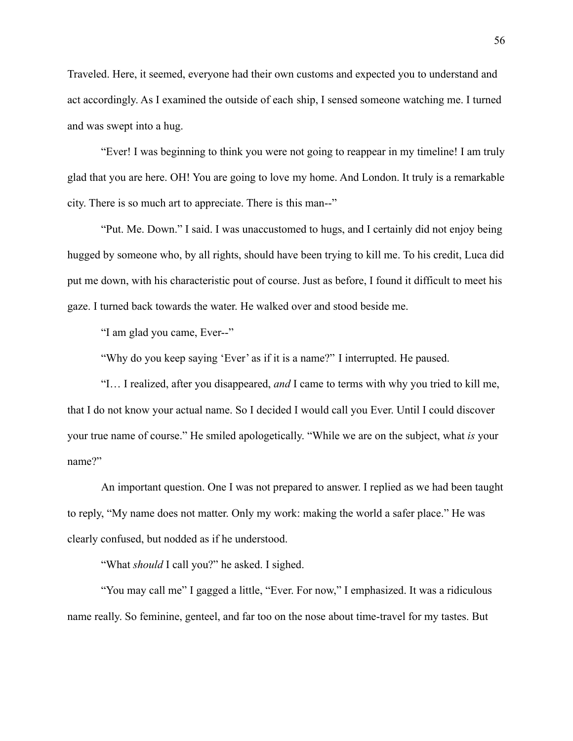Traveled. Here, it seemed, everyone had their own customs and expected you to understand and act accordingly. As I examined the outside of each ship, I sensed someone watching me. I turned and was swept into a hug.

"Ever! I was beginning to think you were not going to reappear in my timeline! I am truly glad that you are here. OH! You are going to love my home. And London. It truly is a remarkable city. There is so much art to appreciate. There is this man--"

"Put. Me. Down." I said. I was unaccustomed to hugs, and I certainly did not enjoy being hugged by someone who, by all rights, should have been trying to kill me. To his credit, Luca did put me down, with his characteristic pout of course. Just as before, I found it difficult to meet his gaze. I turned back towards the water. He walked over and stood beside me.

"I am glad you came, Ever--"

"Why do you keep saying 'Ever' as if it is a name?" I interrupted. He paused.

"I… I realized, after you disappeared, *and* I came to terms with why you tried to kill me, that I do not know your actual name. So I decided I would call you Ever. Until I could discover your true name of course." He smiled apologetically. "While we are on the subject, what *is* your name?"

An important question. One I was not prepared to answer. I replied as we had been taught to reply, "My name does not matter. Only my work: making the world a safer place." He was clearly confused, but nodded as if he understood.

"What *should* I call you?" he asked. I sighed.

"You may call me" I gagged a little, "Ever. For now," I emphasized. It was a ridiculous name really. So feminine, genteel, and far too on the nose about time-travel for my tastes. But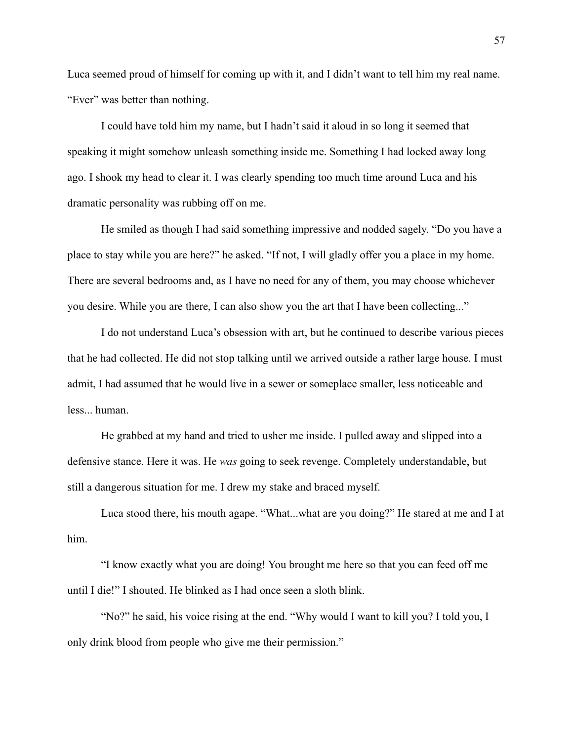Luca seemed proud of himself for coming up with it, and I didn't want to tell him my real name. "Ever" was better than nothing.

I could have told him my name, but I hadn't said it aloud in so long it seemed that speaking it might somehow unleash something inside me. Something I had locked away long ago. I shook my head to clear it. I was clearly spending too much time around Luca and his dramatic personality was rubbing off on me.

He smiled as though I had said something impressive and nodded sagely. "Do you have a place to stay while you are here?" he asked. "If not, I will gladly offer you a place in my home. There are several bedrooms and, as I have no need for any of them, you may choose whichever you desire. While you are there, I can also show you the art that I have been collecting..."

I do not understand Luca's obsession with art, but he continued to describe various pieces that he had collected. He did not stop talking until we arrived outside a rather large house. I must admit, I had assumed that he would live in a sewer or someplace smaller, less noticeable and less... human.

He grabbed at my hand and tried to usher me inside. I pulled away and slipped into a defensive stance. Here it was. He *was* going to seek revenge. Completely understandable, but still a dangerous situation for me. I drew my stake and braced myself.

Luca stood there, his mouth agape. "What...what are you doing?" He stared at me and I at him.

"I know exactly what you are doing! You brought me here so that you can feed off me until I die!" I shouted. He blinked as I had once seen a sloth blink.

"No?" he said, his voice rising at the end. "Why would I want to kill you? I told you, I only drink blood from people who give me their permission."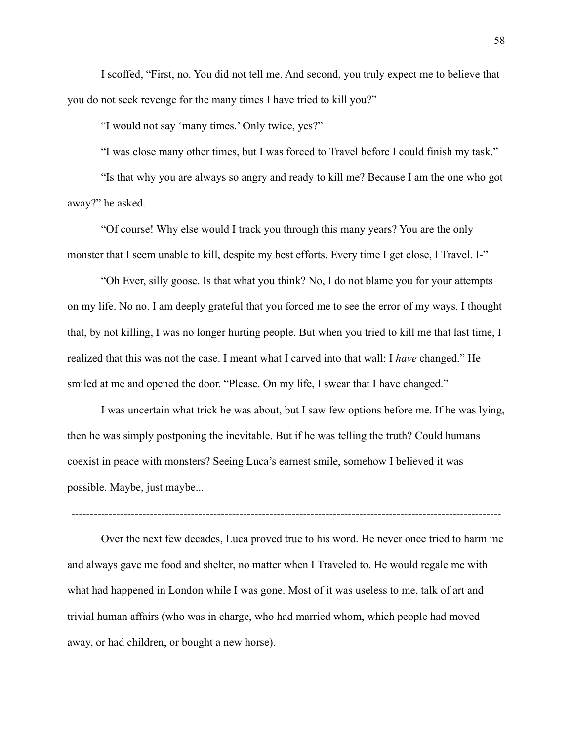I scoffed, "First, no. You did not tell me. And second, you truly expect me to believe that you do not seek revenge for the many times I have tried to kill you?"

"I would not say 'many times.' Only twice, yes?"

"I was close many other times, but I was forced to Travel before I could finish my task."

"Is that why you are always so angry and ready to kill me? Because I am the one who got away?" he asked.

"Of course! Why else would I track you through this many years? You are the only monster that I seem unable to kill, despite my best efforts. Every time I get close, I Travel. I-"

"Oh Ever, silly goose. Is that what you think? No, I do not blame you for your attempts on my life. No no. I am deeply grateful that you forced me to see the error of my ways. I thought that, by not killing, I was no longer hurting people. But when you tried to kill me that last time, I realized that this was not the case. I meant what I carved into that wall: I *have* changed." He smiled at me and opened the door. "Please. On my life, I swear that I have changed."

I was uncertain what trick he was about, but I saw few options before me. If he was lying, then he was simply postponing the inevitable. But if he was telling the truth? Could humans coexist in peace with monsters? Seeing Luca's earnest smile, somehow I believed it was possible. Maybe, just maybe...

 $-$ 

Over the next few decades, Luca proved true to his word. He never once tried to harm me and always gave me food and shelter, no matter when I Traveled to. He would regale me with what had happened in London while I was gone. Most of it was useless to me, talk of art and trivial human affairs (who was in charge, who had married whom, which people had moved away, or had children, or bought a new horse).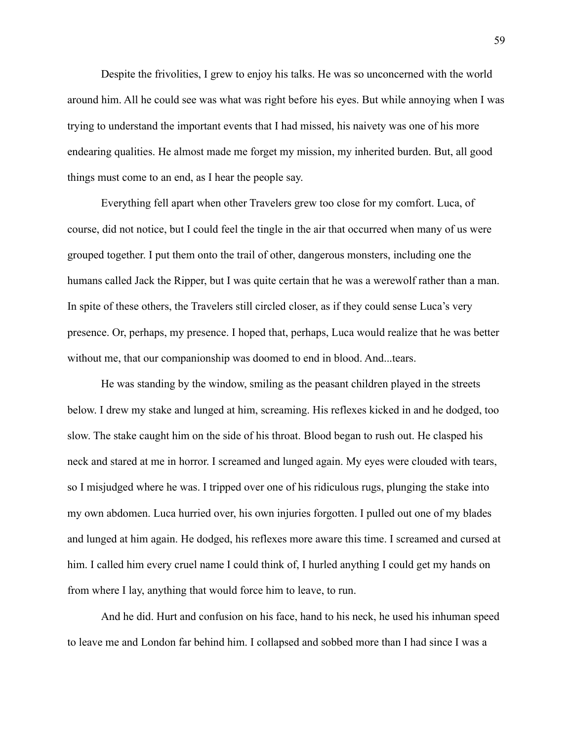Despite the frivolities, I grew to enjoy his talks. He was so unconcerned with the world around him. All he could see was what was right before his eyes. But while annoying when I was trying to understand the important events that I had missed, his naivety was one of his more endearing qualities. He almost made me forget my mission, my inherited burden. But, all good things must come to an end, as I hear the people say.

Everything fell apart when other Travelers grew too close for my comfort. Luca, of course, did not notice, but I could feel the tingle in the air that occurred when many of us were grouped together. I put them onto the trail of other, dangerous monsters, including one the humans called Jack the Ripper, but I was quite certain that he was a werewolf rather than a man. In spite of these others, the Travelers still circled closer, as if they could sense Luca's very presence. Or, perhaps, my presence. I hoped that, perhaps, Luca would realize that he was better without me, that our companionship was doomed to end in blood. And...tears.

He was standing by the window, smiling as the peasant children played in the streets below. I drew my stake and lunged at him, screaming. His reflexes kicked in and he dodged, too slow. The stake caught him on the side of his throat. Blood began to rush out. He clasped his neck and stared at me in horror. I screamed and lunged again. My eyes were clouded with tears, so I misjudged where he was. I tripped over one of his ridiculous rugs, plunging the stake into my own abdomen. Luca hurried over, his own injuries forgotten. I pulled out one of my blades and lunged at him again. He dodged, his reflexes more aware this time. I screamed and cursed at him. I called him every cruel name I could think of, I hurled anything I could get my hands on from where I lay, anything that would force him to leave, to run.

And he did. Hurt and confusion on his face, hand to his neck, he used his inhuman speed to leave me and London far behind him. I collapsed and sobbed more than I had since I was a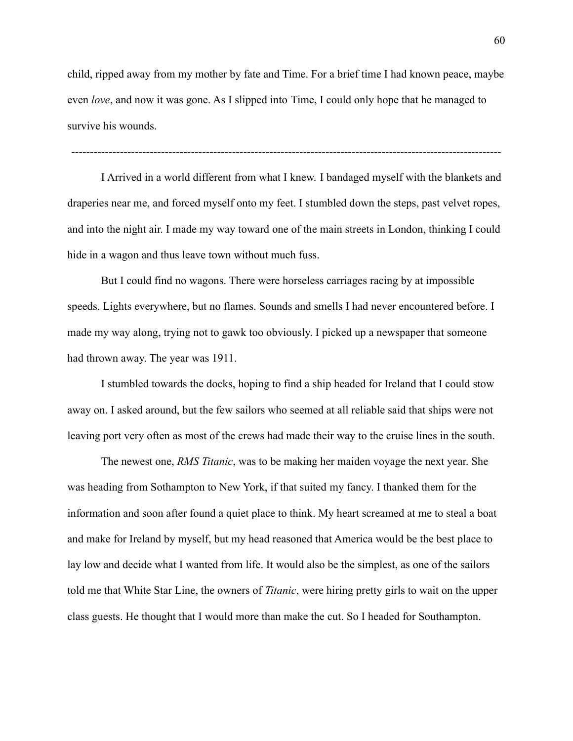child, ripped away from my mother by fate and Time. For a brief time I had known peace, maybe even *love*, and now it was gone. As I slipped into Time, I could only hope that he managed to survive his wounds.

-------------------------------------------------------------------------------------------------------------------

I Arrived in a world different from what I knew. I bandaged myself with the blankets and draperies near me, and forced myself onto my feet. I stumbled down the steps, past velvet ropes, and into the night air. I made my way toward one of the main streets in London, thinking I could hide in a wagon and thus leave town without much fuss.

But I could find no wagons. There were horseless carriages racing by at impossible speeds. Lights everywhere, but no flames. Sounds and smells I had never encountered before. I made my way along, trying not to gawk too obviously. I picked up a newspaper that someone had thrown away. The year was 1911.

I stumbled towards the docks, hoping to find a ship headed for Ireland that I could stow away on. I asked around, but the few sailors who seemed at all reliable said that ships were not leaving port very often as most of the crews had made their way to the cruise lines in the south.

The newest one, *RMS Titanic*, was to be making her maiden voyage the next year. She was heading from Sothampton to New York, if that suited my fancy. I thanked them for the information and soon after found a quiet place to think. My heart screamed at me to steal a boat and make for Ireland by myself, but my head reasoned that America would be the best place to lay low and decide what I wanted from life. It would also be the simplest, as one of the sailors told me that White Star Line, the owners of *Titanic*, were hiring pretty girls to wait on the upper class guests. He thought that I would more than make the cut. So I headed for Southampton.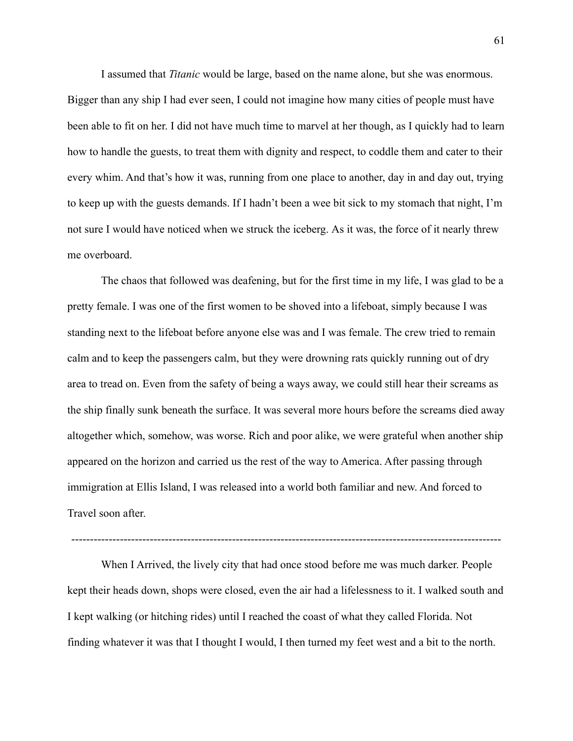I assumed that *Titanic* would be large, based on the name alone, but she was enormous. Bigger than any ship I had ever seen, I could not imagine how many cities of people must have been able to fit on her. I did not have much time to marvel at her though, as I quickly had to learn how to handle the guests, to treat them with dignity and respect, to coddle them and cater to their every whim. And that's how it was, running from one place to another, day in and day out, trying to keep up with the guests demands. If I hadn't been a wee bit sick to my stomach that night, I'm not sure I would have noticed when we struck the iceberg. As it was, the force of it nearly threw me overboard.

The chaos that followed was deafening, but for the first time in my life, I was glad to be a pretty female. I was one of the first women to be shoved into a lifeboat, simply because I was standing next to the lifeboat before anyone else was and I was female. The crew tried to remain calm and to keep the passengers calm, but they were drowning rats quickly running out of dry area to tread on. Even from the safety of being a ways away, we could still hear their screams as the ship finally sunk beneath the surface. It was several more hours before the screams died away altogether which, somehow, was worse. Rich and poor alike, we were grateful when another ship appeared on the horizon and carried us the rest of the way to America. After passing through immigration at Ellis Island, I was released into a world both familiar and new. And forced to Travel soon after.

When I Arrived, the lively city that had once stood before me was much darker. People kept their heads down, shops were closed, even the air had a lifelessness to it. I walked south and I kept walking (or hitching rides) until I reached the coast of what they called Florida. Not finding whatever it was that I thought I would, I then turned my feet west and a bit to the north.

-------------------------------------------------------------------------------------------------------------------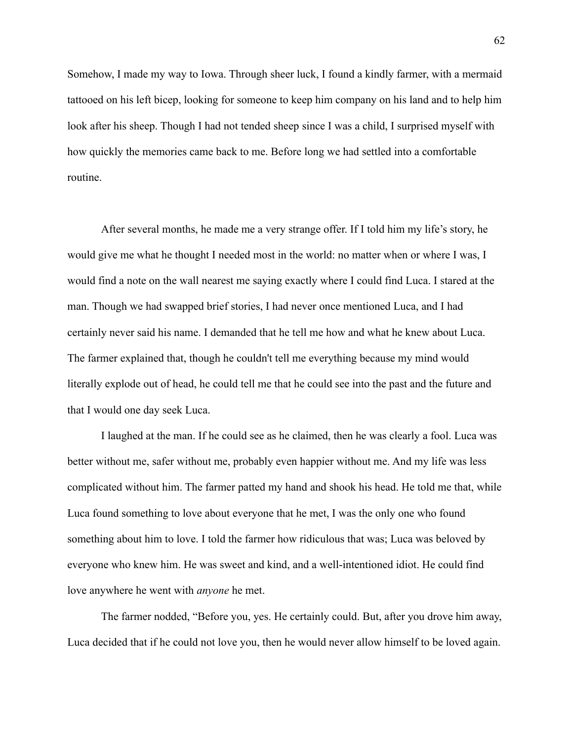Somehow, I made my way to Iowa. Through sheer luck, I found a kindly farmer, with a mermaid tattooed on his left bicep, looking for someone to keep him company on his land and to help him look after his sheep. Though I had not tended sheep since I was a child, I surprised myself with how quickly the memories came back to me. Before long we had settled into a comfortable routine.

After several months, he made me a very strange offer. If I told him my life's story, he would give me what he thought I needed most in the world: no matter when or where I was, I would find a note on the wall nearest me saying exactly where I could find Luca. I stared at the man. Though we had swapped brief stories, I had never once mentioned Luca, and I had certainly never said his name. I demanded that he tell me how and what he knew about Luca. The farmer explained that, though he couldn't tell me everything because my mind would literally explode out of head, he could tell me that he could see into the past and the future and that I would one day seek Luca.

I laughed at the man. If he could see as he claimed, then he was clearly a fool. Luca was better without me, safer without me, probably even happier without me. And my life was less complicated without him. The farmer patted my hand and shook his head. He told me that, while Luca found something to love about everyone that he met, I was the only one who found something about him to love. I told the farmer how ridiculous that was; Luca was beloved by everyone who knew him. He was sweet and kind, and a well-intentioned idiot. He could find love anywhere he went with *anyone* he met.

The farmer nodded, "Before you, yes. He certainly could. But, after you drove him away, Luca decided that if he could not love you, then he would never allow himself to be loved again.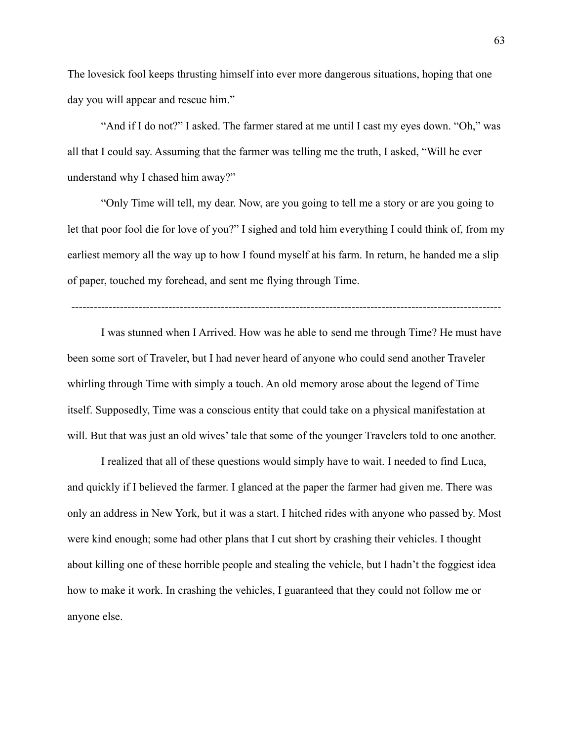The lovesick fool keeps thrusting himself into ever more dangerous situations, hoping that one day you will appear and rescue him."

"And if I do not?" I asked. The farmer stared at me until I cast my eyes down. "Oh," was all that I could say. Assuming that the farmer was telling me the truth, I asked, "Will he ever understand why I chased him away?"

"Only Time will tell, my dear. Now, are you going to tell me a story or are you going to let that poor fool die for love of you?" I sighed and told him everything I could think of, from my earliest memory all the way up to how I found myself at his farm. In return, he handed me a slip of paper, touched my forehead, and sent me flying through Time.

-------------------------------------------------------------------------------------------------------------------

I was stunned when I Arrived. How was he able to send me through Time? He must have been some sort of Traveler, but I had never heard of anyone who could send another Traveler whirling through Time with simply a touch. An old memory arose about the legend of Time itself. Supposedly, Time was a conscious entity that could take on a physical manifestation at will. But that was just an old wives' tale that some of the younger Travelers told to one another.

I realized that all of these questions would simply have to wait. I needed to find Luca, and quickly if I believed the farmer. I glanced at the paper the farmer had given me. There was only an address in New York, but it was a start. I hitched rides with anyone who passed by. Most were kind enough; some had other plans that I cut short by crashing their vehicles. I thought about killing one of these horrible people and stealing the vehicle, but I hadn't the foggiest idea how to make it work. In crashing the vehicles, I guaranteed that they could not follow me or anyone else.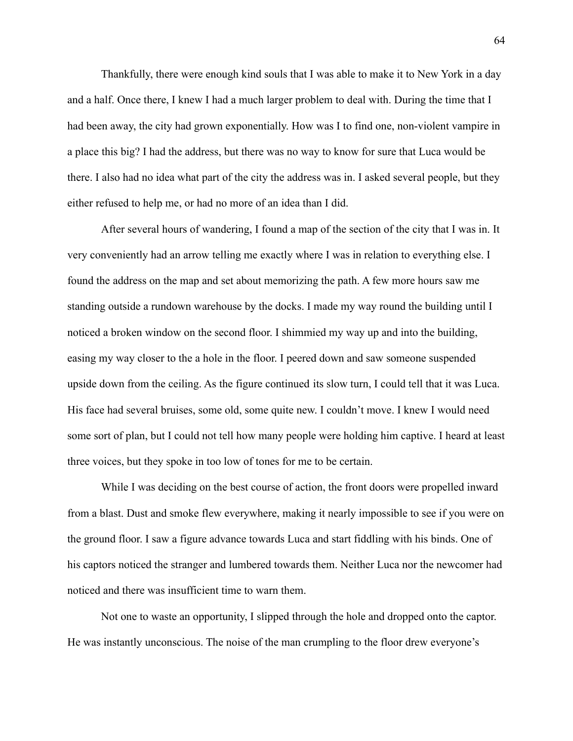Thankfully, there were enough kind souls that I was able to make it to New York in a day and a half. Once there, I knew I had a much larger problem to deal with. During the time that I had been away, the city had grown exponentially. How was I to find one, non-violent vampire in a place this big? I had the address, but there was no way to know for sure that Luca would be there. I also had no idea what part of the city the address was in. I asked several people, but they either refused to help me, or had no more of an idea than I did.

After several hours of wandering, I found a map of the section of the city that I was in. It very conveniently had an arrow telling me exactly where I was in relation to everything else. I found the address on the map and set about memorizing the path. A few more hours saw me standing outside a rundown warehouse by the docks. I made my way round the building until I noticed a broken window on the second floor. I shimmied my way up and into the building, easing my way closer to the a hole in the floor. I peered down and saw someone suspended upside down from the ceiling. As the figure continued its slow turn, I could tell that it was Luca. His face had several bruises, some old, some quite new. I couldn't move. I knew I would need some sort of plan, but I could not tell how many people were holding him captive. I heard at least three voices, but they spoke in too low of tones for me to be certain.

While I was deciding on the best course of action, the front doors were propelled inward from a blast. Dust and smoke flew everywhere, making it nearly impossible to see if you were on the ground floor. I saw a figure advance towards Luca and start fiddling with his binds. One of his captors noticed the stranger and lumbered towards them. Neither Luca nor the newcomer had noticed and there was insufficient time to warn them.

Not one to waste an opportunity, I slipped through the hole and dropped onto the captor. He was instantly unconscious. The noise of the man crumpling to the floor drew everyone's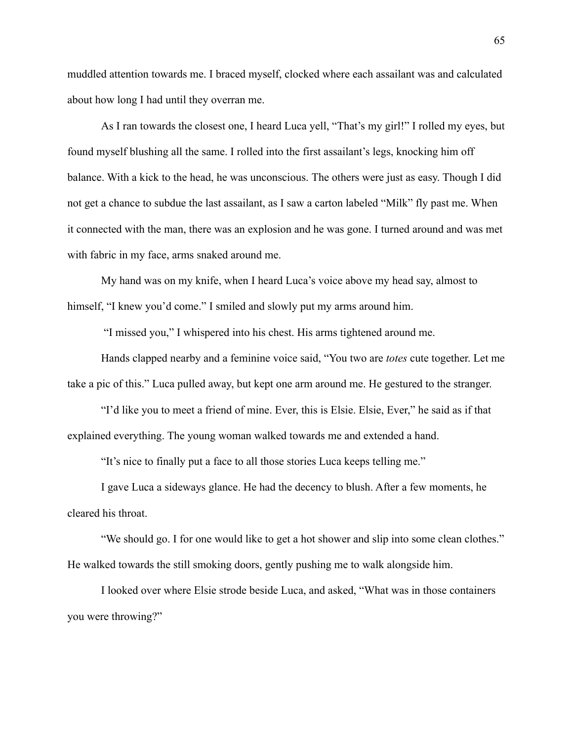muddled attention towards me. I braced myself, clocked where each assailant was and calculated about how long I had until they overran me.

As I ran towards the closest one, I heard Luca yell, "That's my girl!" I rolled my eyes, but found myself blushing all the same. I rolled into the first assailant's legs, knocking him off balance. With a kick to the head, he was unconscious. The others were just as easy. Though I did not get a chance to subdue the last assailant, as I saw a carton labeled "Milk" fly past me. When it connected with the man, there was an explosion and he was gone. I turned around and was met with fabric in my face, arms snaked around me.

My hand was on my knife, when I heard Luca's voice above my head say, almost to himself, "I knew you'd come." I smiled and slowly put my arms around him.

"I missed you," I whispered into his chest. His arms tightened around me.

Hands clapped nearby and a feminine voice said, "You two are *totes* cute together. Let me take a pic of this." Luca pulled away, but kept one arm around me. He gestured to the stranger.

"I'd like you to meet a friend of mine. Ever, this is Elsie. Elsie, Ever," he said as if that explained everything. The young woman walked towards me and extended a hand.

"It's nice to finally put a face to all those stories Luca keeps telling me."

I gave Luca a sideways glance. He had the decency to blush. After a few moments, he cleared his throat.

"We should go. I for one would like to get a hot shower and slip into some clean clothes." He walked towards the still smoking doors, gently pushing me to walk alongside him.

I looked over where Elsie strode beside Luca, and asked, "What was in those containers you were throwing?"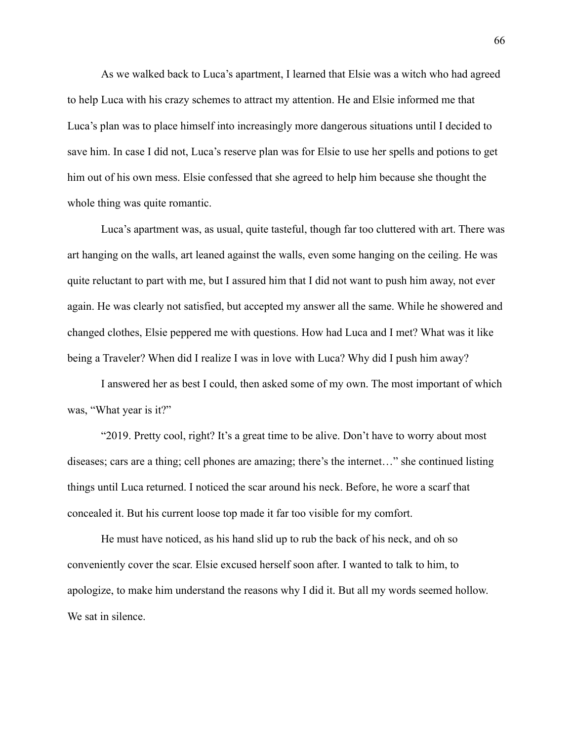As we walked back to Luca's apartment, I learned that Elsie was a witch who had agreed to help Luca with his crazy schemes to attract my attention. He and Elsie informed me that Luca's plan was to place himself into increasingly more dangerous situations until I decided to save him. In case I did not, Luca's reserve plan was for Elsie to use her spells and potions to get him out of his own mess. Elsie confessed that she agreed to help him because she thought the whole thing was quite romantic.

Luca's apartment was, as usual, quite tasteful, though far too cluttered with art. There was art hanging on the walls, art leaned against the walls, even some hanging on the ceiling. He was quite reluctant to part with me, but I assured him that I did not want to push him away, not ever again. He was clearly not satisfied, but accepted my answer all the same. While he showered and changed clothes, Elsie peppered me with questions. How had Luca and I met? What was it like being a Traveler? When did I realize I was in love with Luca? Why did I push him away?

I answered her as best I could, then asked some of my own. The most important of which was, "What year is it?"

"2019. Pretty cool, right? It's a great time to be alive. Don't have to worry about most diseases; cars are a thing; cell phones are amazing; there's the internet…" she continued listing things until Luca returned. I noticed the scar around his neck. Before, he wore a scarf that concealed it. But his current loose top made it far too visible for my comfort.

He must have noticed, as his hand slid up to rub the back of his neck, and oh so conveniently cover the scar. Elsie excused herself soon after. I wanted to talk to him, to apologize, to make him understand the reasons why I did it. But all my words seemed hollow. We sat in silence.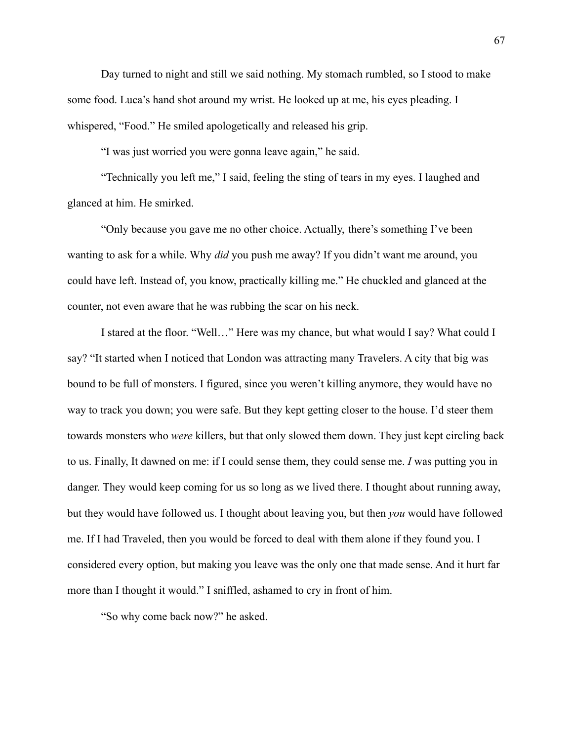Day turned to night and still we said nothing. My stomach rumbled, so I stood to make some food. Luca's hand shot around my wrist. He looked up at me, his eyes pleading. I whispered, "Food." He smiled apologetically and released his grip.

"I was just worried you were gonna leave again," he said.

"Technically you left me," I said, feeling the sting of tears in my eyes. I laughed and glanced at him. He smirked.

"Only because you gave me no other choice. Actually, there's something I've been wanting to ask for a while. Why *did* you push me away? If you didn't want me around, you could have left. Instead of, you know, practically killing me." He chuckled and glanced at the counter, not even aware that he was rubbing the scar on his neck.

I stared at the floor. "Well…" Here was my chance, but what would I say? What could I say? "It started when I noticed that London was attracting many Travelers. A city that big was bound to be full of monsters. I figured, since you weren't killing anymore, they would have no way to track you down; you were safe. But they kept getting closer to the house. I'd steer them towards monsters who *were* killers, but that only slowed them down. They just kept circling back to us. Finally, It dawned on me: if I could sense them, they could sense me. *I* was putting you in danger. They would keep coming for us so long as we lived there. I thought about running away, but they would have followed us. I thought about leaving you, but then *you* would have followed me. If I had Traveled, then you would be forced to deal with them alone if they found you. I considered every option, but making you leave was the only one that made sense. And it hurt far more than I thought it would." I sniffled, ashamed to cry in front of him.

"So why come back now?" he asked.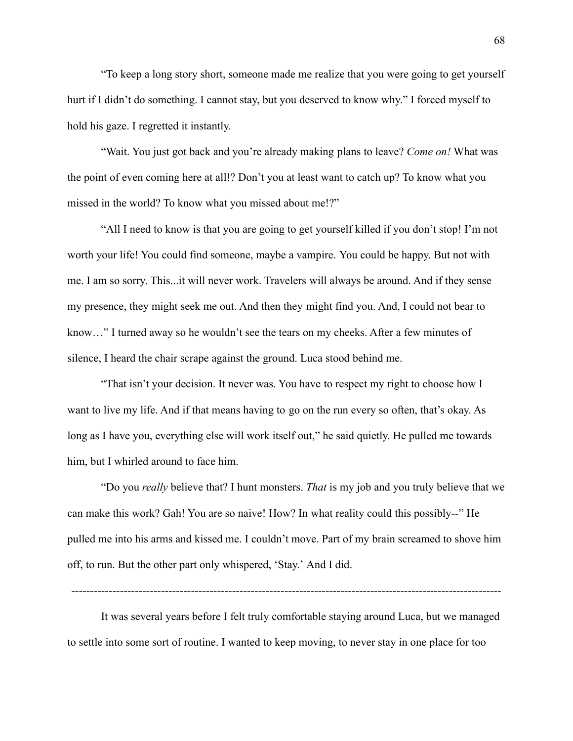"To keep a long story short, someone made me realize that you were going to get yourself hurt if I didn't do something. I cannot stay, but you deserved to know why." I forced myself to hold his gaze. I regretted it instantly.

"Wait. You just got back and you're already making plans to leave? *Come on!* What was the point of even coming here at all!? Don't you at least want to catch up? To know what you missed in the world? To know what you missed about me!?"

"All I need to know is that you are going to get yourself killed if you don't stop! I'm not worth your life! You could find someone, maybe a vampire. You could be happy. But not with me. I am so sorry. This...it will never work. Travelers will always be around. And if they sense my presence, they might seek me out. And then they might find you. And, I could not bear to know…" I turned away so he wouldn't see the tears on my cheeks. After a few minutes of silence, I heard the chair scrape against the ground. Luca stood behind me.

"That isn't your decision. It never was. You have to respect my right to choose how I want to live my life. And if that means having to go on the run every so often, that's okay. As long as I have you, everything else will work itself out," he said quietly. He pulled me towards him, but I whirled around to face him.

"Do you *really* believe that? I hunt monsters. *That* is my job and you truly believe that we can make this work? Gah! You are so naive! How? In what reality could this possibly--" He pulled me into his arms and kissed me. I couldn't move. Part of my brain screamed to shove him off, to run. But the other part only whispered, 'Stay.' And I did.

-------------------------------------------------------------------------------------------------------------------

It was several years before I felt truly comfortable staying around Luca, but we managed to settle into some sort of routine. I wanted to keep moving, to never stay in one place for too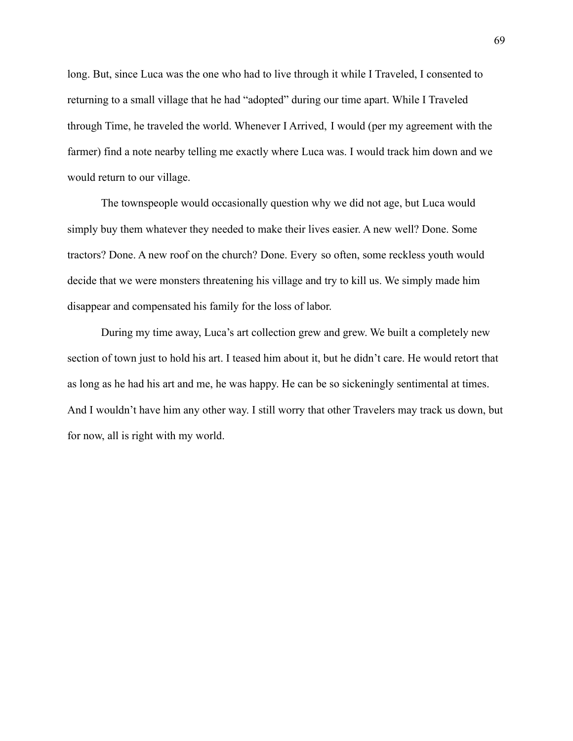long. But, since Luca was the one who had to live through it while I Traveled, I consented to returning to a small village that he had "adopted" during our time apart. While I Traveled through Time, he traveled the world. Whenever I Arrived, I would (per my agreement with the farmer) find a note nearby telling me exactly where Luca was. I would track him down and we would return to our village.

The townspeople would occasionally question why we did not age, but Luca would simply buy them whatever they needed to make their lives easier. A new well? Done. Some tractors? Done. A new roof on the church? Done. Every so often, some reckless youth would decide that we were monsters threatening his village and try to kill us. We simply made him disappear and compensated his family for the loss of labor.

During my time away, Luca's art collection grew and grew. We built a completely new section of town just to hold his art. I teased him about it, but he didn't care. He would retort that as long as he had his art and me, he was happy. He can be so sickeningly sentimental at times. And I wouldn't have him any other way. I still worry that other Travelers may track us down, but for now, all is right with my world.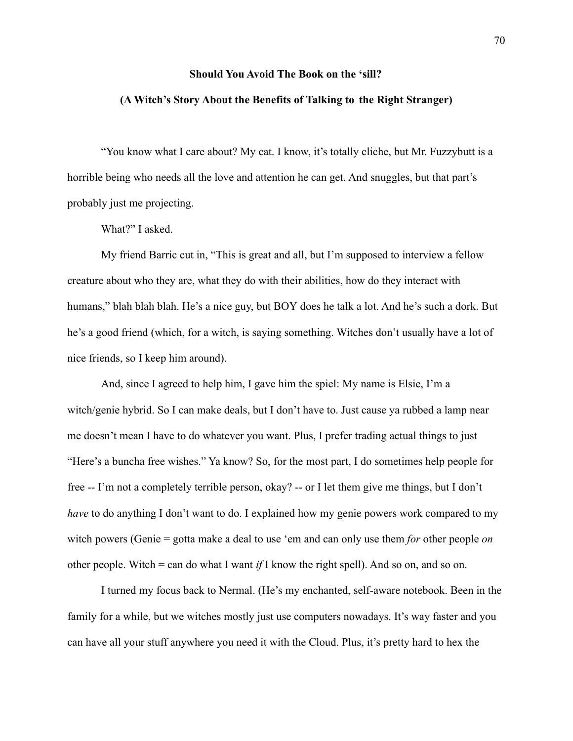#### **Should You Avoid The Book on the 'sill?**

#### **(A Witch's Story About the Benefits of Talking to the Right Stranger)**

"You know what I care about? My cat. I know, it's totally cliche, but Mr. Fuzzybutt is a horrible being who needs all the love and attention he can get. And snuggles, but that part's probably just me projecting.

What?" I asked.

My friend Barric cut in, "This is great and all, but I'm supposed to interview a fellow creature about who they are, what they do with their abilities, how do they interact with humans," blah blah blah. He's a nice guy, but BOY does he talk a lot. And he's such a dork. But he's a good friend (which, for a witch, is saying something. Witches don't usually have a lot of nice friends, so I keep him around).

And, since I agreed to help him, I gave him the spiel: My name is Elsie, I'm a witch/genie hybrid. So I can make deals, but I don't have to. Just cause ya rubbed a lamp near me doesn't mean I have to do whatever you want. Plus, I prefer trading actual things to just "Here's a buncha free wishes." Ya know? So, for the most part, I do sometimes help people for free -- I'm not a completely terrible person, okay? -- or I let them give me things, but I don't *have* to do anything I don't want to do. I explained how my genie powers work compared to my witch powers (Genie = gotta make a deal to use 'em and can only use them *for* other people *on* other people. Witch = can do what I want *if* I know the right spell). And so on, and so on.

I turned my focus back to Nermal. (He's my enchanted, self-aware notebook. Been in the family for a while, but we witches mostly just use computers nowadays. It's way faster and you can have all your stuff anywhere you need it with the Cloud. Plus, it's pretty hard to hex the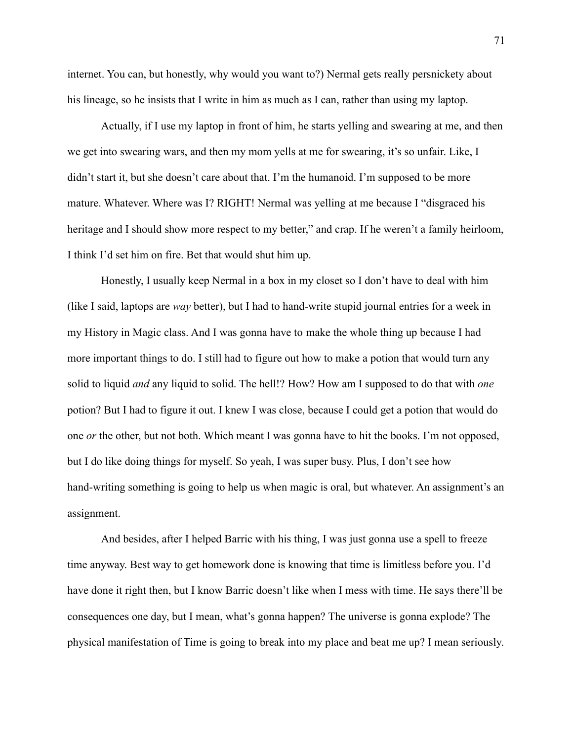internet. You can, but honestly, why would you want to?) Nermal gets really persnickety about his lineage, so he insists that I write in him as much as I can, rather than using my laptop.

Actually, if I use my laptop in front of him, he starts yelling and swearing at me, and then we get into swearing wars, and then my mom yells at me for swearing, it's so unfair. Like, I didn't start it, but she doesn't care about that. I'm the humanoid. I'm supposed to be more mature. Whatever. Where was I? RIGHT! Nermal was yelling at me because I "disgraced his heritage and I should show more respect to my better," and crap. If he weren't a family heirloom, I think I'd set him on fire. Bet that would shut him up.

Honestly, I usually keep Nermal in a box in my closet so I don't have to deal with him (like I said, laptops are *way* better), but I had to hand-write stupid journal entries for a week in my History in Magic class. And I was gonna have to make the whole thing up because I had more important things to do. I still had to figure out how to make a potion that would turn any solid to liquid *and* any liquid to solid. The hell!? How? How am I supposed to do that with *one* potion? But I had to figure it out. I knew I was close, because I could get a potion that would do one *or* the other, but not both. Which meant I was gonna have to hit the books. I'm not opposed, but I do like doing things for myself. So yeah, I was super busy. Plus, I don't see how hand-writing something is going to help us when magic is oral, but whatever. An assignment's an assignment.

And besides, after I helped Barric with his thing, I was just gonna use a spell to freeze time anyway. Best way to get homework done is knowing that time is limitless before you. I'd have done it right then, but I know Barric doesn't like when I mess with time. He says there'll be consequences one day, but I mean, what's gonna happen? The universe is gonna explode? The physical manifestation of Time is going to break into my place and beat me up? I mean seriously.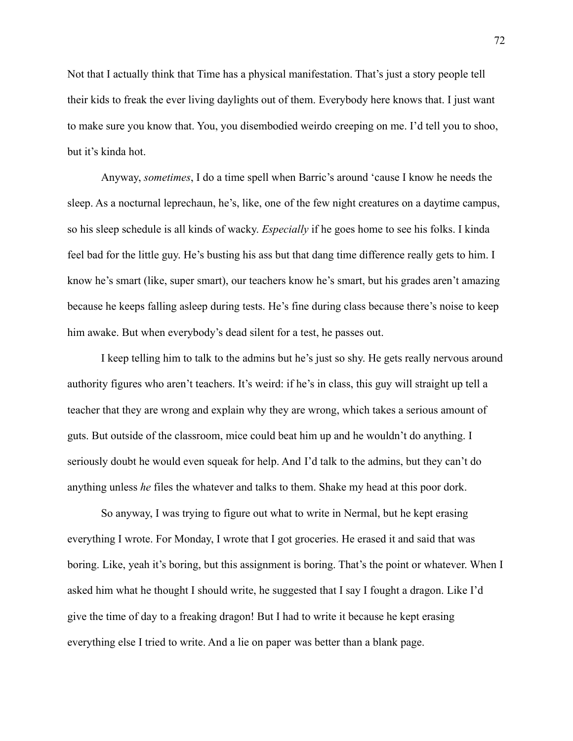Not that I actually think that Time has a physical manifestation. That's just a story people tell their kids to freak the ever living daylights out of them. Everybody here knows that. I just want to make sure you know that. You, you disembodied weirdo creeping on me. I'd tell you to shoo, but it's kinda hot.

Anyway, *sometimes*, I do a time spell when Barric's around 'cause I know he needs the sleep. As a nocturnal leprechaun, he's, like, one of the few night creatures on a daytime campus, so his sleep schedule is all kinds of wacky. *Especially* if he goes home to see his folks. I kinda feel bad for the little guy. He's busting his ass but that dang time difference really gets to him. I know he's smart (like, super smart), our teachers know he's smart, but his grades aren't amazing because he keeps falling asleep during tests. He's fine during class because there's noise to keep him awake. But when everybody's dead silent for a test, he passes out.

I keep telling him to talk to the admins but he's just so shy. He gets really nervous around authority figures who aren't teachers. It's weird: if he's in class, this guy will straight up tell a teacher that they are wrong and explain why they are wrong, which takes a serious amount of guts. But outside of the classroom, mice could beat him up and he wouldn't do anything. I seriously doubt he would even squeak for help. And I'd talk to the admins, but they can't do anything unless *he* files the whatever and talks to them. Shake my head at this poor dork.

So anyway, I was trying to figure out what to write in Nermal, but he kept erasing everything I wrote. For Monday, I wrote that I got groceries. He erased it and said that was boring. Like, yeah it's boring, but this assignment is boring. That's the point or whatever. When I asked him what he thought I should write, he suggested that I say I fought a dragon. Like I'd give the time of day to a freaking dragon! But I had to write it because he kept erasing everything else I tried to write. And a lie on paper was better than a blank page.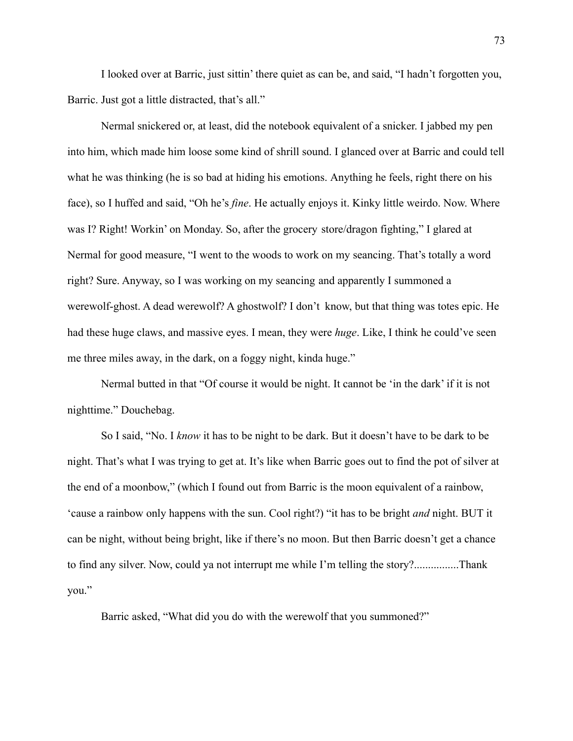I looked over at Barric, just sittin' there quiet as can be, and said, "I hadn't forgotten you, Barric. Just got a little distracted, that's all."

Nermal snickered or, at least, did the notebook equivalent of a snicker. I jabbed my pen into him, which made him loose some kind of shrill sound. I glanced over at Barric and could tell what he was thinking (he is so bad at hiding his emotions. Anything he feels, right there on his face), so I huffed and said, "Oh he's *fine*. He actually enjoys it. Kinky little weirdo. Now. Where was I? Right! Workin' on Monday. So, after the grocery store/dragon fighting," I glared at Nermal for good measure, "I went to the woods to work on my seancing. That's totally a word right? Sure. Anyway, so I was working on my seancing and apparently I summoned a werewolf-ghost. A dead werewolf? A ghostwolf? I don't know, but that thing was totes epic. He had these huge claws, and massive eyes. I mean, they were *huge*. Like, I think he could've seen me three miles away, in the dark, on a foggy night, kinda huge."

Nermal butted in that "Of course it would be night. It cannot be 'in the dark' if it is not nighttime." Douchebag.

So I said, "No. I *know* it has to be night to be dark. But it doesn't have to be dark to be night. That's what I was trying to get at. It's like when Barric goes out to find the pot of silver at the end of a moonbow," (which I found out from Barric is the moon equivalent of a rainbow, 'cause a rainbow only happens with the sun. Cool right?) "it has to be bright *and* night. BUT it can be night, without being bright, like if there's no moon. But then Barric doesn't get a chance to find any silver. Now, could ya not interrupt me while I'm telling the story?................Thank you."

Barric asked, "What did you do with the werewolf that you summoned?"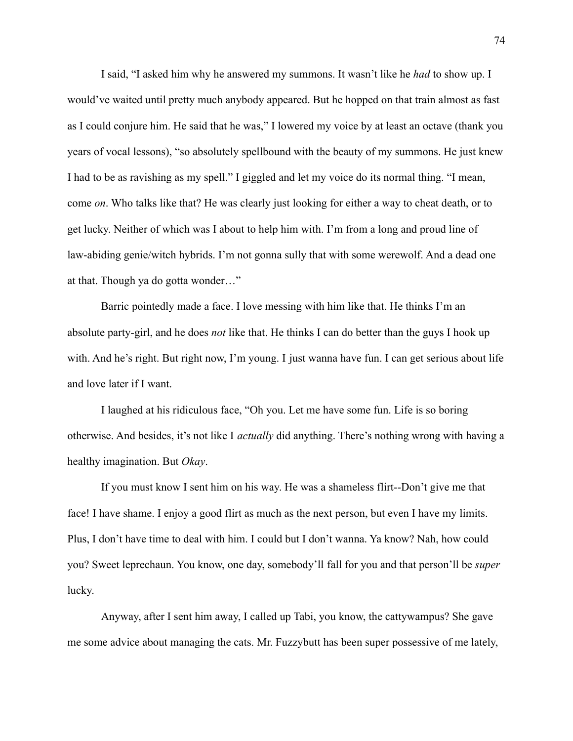I said, "I asked him why he answered my summons. It wasn't like he *had* to show up. I would've waited until pretty much anybody appeared. But he hopped on that train almost as fast as I could conjure him. He said that he was," I lowered my voice by at least an octave (thank you years of vocal lessons), "so absolutely spellbound with the beauty of my summons. He just knew I had to be as ravishing as my spell." I giggled and let my voice do its normal thing. "I mean, come *on*. Who talks like that? He was clearly just looking for either a way to cheat death, or to get lucky. Neither of which was I about to help him with. I'm from a long and proud line of law-abiding genie/witch hybrids. I'm not gonna sully that with some werewolf. And a dead one at that. Though ya do gotta wonder…"

Barric pointedly made a face. I love messing with him like that. He thinks I'm an absolute party-girl, and he does *not* like that. He thinks I can do better than the guys I hook up with. And he's right. But right now, I'm young. I just wanna have fun. I can get serious about life and love later if I want.

I laughed at his ridiculous face, "Oh you. Let me have some fun. Life is so boring otherwise. And besides, it's not like I *actually* did anything. There's nothing wrong with having a healthy imagination. But *Okay*.

If you must know I sent him on his way. He was a shameless flirt--Don't give me that face! I have shame. I enjoy a good flirt as much as the next person, but even I have my limits. Plus, I don't have time to deal with him. I could but I don't wanna. Ya know? Nah, how could you? Sweet leprechaun. You know, one day, somebody'll fall for you and that person'll be *super* lucky.

Anyway, after I sent him away, I called up Tabi, you know, the cattywampus? She gave me some advice about managing the cats. Mr. Fuzzybutt has been super possessive of me lately,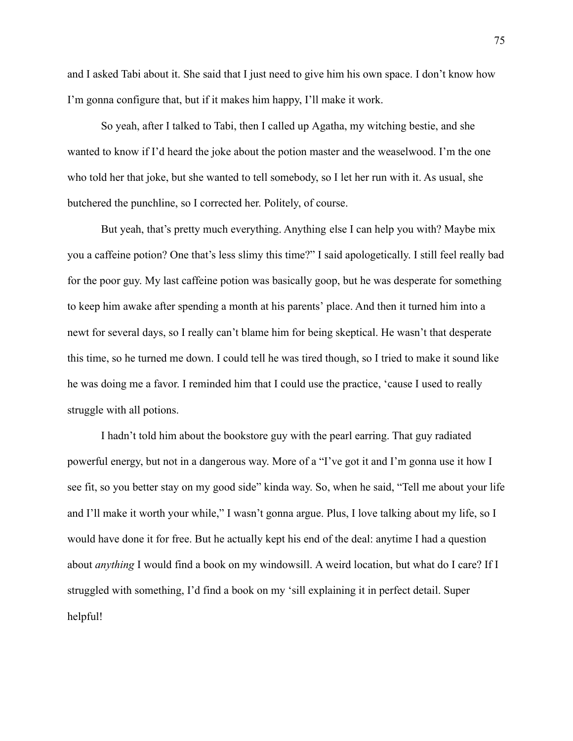and I asked Tabi about it. She said that I just need to give him his own space. I don't know how I'm gonna configure that, but if it makes him happy, I'll make it work.

So yeah, after I talked to Tabi, then I called up Agatha, my witching bestie, and she wanted to know if I'd heard the joke about the potion master and the weaselwood. I'm the one who told her that joke, but she wanted to tell somebody, so I let her run with it. As usual, she butchered the punchline, so I corrected her. Politely, of course.

But yeah, that's pretty much everything. Anything else I can help you with? Maybe mix you a caffeine potion? One that's less slimy this time?" I said apologetically. I still feel really bad for the poor guy. My last caffeine potion was basically goop, but he was desperate for something to keep him awake after spending a month at his parents' place. And then it turned him into a newt for several days, so I really can't blame him for being skeptical. He wasn't that desperate this time, so he turned me down. I could tell he was tired though, so I tried to make it sound like he was doing me a favor. I reminded him that I could use the practice, 'cause I used to really struggle with all potions.

I hadn't told him about the bookstore guy with the pearl earring. That guy radiated powerful energy, but not in a dangerous way. More of a "I've got it and I'm gonna use it how I see fit, so you better stay on my good side" kinda way. So, when he said, "Tell me about your life and I'll make it worth your while," I wasn't gonna argue. Plus, I love talking about my life, so I would have done it for free. But he actually kept his end of the deal: anytime I had a question about *anything* I would find a book on my windowsill. A weird location, but what do I care? If I struggled with something, I'd find a book on my 'sill explaining it in perfect detail. Super helpful!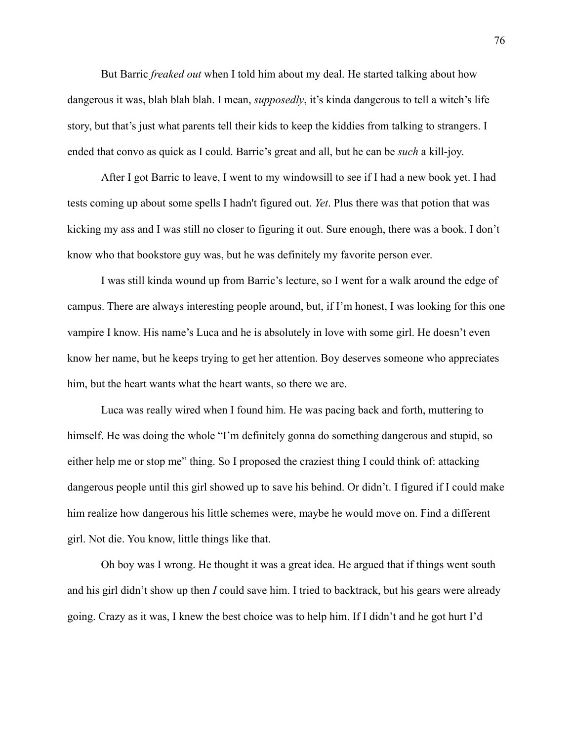But Barric *freaked out* when I told him about my deal. He started talking about how dangerous it was, blah blah blah. I mean, *supposedly*, it's kinda dangerous to tell a witch's life story, but that's just what parents tell their kids to keep the kiddies from talking to strangers. I ended that convo as quick as I could. Barric's great and all, but he can be *such* a kill-joy.

After I got Barric to leave, I went to my windowsill to see if I had a new book yet. I had tests coming up about some spells I hadn't figured out. *Yet*. Plus there was that potion that was kicking my ass and I was still no closer to figuring it out. Sure enough, there was a book. I don't know who that bookstore guy was, but he was definitely my favorite person ever.

I was still kinda wound up from Barric's lecture, so I went for a walk around the edge of campus. There are always interesting people around, but, if I'm honest, I was looking for this one vampire I know. His name's Luca and he is absolutely in love with some girl. He doesn't even know her name, but he keeps trying to get her attention. Boy deserves someone who appreciates him, but the heart wants what the heart wants, so there we are.

Luca was really wired when I found him. He was pacing back and forth, muttering to himself. He was doing the whole "I'm definitely gonna do something dangerous and stupid, so either help me or stop me" thing. So I proposed the craziest thing I could think of: attacking dangerous people until this girl showed up to save his behind. Or didn't. I figured if I could make him realize how dangerous his little schemes were, maybe he would move on. Find a different girl. Not die. You know, little things like that.

Oh boy was I wrong. He thought it was a great idea. He argued that if things went south and his girl didn't show up then *I* could save him. I tried to backtrack, but his gears were already going. Crazy as it was, I knew the best choice was to help him. If I didn't and he got hurt I'd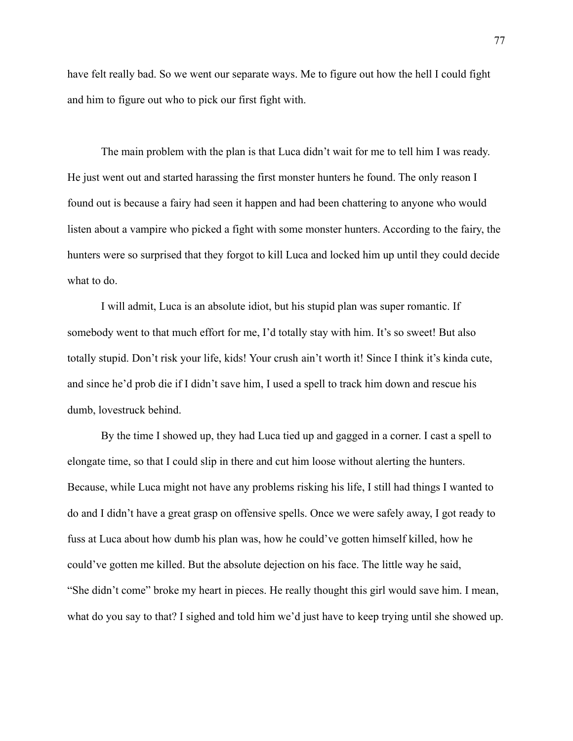have felt really bad. So we went our separate ways. Me to figure out how the hell I could fight and him to figure out who to pick our first fight with.

The main problem with the plan is that Luca didn't wait for me to tell him I was ready. He just went out and started harassing the first monster hunters he found. The only reason I found out is because a fairy had seen it happen and had been chattering to anyone who would listen about a vampire who picked a fight with some monster hunters. According to the fairy, the hunters were so surprised that they forgot to kill Luca and locked him up until they could decide what to do.

I will admit, Luca is an absolute idiot, but his stupid plan was super romantic. If somebody went to that much effort for me, I'd totally stay with him. It's so sweet! But also totally stupid. Don't risk your life, kids! Your crush ain't worth it! Since I think it's kinda cute, and since he'd prob die if I didn't save him, I used a spell to track him down and rescue his dumb, lovestruck behind.

By the time I showed up, they had Luca tied up and gagged in a corner. I cast a spell to elongate time, so that I could slip in there and cut him loose without alerting the hunters. Because, while Luca might not have any problems risking his life, I still had things I wanted to do and I didn't have a great grasp on offensive spells. Once we were safely away, I got ready to fuss at Luca about how dumb his plan was, how he could've gotten himself killed, how he could've gotten me killed. But the absolute dejection on his face. The little way he said, "She didn't come" broke my heart in pieces. He really thought this girl would save him. I mean, what do you say to that? I sighed and told him we'd just have to keep trying until she showed up.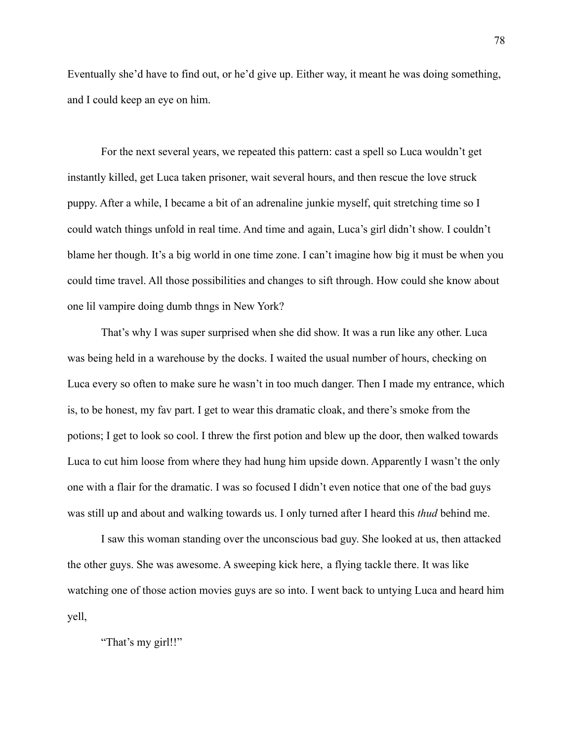Eventually she'd have to find out, or he'd give up. Either way, it meant he was doing something, and I could keep an eye on him.

For the next several years, we repeated this pattern: cast a spell so Luca wouldn't get instantly killed, get Luca taken prisoner, wait several hours, and then rescue the love struck puppy. After a while, I became a bit of an adrenaline junkie myself, quit stretching time so I could watch things unfold in real time. And time and again, Luca's girl didn't show. I couldn't blame her though. It's a big world in one time zone. I can't imagine how big it must be when you could time travel. All those possibilities and changes to sift through. How could she know about one lil vampire doing dumb thngs in New York?

That's why I was super surprised when she did show. It was a run like any other. Luca was being held in a warehouse by the docks. I waited the usual number of hours, checking on Luca every so often to make sure he wasn't in too much danger. Then I made my entrance, which is, to be honest, my fav part. I get to wear this dramatic cloak, and there's smoke from the potions; I get to look so cool. I threw the first potion and blew up the door, then walked towards Luca to cut him loose from where they had hung him upside down. Apparently I wasn't the only one with a flair for the dramatic. I was so focused I didn't even notice that one of the bad guys was still up and about and walking towards us. I only turned after I heard this *thud* behind me.

I saw this woman standing over the unconscious bad guy. She looked at us, then attacked the other guys. She was awesome. A sweeping kick here, a flying tackle there. It was like watching one of those action movies guys are so into. I went back to untying Luca and heard him yell,

"That's my girl!!"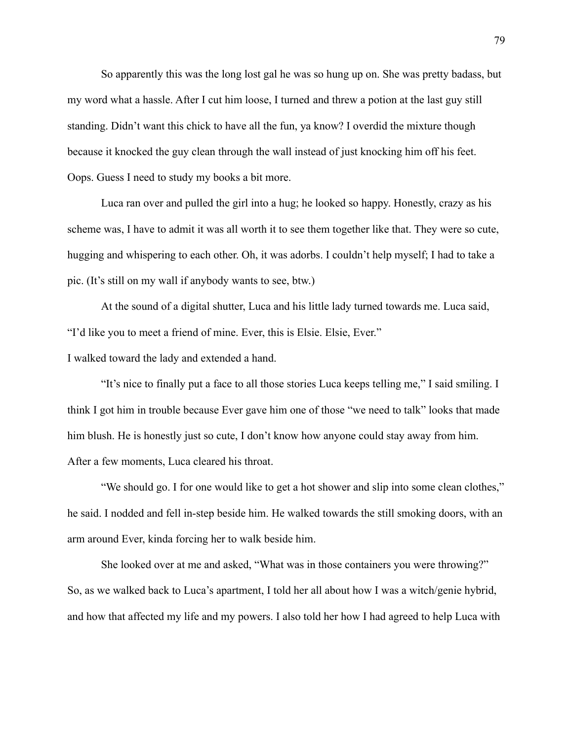So apparently this was the long lost gal he was so hung up on. She was pretty badass, but my word what a hassle. After I cut him loose, I turned and threw a potion at the last guy still standing. Didn't want this chick to have all the fun, ya know? I overdid the mixture though because it knocked the guy clean through the wall instead of just knocking him off his feet. Oops. Guess I need to study my books a bit more.

Luca ran over and pulled the girl into a hug; he looked so happy. Honestly, crazy as his scheme was, I have to admit it was all worth it to see them together like that. They were so cute, hugging and whispering to each other. Oh, it was adorbs. I couldn't help myself; I had to take a pic. (It's still on my wall if anybody wants to see, btw.)

At the sound of a digital shutter, Luca and his little lady turned towards me. Luca said, "I'd like you to meet a friend of mine. Ever, this is Elsie. Elsie, Ever."

I walked toward the lady and extended a hand.

"It's nice to finally put a face to all those stories Luca keeps telling me," I said smiling. I think I got him in trouble because Ever gave him one of those "we need to talk" looks that made him blush. He is honestly just so cute, I don't know how anyone could stay away from him. After a few moments, Luca cleared his throat.

"We should go. I for one would like to get a hot shower and slip into some clean clothes," he said. I nodded and fell in-step beside him. He walked towards the still smoking doors, with an arm around Ever, kinda forcing her to walk beside him.

She looked over at me and asked, "What was in those containers you were throwing?" So, as we walked back to Luca's apartment, I told her all about how I was a witch/genie hybrid, and how that affected my life and my powers. I also told her how I had agreed to help Luca with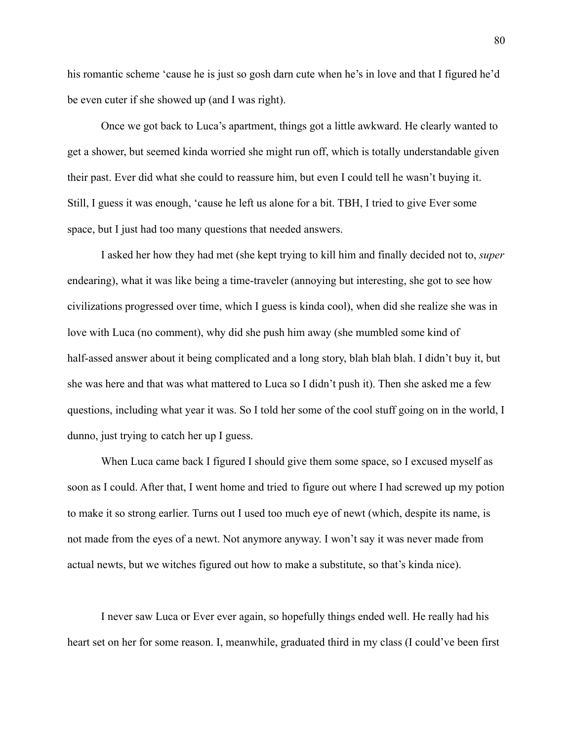his romantic scheme 'cause he is just so gosh darn cute when he's in love and that I figured he'd be even cuter if she showed up (and I was right).

Once we got back to Luca's apartment, things got a little awkward. He clearly wanted to get a shower, but seemed kinda worried she might run off, which is totally understandable given their past. Ever did what she could to reassure him, but even I could tell he wasn't buying it. Still, I guess it was enough, 'cause he left us alone for a bit. TBH, I tried to give Ever some space, but I just had too many questions that needed answers.

I asked her how they had met (she kept trying to kill him and finally decided not to, *super* endearing), what it was like being a time-traveler (annoying but interesting, she got to see how civilizations progressed over time, which I guess is kinda cool), when did she realize she was in love with Luca (no comment), why did she push him away (she mumbled some kind of half-assed answer about it being complicated and a long story, blah blah blah. I didn't buy it, but she was here and that was what mattered to Luca so I didn't push it). Then she asked me a few questions, including what year it was. So I told her some of the cool stuff going on in the world, I dunno, just trying to catch her up I guess.

When Luca came back I figured I should give them some space, so I excused myself as soon as I could. After that, I went home and tried to figure out where I had screwed up my potion to make it so strong earlier. Turns out I used too much eye of newt (which, despite its name, is not made from the eyes of a newt. Not anymore anyway. I won't say it was never made from actual newts, but we witches figured out how to make a substitute, so that's kinda nice).

I never saw Luca or Ever ever again, so hopefully things ended well. He really had his heart set on her for some reason. I, meanwhile, graduated third in my class (I could've been first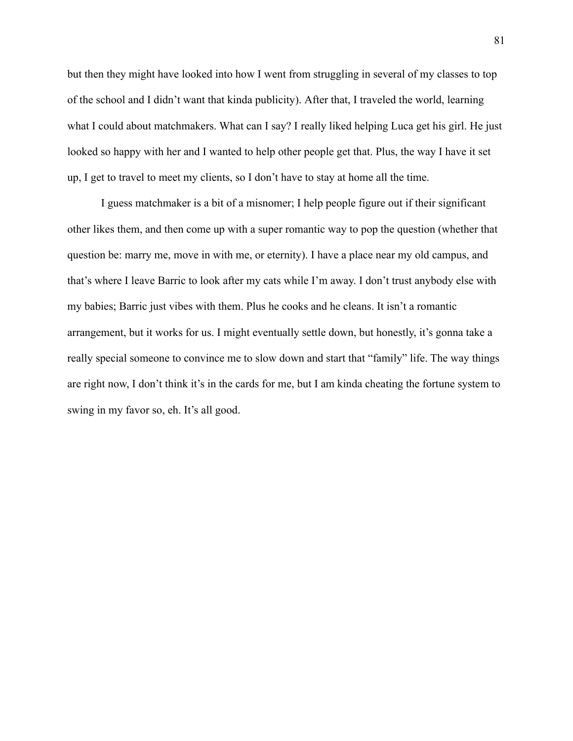but then they might have looked into how I went from struggling in several of my classes to top of the school and I didn't want that kinda publicity). After that, I traveled the world, learning what I could about matchmakers. What can I say? I really liked helping Luca get his girl. He just looked so happy with her and I wanted to help other people get that. Plus, the way I have it set up, I get to travel to meet my clients, so I don't have to stay at home all the time.

I guess matchmaker is a bit of a misnomer; I help people figure out if their significant other likes them, and then come up with a super romantic way to pop the question (whether that question be: marry me, move in with me, or eternity). I have a place near my old campus, and that's where I leave Barric to look after my cats while I'm away. I don't trust anybody else with my babies; Barric just vibes with them. Plus he cooks and he cleans. It isn't a romantic arrangement, but it works for us. I might eventually settle down, but honestly, it's gonna take a really special someone to convince me to slow down and start that "family" life. The way things are right now, I don't think it's in the cards for me, but I am kinda cheating the fortune system to swing in my favor so, eh. It's all good.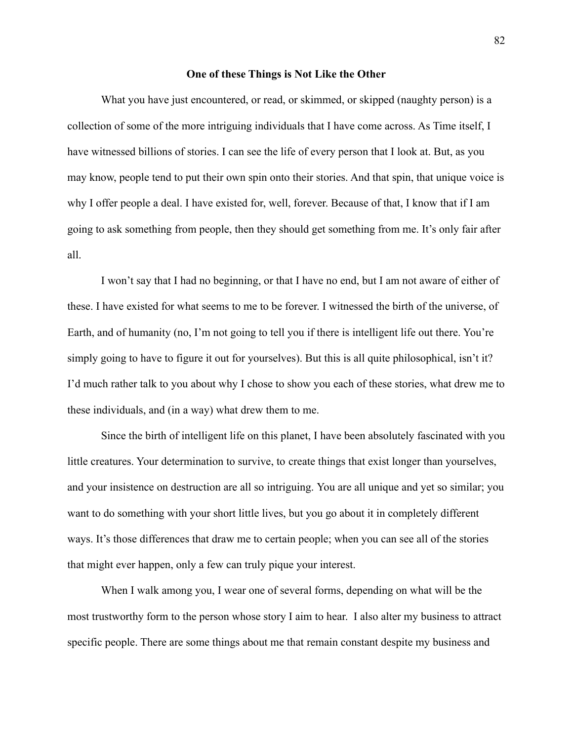## **One of these Things is Not Like the Other**

What you have just encountered, or read, or skimmed, or skipped (naughty person) is a collection of some of the more intriguing individuals that I have come across. As Time itself, I have witnessed billions of stories. I can see the life of every person that I look at. But, as you may know, people tend to put their own spin onto their stories. And that spin, that unique voice is why I offer people a deal. I have existed for, well, forever. Because of that, I know that if I am going to ask something from people, then they should get something from me. It's only fair after all.

I won't say that I had no beginning, or that I have no end, but I am not aware of either of these. I have existed for what seems to me to be forever. I witnessed the birth of the universe, of Earth, and of humanity (no, I'm not going to tell you if there is intelligent life out there. You're simply going to have to figure it out for yourselves). But this is all quite philosophical, isn't it? I'd much rather talk to you about why I chose to show you each of these stories, what drew me to these individuals, and (in a way) what drew them to me.

Since the birth of intelligent life on this planet, I have been absolutely fascinated with you little creatures. Your determination to survive, to create things that exist longer than yourselves, and your insistence on destruction are all so intriguing. You are all unique and yet so similar; you want to do something with your short little lives, but you go about it in completely different ways. It's those differences that draw me to certain people; when you can see all of the stories that might ever happen, only a few can truly pique your interest.

When I walk among you, I wear one of several forms, depending on what will be the most trustworthy form to the person whose story I aim to hear. I also alter my business to attract specific people. There are some things about me that remain constant despite my business and

82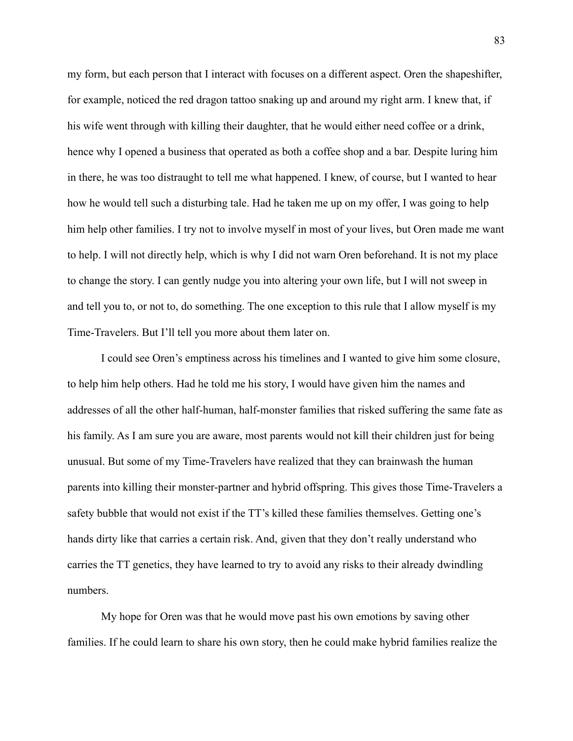my form, but each person that I interact with focuses on a different aspect. Oren the shapeshifter, for example, noticed the red dragon tattoo snaking up and around my right arm. I knew that, if his wife went through with killing their daughter, that he would either need coffee or a drink, hence why I opened a business that operated as both a coffee shop and a bar. Despite luring him in there, he was too distraught to tell me what happened. I knew, of course, but I wanted to hear how he would tell such a disturbing tale. Had he taken me up on my offer, I was going to help him help other families. I try not to involve myself in most of your lives, but Oren made me want to help. I will not directly help, which is why I did not warn Oren beforehand. It is not my place to change the story. I can gently nudge you into altering your own life, but I will not sweep in and tell you to, or not to, do something. The one exception to this rule that I allow myself is my Time-Travelers. But I'll tell you more about them later on.

I could see Oren's emptiness across his timelines and I wanted to give him some closure, to help him help others. Had he told me his story, I would have given him the names and addresses of all the other half-human, half-monster families that risked suffering the same fate as his family. As I am sure you are aware, most parents would not kill their children just for being unusual. But some of my Time-Travelers have realized that they can brainwash the human parents into killing their monster-partner and hybrid offspring. This gives those Time-Travelers a safety bubble that would not exist if the TT's killed these families themselves. Getting one's hands dirty like that carries a certain risk. And, given that they don't really understand who carries the TT genetics, they have learned to try to avoid any risks to their already dwindling numbers.

My hope for Oren was that he would move past his own emotions by saving other families. If he could learn to share his own story, then he could make hybrid families realize the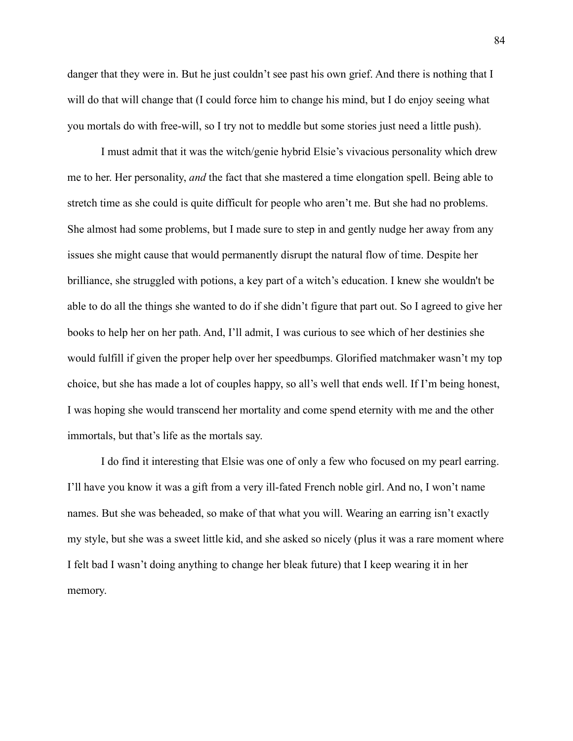danger that they were in. But he just couldn't see past his own grief. And there is nothing that I will do that will change that (I could force him to change his mind, but I do enjoy seeing what you mortals do with free-will, so I try not to meddle but some stories just need a little push).

I must admit that it was the witch/genie hybrid Elsie's vivacious personality which drew me to her. Her personality, *and* the fact that she mastered a time elongation spell. Being able to stretch time as she could is quite difficult for people who aren't me. But she had no problems. She almost had some problems, but I made sure to step in and gently nudge her away from any issues she might cause that would permanently disrupt the natural flow of time. Despite her brilliance, she struggled with potions, a key part of a witch's education. I knew she wouldn't be able to do all the things she wanted to do if she didn't figure that part out. So I agreed to give her books to help her on her path. And, I'll admit, I was curious to see which of her destinies she would fulfill if given the proper help over her speedbumps. Glorified matchmaker wasn't my top choice, but she has made a lot of couples happy, so all's well that ends well. If I'm being honest, I was hoping she would transcend her mortality and come spend eternity with me and the other immortals, but that's life as the mortals say.

I do find it interesting that Elsie was one of only a few who focused on my pearl earring. I'll have you know it was a gift from a very ill-fated French noble girl. And no, I won't name names. But she was beheaded, so make of that what you will. Wearing an earring isn't exactly my style, but she was a sweet little kid, and she asked so nicely (plus it was a rare moment where I felt bad I wasn't doing anything to change her bleak future) that I keep wearing it in her memory.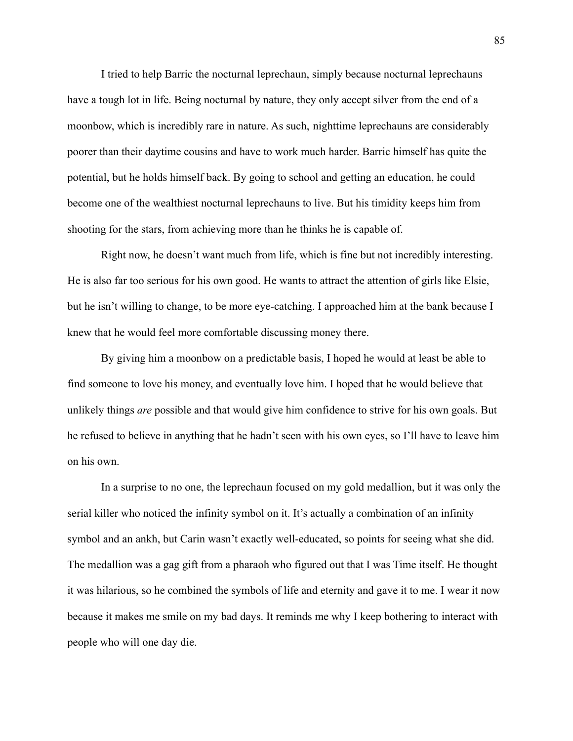I tried to help Barric the nocturnal leprechaun, simply because nocturnal leprechauns have a tough lot in life. Being nocturnal by nature, they only accept silver from the end of a moonbow, which is incredibly rare in nature. As such, nighttime leprechauns are considerably poorer than their daytime cousins and have to work much harder. Barric himself has quite the potential, but he holds himself back. By going to school and getting an education, he could become one of the wealthiest nocturnal leprechauns to live. But his timidity keeps him from shooting for the stars, from achieving more than he thinks he is capable of.

Right now, he doesn't want much from life, which is fine but not incredibly interesting. He is also far too serious for his own good. He wants to attract the attention of girls like Elsie, but he isn't willing to change, to be more eye-catching. I approached him at the bank because I knew that he would feel more comfortable discussing money there.

By giving him a moonbow on a predictable basis, I hoped he would at least be able to find someone to love his money, and eventually love him. I hoped that he would believe that unlikely things *are* possible and that would give him confidence to strive for his own goals. But he refused to believe in anything that he hadn't seen with his own eyes, so I'll have to leave him on his own.

In a surprise to no one, the leprechaun focused on my gold medallion, but it was only the serial killer who noticed the infinity symbol on it. It's actually a combination of an infinity symbol and an ankh, but Carin wasn't exactly well-educated, so points for seeing what she did. The medallion was a gag gift from a pharaoh who figured out that I was Time itself. He thought it was hilarious, so he combined the symbols of life and eternity and gave it to me. I wear it now because it makes me smile on my bad days. It reminds me why I keep bothering to interact with people who will one day die.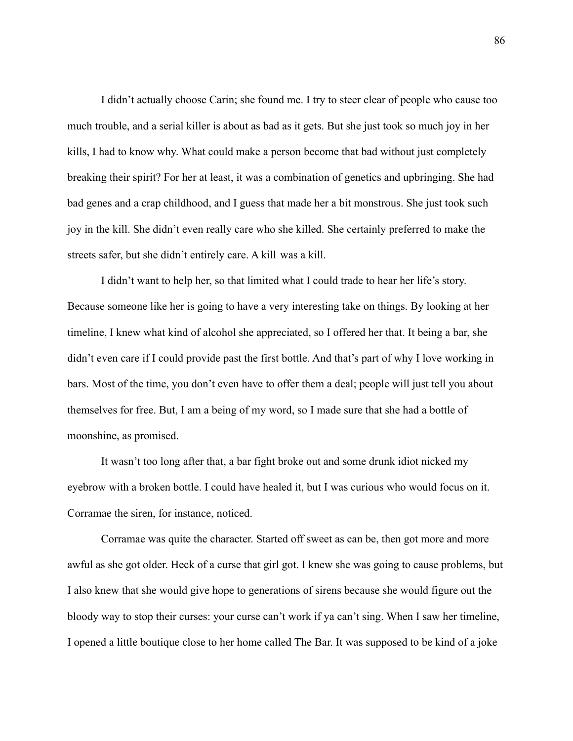I didn't actually choose Carin; she found me. I try to steer clear of people who cause too much trouble, and a serial killer is about as bad as it gets. But she just took so much joy in her kills, I had to know why. What could make a person become that bad without just completely breaking their spirit? For her at least, it was a combination of genetics and upbringing. She had bad genes and a crap childhood, and I guess that made her a bit monstrous. She just took such joy in the kill. She didn't even really care who she killed. She certainly preferred to make the streets safer, but she didn't entirely care. A kill was a kill.

I didn't want to help her, so that limited what I could trade to hear her life's story. Because someone like her is going to have a very interesting take on things. By looking at her timeline, I knew what kind of alcohol she appreciated, so I offered her that. It being a bar, she didn't even care if I could provide past the first bottle. And that's part of why I love working in bars. Most of the time, you don't even have to offer them a deal; people will just tell you about themselves for free. But, I am a being of my word, so I made sure that she had a bottle of moonshine, as promised.

It wasn't too long after that, a bar fight broke out and some drunk idiot nicked my eyebrow with a broken bottle. I could have healed it, but I was curious who would focus on it. Corramae the siren, for instance, noticed.

Corramae was quite the character. Started off sweet as can be, then got more and more awful as she got older. Heck of a curse that girl got. I knew she was going to cause problems, but I also knew that she would give hope to generations of sirens because she would figure out the bloody way to stop their curses: your curse can't work if ya can't sing. When I saw her timeline, I opened a little boutique close to her home called The Bar. It was supposed to be kind of a joke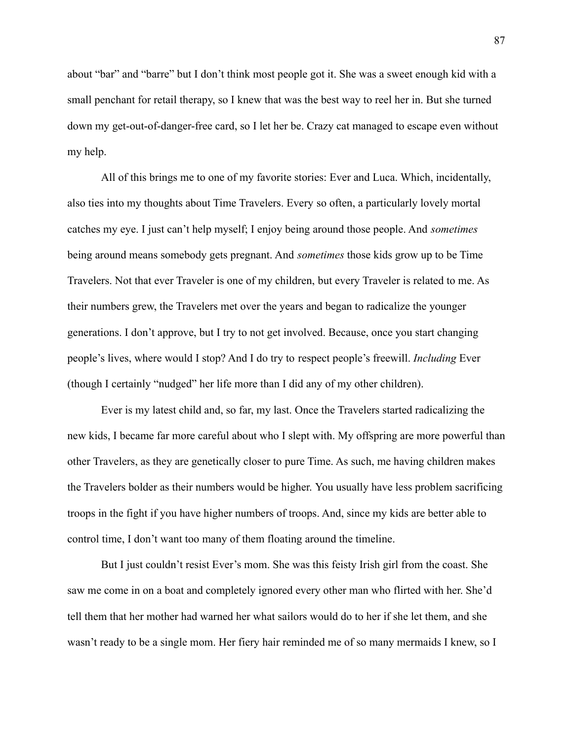about "bar" and "barre" but I don't think most people got it. She was a sweet enough kid with a small penchant for retail therapy, so I knew that was the best way to reel her in. But she turned down my get-out-of-danger-free card, so I let her be. Crazy cat managed to escape even without my help.

All of this brings me to one of my favorite stories: Ever and Luca. Which, incidentally, also ties into my thoughts about Time Travelers. Every so often, a particularly lovely mortal catches my eye. I just can't help myself; I enjoy being around those people. And *sometimes* being around means somebody gets pregnant. And *sometimes* those kids grow up to be Time Travelers. Not that ever Traveler is one of my children, but every Traveler is related to me. As their numbers grew, the Travelers met over the years and began to radicalize the younger generations. I don't approve, but I try to not get involved. Because, once you start changing people's lives, where would I stop? And I do try to respect people's freewill. *Including* Ever (though I certainly "nudged" her life more than I did any of my other children).

Ever is my latest child and, so far, my last. Once the Travelers started radicalizing the new kids, I became far more careful about who I slept with. My offspring are more powerful than other Travelers, as they are genetically closer to pure Time. As such, me having children makes the Travelers bolder as their numbers would be higher. You usually have less problem sacrificing troops in the fight if you have higher numbers of troops. And, since my kids are better able to control time, I don't want too many of them floating around the timeline.

But I just couldn't resist Ever's mom. She was this feisty Irish girl from the coast. She saw me come in on a boat and completely ignored every other man who flirted with her. She'd tell them that her mother had warned her what sailors would do to her if she let them, and she wasn't ready to be a single mom. Her fiery hair reminded me of so many mermaids I knew, so I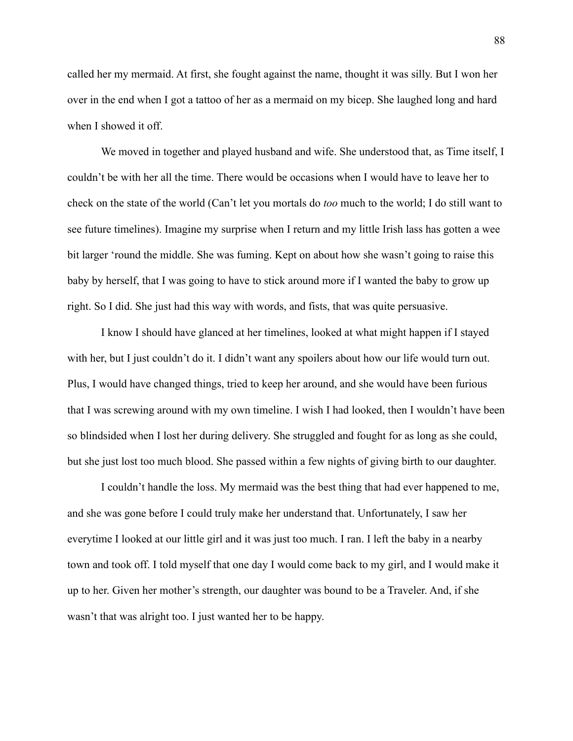called her my mermaid. At first, she fought against the name, thought it was silly. But I won her over in the end when I got a tattoo of her as a mermaid on my bicep. She laughed long and hard when I showed it off.

We moved in together and played husband and wife. She understood that, as Time itself, I couldn't be with her all the time. There would be occasions when I would have to leave her to check on the state of the world (Can't let you mortals do *too* much to the world; I do still want to see future timelines). Imagine my surprise when I return and my little Irish lass has gotten a wee bit larger 'round the middle. She was fuming. Kept on about how she wasn't going to raise this baby by herself, that I was going to have to stick around more if I wanted the baby to grow up right. So I did. She just had this way with words, and fists, that was quite persuasive.

I know I should have glanced at her timelines, looked at what might happen if I stayed with her, but I just couldn't do it. I didn't want any spoilers about how our life would turn out. Plus, I would have changed things, tried to keep her around, and she would have been furious that I was screwing around with my own timeline. I wish I had looked, then I wouldn't have been so blindsided when I lost her during delivery. She struggled and fought for as long as she could, but she just lost too much blood. She passed within a few nights of giving birth to our daughter.

I couldn't handle the loss. My mermaid was the best thing that had ever happened to me, and she was gone before I could truly make her understand that. Unfortunately, I saw her everytime I looked at our little girl and it was just too much. I ran. I left the baby in a nearby town and took off. I told myself that one day I would come back to my girl, and I would make it up to her. Given her mother's strength, our daughter was bound to be a Traveler. And, if she wasn't that was alright too. I just wanted her to be happy.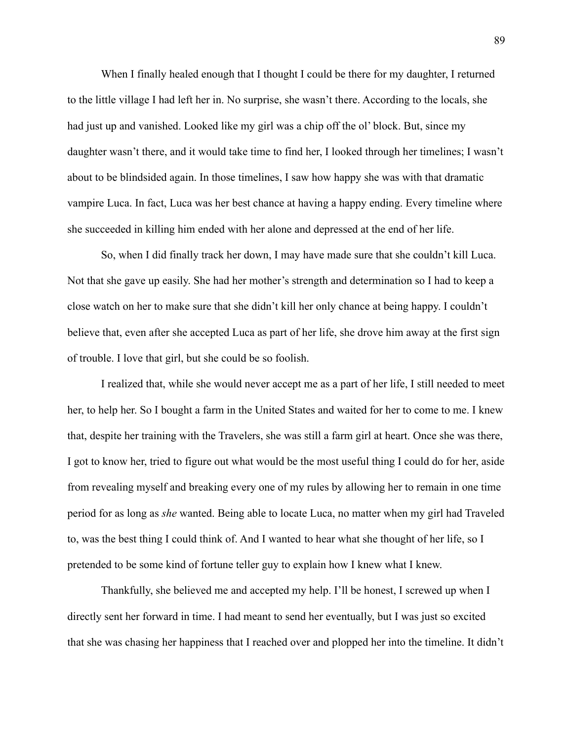When I finally healed enough that I thought I could be there for my daughter, I returned to the little village I had left her in. No surprise, she wasn't there. According to the locals, she had just up and vanished. Looked like my girl was a chip off the ol' block. But, since my daughter wasn't there, and it would take time to find her, I looked through her timelines; I wasn't about to be blindsided again. In those timelines, I saw how happy she was with that dramatic vampire Luca. In fact, Luca was her best chance at having a happy ending. Every timeline where she succeeded in killing him ended with her alone and depressed at the end of her life.

So, when I did finally track her down, I may have made sure that she couldn't kill Luca. Not that she gave up easily. She had her mother's strength and determination so I had to keep a close watch on her to make sure that she didn't kill her only chance at being happy. I couldn't believe that, even after she accepted Luca as part of her life, she drove him away at the first sign of trouble. I love that girl, but she could be so foolish.

I realized that, while she would never accept me as a part of her life, I still needed to meet her, to help her. So I bought a farm in the United States and waited for her to come to me. I knew that, despite her training with the Travelers, she was still a farm girl at heart. Once she was there, I got to know her, tried to figure out what would be the most useful thing I could do for her, aside from revealing myself and breaking every one of my rules by allowing her to remain in one time period for as long as *she* wanted. Being able to locate Luca, no matter when my girl had Traveled to, was the best thing I could think of. And I wanted to hear what she thought of her life, so I pretended to be some kind of fortune teller guy to explain how I knew what I knew.

Thankfully, she believed me and accepted my help. I'll be honest, I screwed up when I directly sent her forward in time. I had meant to send her eventually, but I was just so excited that she was chasing her happiness that I reached over and plopped her into the timeline. It didn't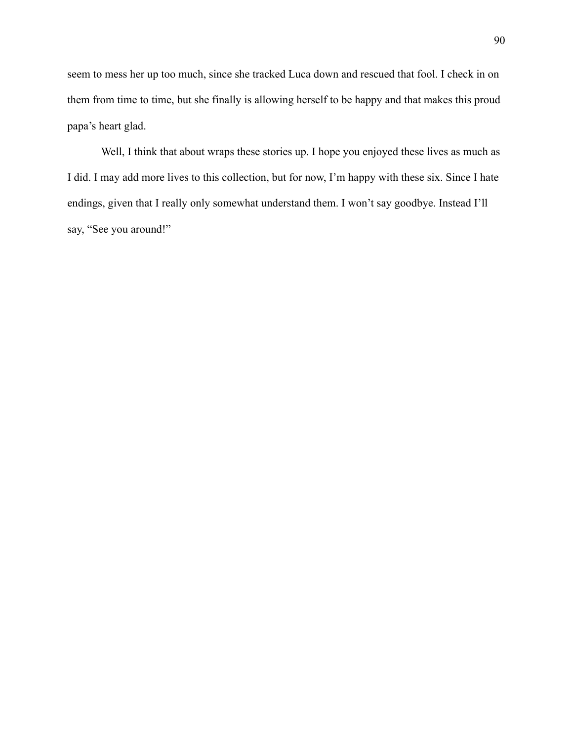seem to mess her up too much, since she tracked Luca down and rescued that fool. I check in on them from time to time, but she finally is allowing herself to be happy and that makes this proud papa's heart glad.

Well, I think that about wraps these stories up. I hope you enjoyed these lives as much as I did. I may add more lives to this collection, but for now, I'm happy with these six. Since I hate endings, given that I really only somewhat understand them. I won't say goodbye. Instead I'll say, "See you around!"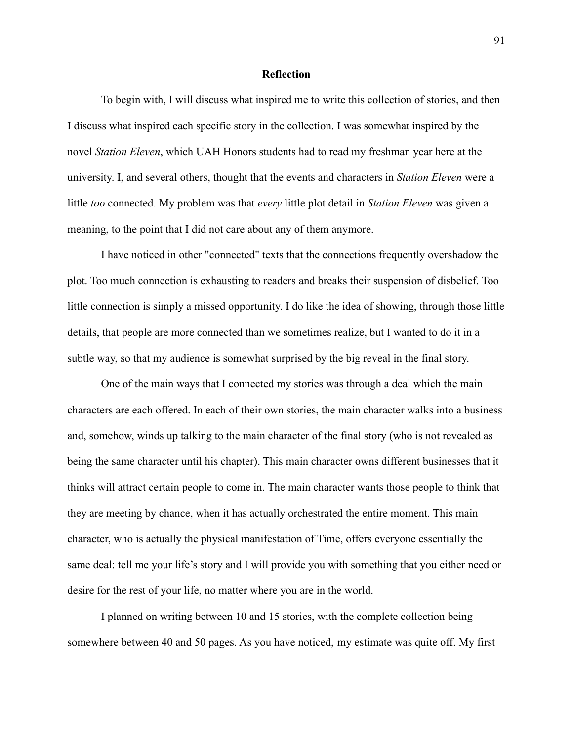## **Reflection**

To begin with, I will discuss what inspired me to write this collection of stories, and then I discuss what inspired each specific story in the collection. I was somewhat inspired by the novel *Station Eleven*, which UAH Honors students had to read my freshman year here at the university. I, and several others, thought that the events and characters in *Station Eleven* were a little *too* connected. My problem was that *every* little plot detail in *Station Eleven* was given a meaning, to the point that I did not care about any of them anymore.

I have noticed in other "connected" texts that the connections frequently overshadow the plot. Too much connection is exhausting to readers and breaks their suspension of disbelief. Too little connection is simply a missed opportunity. I do like the idea of showing, through those little details, that people are more connected than we sometimes realize, but I wanted to do it in a subtle way, so that my audience is somewhat surprised by the big reveal in the final story.

One of the main ways that I connected my stories was through a deal which the main characters are each offered. In each of their own stories, the main character walks into a business and, somehow, winds up talking to the main character of the final story (who is not revealed as being the same character until his chapter). This main character owns different businesses that it thinks will attract certain people to come in. The main character wants those people to think that they are meeting by chance, when it has actually orchestrated the entire moment. This main character, who is actually the physical manifestation of Time, offers everyone essentially the same deal: tell me your life's story and I will provide you with something that you either need or desire for the rest of your life, no matter where you are in the world.

I planned on writing between 10 and 15 stories, with the complete collection being somewhere between 40 and 50 pages. As you have noticed, my estimate was quite off. My first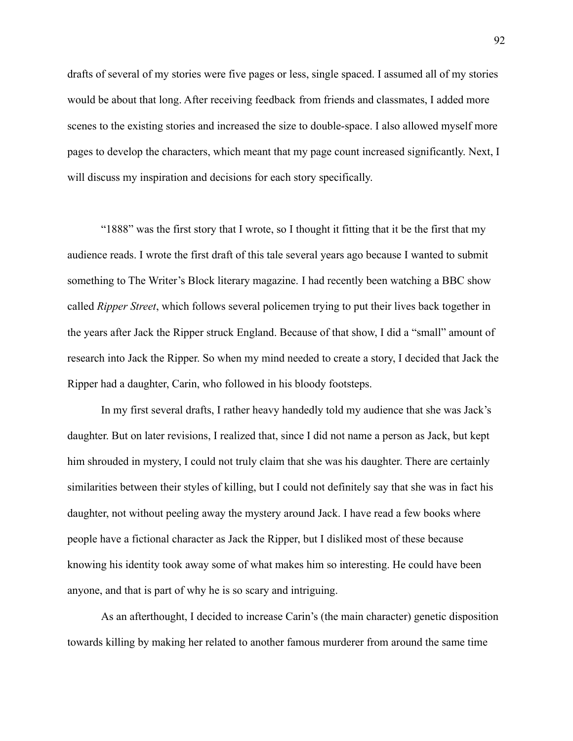drafts of several of my stories were five pages or less, single spaced. I assumed all of my stories would be about that long. After receiving feedback from friends and classmates, I added more scenes to the existing stories and increased the size to double-space. I also allowed myself more pages to develop the characters, which meant that my page count increased significantly. Next, I will discuss my inspiration and decisions for each story specifically.

"1888" was the first story that I wrote, so I thought it fitting that it be the first that my audience reads. I wrote the first draft of this tale several years ago because I wanted to submit something to The Writer's Block literary magazine. I had recently been watching a BBC show called *Ripper Street*, which follows several policemen trying to put their lives back together in the years after Jack the Ripper struck England. Because of that show, I did a "small" amount of research into Jack the Ripper. So when my mind needed to create a story, I decided that Jack the Ripper had a daughter, Carin, who followed in his bloody footsteps.

In my first several drafts, I rather heavy handedly told my audience that she was Jack's daughter. But on later revisions, I realized that, since I did not name a person as Jack, but kept him shrouded in mystery, I could not truly claim that she was his daughter. There are certainly similarities between their styles of killing, but I could not definitely say that she was in fact his daughter, not without peeling away the mystery around Jack. I have read a few books where people have a fictional character as Jack the Ripper, but I disliked most of these because knowing his identity took away some of what makes him so interesting. He could have been anyone, and that is part of why he is so scary and intriguing.

As an afterthought, I decided to increase Carin's (the main character) genetic disposition towards killing by making her related to another famous murderer from around the same time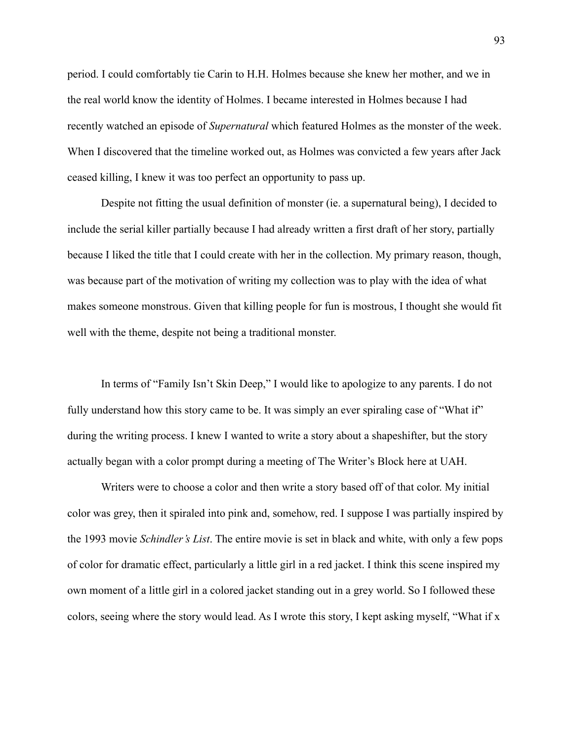period. I could comfortably tie Carin to H.H. Holmes because she knew her mother, and we in the real world know the identity of Holmes. I became interested in Holmes because I had recently watched an episode of *Supernatural* which featured Holmes as the monster of the week. When I discovered that the timeline worked out, as Holmes was convicted a few years after Jack ceased killing, I knew it was too perfect an opportunity to pass up.

Despite not fitting the usual definition of monster (ie. a supernatural being), I decided to include the serial killer partially because I had already written a first draft of her story, partially because I liked the title that I could create with her in the collection. My primary reason, though, was because part of the motivation of writing my collection was to play with the idea of what makes someone monstrous. Given that killing people for fun is mostrous, I thought she would fit well with the theme, despite not being a traditional monster.

In terms of "Family Isn't Skin Deep," I would like to apologize to any parents. I do not fully understand how this story came to be. It was simply an ever spiraling case of "What if" during the writing process. I knew I wanted to write a story about a shapeshifter, but the story actually began with a color prompt during a meeting of The Writer's Block here at UAH.

Writers were to choose a color and then write a story based off of that color. My initial color was grey, then it spiraled into pink and, somehow, red. I suppose I was partially inspired by the 1993 movie *Schindler's List*. The entire movie is set in black and white, with only a few pops of color for dramatic effect, particularly a little girl in a red jacket. I think this scene inspired my own moment of a little girl in a colored jacket standing out in a grey world. So I followed these colors, seeing where the story would lead. As I wrote this story, I kept asking myself, "What if x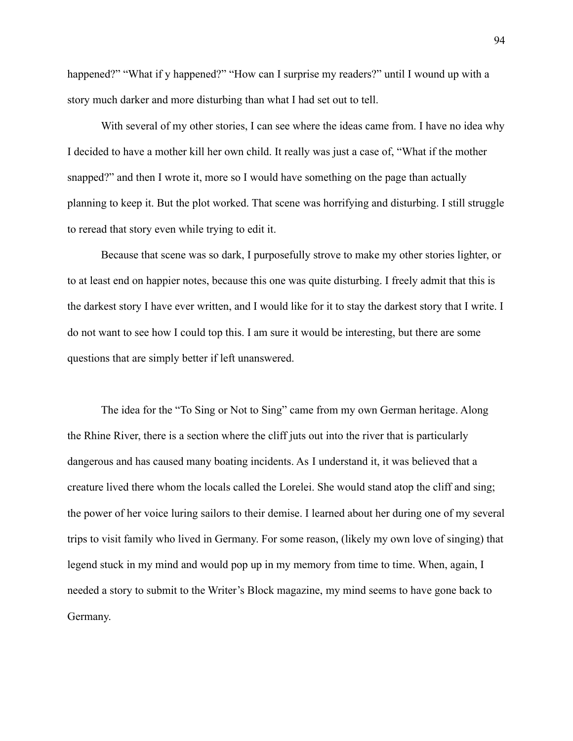happened?" "What if y happened?" "How can I surprise my readers?" until I wound up with a story much darker and more disturbing than what I had set out to tell.

With several of my other stories, I can see where the ideas came from. I have no idea why I decided to have a mother kill her own child. It really was just a case of, "What if the mother snapped?" and then I wrote it, more so I would have something on the page than actually planning to keep it. But the plot worked. That scene was horrifying and disturbing. I still struggle to reread that story even while trying to edit it.

Because that scene was so dark, I purposefully strove to make my other stories lighter, or to at least end on happier notes, because this one was quite disturbing. I freely admit that this is the darkest story I have ever written, and I would like for it to stay the darkest story that I write. I do not want to see how I could top this. I am sure it would be interesting, but there are some questions that are simply better if left unanswered.

The idea for the "To Sing or Not to Sing" came from my own German heritage. Along the Rhine River, there is a section where the cliff juts out into the river that is particularly dangerous and has caused many boating incidents. As I understand it, it was believed that a creature lived there whom the locals called the Lorelei. She would stand atop the cliff and sing; the power of her voice luring sailors to their demise. I learned about her during one of my several trips to visit family who lived in Germany. For some reason, (likely my own love of singing) that legend stuck in my mind and would pop up in my memory from time to time. When, again, I needed a story to submit to the Writer's Block magazine, my mind seems to have gone back to Germany.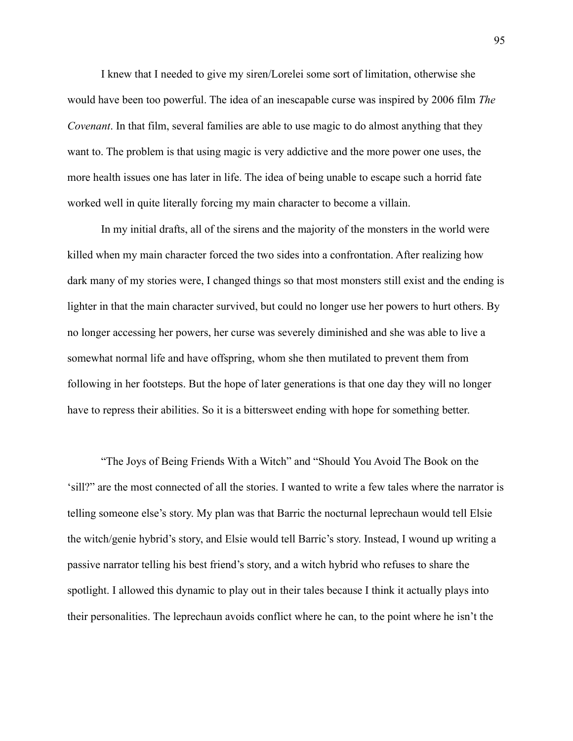I knew that I needed to give my siren/Lorelei some sort of limitation, otherwise she would have been too powerful. The idea of an inescapable curse was inspired by 2006 film *The Covenant*. In that film, several families are able to use magic to do almost anything that they want to. The problem is that using magic is very addictive and the more power one uses, the more health issues one has later in life. The idea of being unable to escape such a horrid fate worked well in quite literally forcing my main character to become a villain.

In my initial drafts, all of the sirens and the majority of the monsters in the world were killed when my main character forced the two sides into a confrontation. After realizing how dark many of my stories were, I changed things so that most monsters still exist and the ending is lighter in that the main character survived, but could no longer use her powers to hurt others. By no longer accessing her powers, her curse was severely diminished and she was able to live a somewhat normal life and have offspring, whom she then mutilated to prevent them from following in her footsteps. But the hope of later generations is that one day they will no longer have to repress their abilities. So it is a bittersweet ending with hope for something better.

"The Joys of Being Friends With a Witch" and "Should You Avoid The Book on the 'sill?" are the most connected of all the stories. I wanted to write a few tales where the narrator is telling someone else's story. My plan was that Barric the nocturnal leprechaun would tell Elsie the witch/genie hybrid's story, and Elsie would tell Barric's story. Instead, I wound up writing a passive narrator telling his best friend's story, and a witch hybrid who refuses to share the spotlight. I allowed this dynamic to play out in their tales because I think it actually plays into their personalities. The leprechaun avoids conflict where he can, to the point where he isn't the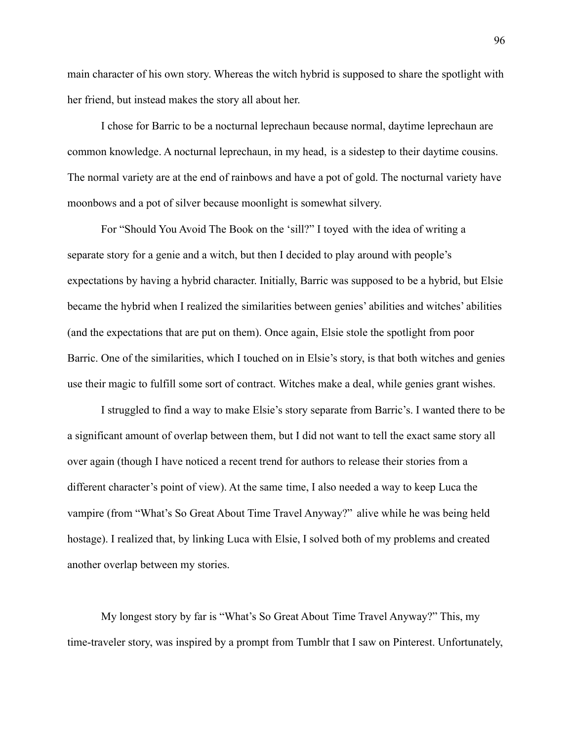main character of his own story. Whereas the witch hybrid is supposed to share the spotlight with her friend, but instead makes the story all about her.

I chose for Barric to be a nocturnal leprechaun because normal, daytime leprechaun are common knowledge. A nocturnal leprechaun, in my head, is a sidestep to their daytime cousins. The normal variety are at the end of rainbows and have a pot of gold. The nocturnal variety have moonbows and a pot of silver because moonlight is somewhat silvery.

For "Should You Avoid The Book on the 'sill?" I toyed with the idea of writing a separate story for a genie and a witch, but then I decided to play around with people's expectations by having a hybrid character. Initially, Barric was supposed to be a hybrid, but Elsie became the hybrid when I realized the similarities between genies' abilities and witches' abilities (and the expectations that are put on them). Once again, Elsie stole the spotlight from poor Barric. One of the similarities, which I touched on in Elsie's story, is that both witches and genies use their magic to fulfill some sort of contract. Witches make a deal, while genies grant wishes.

I struggled to find a way to make Elsie's story separate from Barric's. I wanted there to be a significant amount of overlap between them, but I did not want to tell the exact same story all over again (though I have noticed a recent trend for authors to release their stories from a different character's point of view). At the same time, I also needed a way to keep Luca the vampire (from "What's So Great About Time Travel Anyway?" alive while he was being held hostage). I realized that, by linking Luca with Elsie, I solved both of my problems and created another overlap between my stories.

My longest story by far is "What's So Great About Time Travel Anyway?" This, my time-traveler story, was inspired by a prompt from Tumblr that I saw on Pinterest. Unfortunately,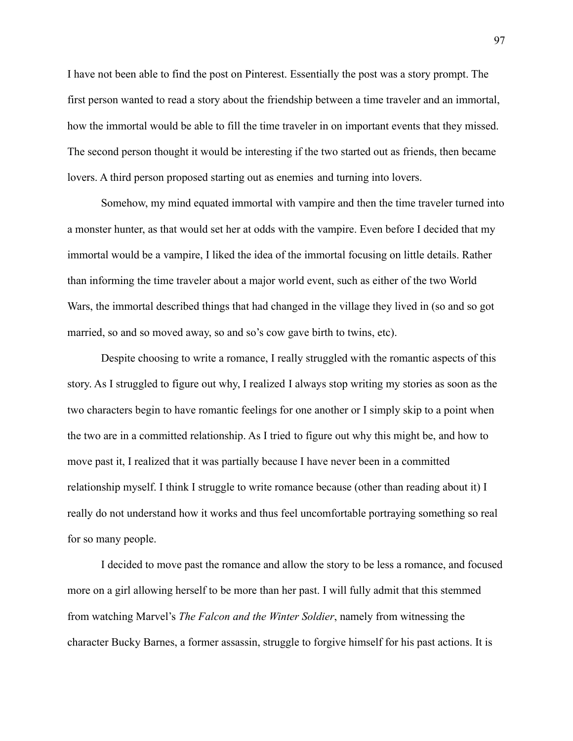I have not been able to find the post on Pinterest. Essentially the post was a story prompt. The first person wanted to read a story about the friendship between a time traveler and an immortal, how the immortal would be able to fill the time traveler in on important events that they missed. The second person thought it would be interesting if the two started out as friends, then became lovers. A third person proposed starting out as enemies and turning into lovers.

Somehow, my mind equated immortal with vampire and then the time traveler turned into a monster hunter, as that would set her at odds with the vampire. Even before I decided that my immortal would be a vampire, I liked the idea of the immortal focusing on little details. Rather than informing the time traveler about a major world event, such as either of the two World Wars, the immortal described things that had changed in the village they lived in (so and so got married, so and so moved away, so and so's cow gave birth to twins, etc).

Despite choosing to write a romance, I really struggled with the romantic aspects of this story. As I struggled to figure out why, I realized I always stop writing my stories as soon as the two characters begin to have romantic feelings for one another or I simply skip to a point when the two are in a committed relationship. As I tried to figure out why this might be, and how to move past it, I realized that it was partially because I have never been in a committed relationship myself. I think I struggle to write romance because (other than reading about it) I really do not understand how it works and thus feel uncomfortable portraying something so real for so many people.

I decided to move past the romance and allow the story to be less a romance, and focused more on a girl allowing herself to be more than her past. I will fully admit that this stemmed from watching Marvel's *The Falcon and the Winter Soldier*, namely from witnessing the character Bucky Barnes, a former assassin, struggle to forgive himself for his past actions. It is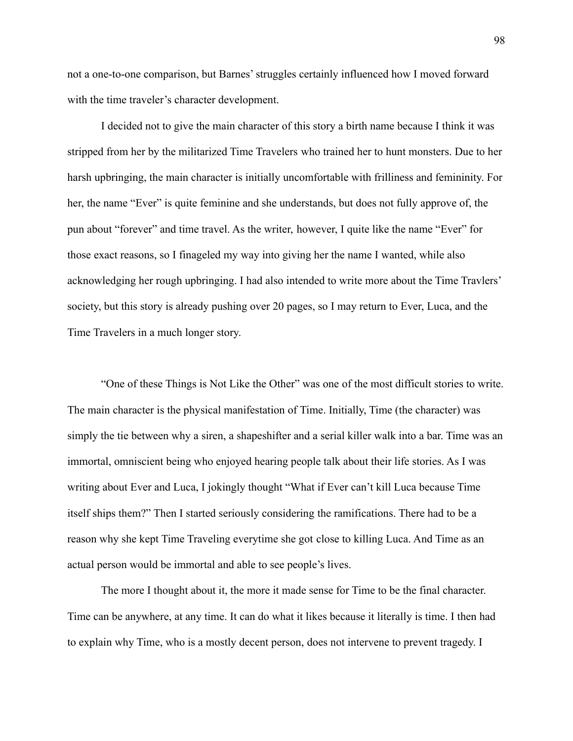not a one-to-one comparison, but Barnes' struggles certainly influenced how I moved forward with the time traveler's character development.

I decided not to give the main character of this story a birth name because I think it was stripped from her by the militarized Time Travelers who trained her to hunt monsters. Due to her harsh upbringing, the main character is initially uncomfortable with frilliness and femininity. For her, the name "Ever" is quite feminine and she understands, but does not fully approve of, the pun about "forever" and time travel. As the writer, however, I quite like the name "Ever" for those exact reasons, so I finageled my way into giving her the name I wanted, while also acknowledging her rough upbringing. I had also intended to write more about the Time Travlers' society, but this story is already pushing over 20 pages, so I may return to Ever, Luca, and the Time Travelers in a much longer story.

"One of these Things is Not Like the Other" was one of the most difficult stories to write. The main character is the physical manifestation of Time. Initially, Time (the character) was simply the tie between why a siren, a shapeshifter and a serial killer walk into a bar. Time was an immortal, omniscient being who enjoyed hearing people talk about their life stories. As I was writing about Ever and Luca, I jokingly thought "What if Ever can't kill Luca because Time itself ships them?" Then I started seriously considering the ramifications. There had to be a reason why she kept Time Traveling everytime she got close to killing Luca. And Time as an actual person would be immortal and able to see people's lives.

The more I thought about it, the more it made sense for Time to be the final character. Time can be anywhere, at any time. It can do what it likes because it literally is time. I then had to explain why Time, who is a mostly decent person, does not intervene to prevent tragedy. I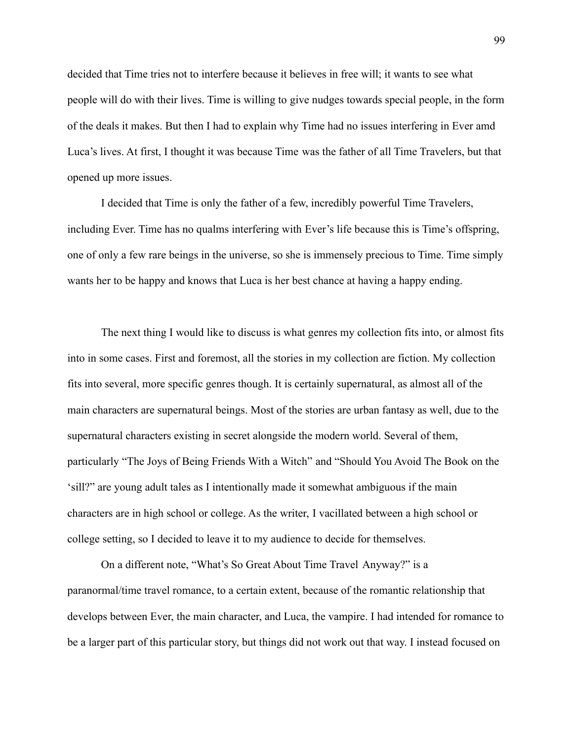decided that Time tries not to interfere because it believes in free will; it wants to see what people will do with their lives. Time is willing to give nudges towards special people, in the form of the deals it makes. But then I had to explain why Time had no issues interfering in Ever amd Luca's lives. At first, I thought it was because Time was the father of all Time Travelers, but that opened up more issues.

I decided that Time is only the father of a few, incredibly powerful Time Travelers, including Ever. Time has no qualms interfering with Ever's life because this is Time's offspring, one of only a few rare beings in the universe, so she is immensely precious to Time. Time simply wants her to be happy and knows that Luca is her best chance at having a happy ending.

The next thing I would like to discuss is what genres my collection fits into, or almost fits into in some cases. First and foremost, all the stories in my collection are fiction. My collection fits into several, more specific genres though. It is certainly supernatural, as almost all of the main characters are supernatural beings. Most of the stories are urban fantasy as well, due to the supernatural characters existing in secret alongside the modern world. Several of them, particularly "The Joys of Being Friends With a Witch" and "Should You Avoid The Book on the 'sill?" are young adult tales as I intentionally made it somewhat ambiguous if the main characters are in high school or college. As the writer, I vacillated between a high school or college setting, so I decided to leave it to my audience to decide for themselves.

On a different note, "What's So Great About Time Travel Anyway?" is a paranormal/time travel romance, to a certain extent, because of the romantic relationship that develops between Ever, the main character, and Luca, the vampire. I had intended for romance to be a larger part of this particular story, but things did not work out that way. I instead focused on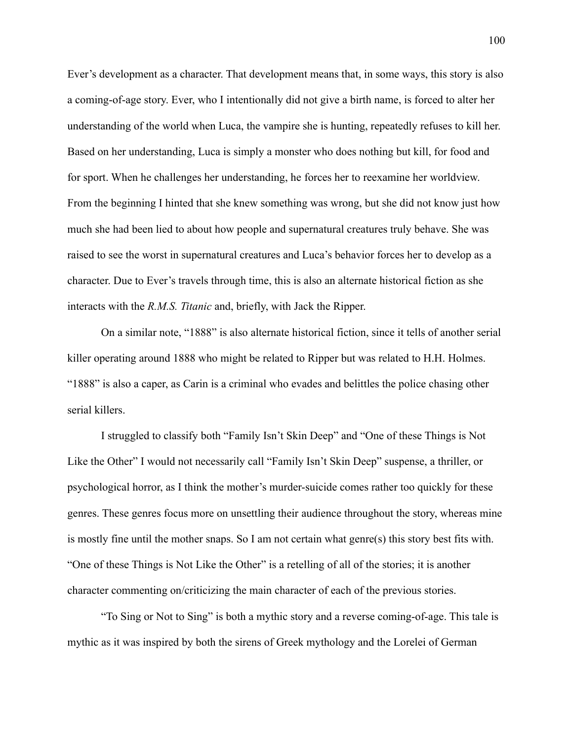Ever's development as a character. That development means that, in some ways, this story is also a coming-of-age story. Ever, who I intentionally did not give a birth name, is forced to alter her understanding of the world when Luca, the vampire she is hunting, repeatedly refuses to kill her. Based on her understanding, Luca is simply a monster who does nothing but kill, for food and for sport. When he challenges her understanding, he forces her to reexamine her worldview. From the beginning I hinted that she knew something was wrong, but she did not know just how much she had been lied to about how people and supernatural creatures truly behave. She was raised to see the worst in supernatural creatures and Luca's behavior forces her to develop as a character. Due to Ever's travels through time, this is also an alternate historical fiction as she interacts with the *R.M.S. Titanic* and, briefly, with Jack the Ripper.

On a similar note, "1888" is also alternate historical fiction, since it tells of another serial killer operating around 1888 who might be related to Ripper but was related to H.H. Holmes. "1888" is also a caper, as Carin is a criminal who evades and belittles the police chasing other serial killers.

I struggled to classify both "Family Isn't Skin Deep" and "One of these Things is Not Like the Other" I would not necessarily call "Family Isn't Skin Deep" suspense, a thriller, or psychological horror, as I think the mother's murder-suicide comes rather too quickly for these genres. These genres focus more on unsettling their audience throughout the story, whereas mine is mostly fine until the mother snaps. So I am not certain what genre(s) this story best fits with. "One of these Things is Not Like the Other" is a retelling of all of the stories; it is another character commenting on/criticizing the main character of each of the previous stories.

"To Sing or Not to Sing" is both a mythic story and a reverse coming-of-age. This tale is mythic as it was inspired by both the sirens of Greek mythology and the Lorelei of German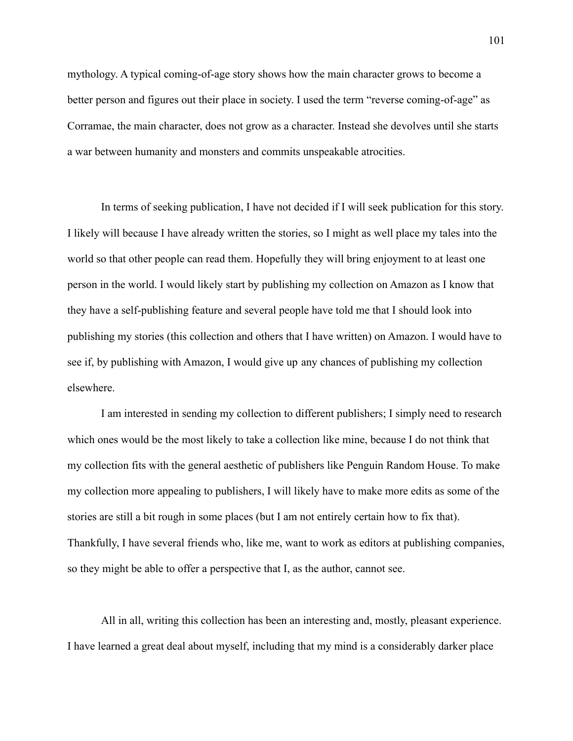mythology. A typical coming-of-age story shows how the main character grows to become a better person and figures out their place in society. I used the term "reverse coming-of-age" as Corramae, the main character, does not grow as a character. Instead she devolves until she starts a war between humanity and monsters and commits unspeakable atrocities.

In terms of seeking publication, I have not decided if I will seek publication for this story. I likely will because I have already written the stories, so I might as well place my tales into the world so that other people can read them. Hopefully they will bring enjoyment to at least one person in the world. I would likely start by publishing my collection on Amazon as I know that they have a self-publishing feature and several people have told me that I should look into publishing my stories (this collection and others that I have written) on Amazon. I would have to see if, by publishing with Amazon, I would give up any chances of publishing my collection elsewhere.

I am interested in sending my collection to different publishers; I simply need to research which ones would be the most likely to take a collection like mine, because I do not think that my collection fits with the general aesthetic of publishers like Penguin Random House. To make my collection more appealing to publishers, I will likely have to make more edits as some of the stories are still a bit rough in some places (but I am not entirely certain how to fix that). Thankfully, I have several friends who, like me, want to work as editors at publishing companies, so they might be able to offer a perspective that I, as the author, cannot see.

All in all, writing this collection has been an interesting and, mostly, pleasant experience. I have learned a great deal about myself, including that my mind is a considerably darker place